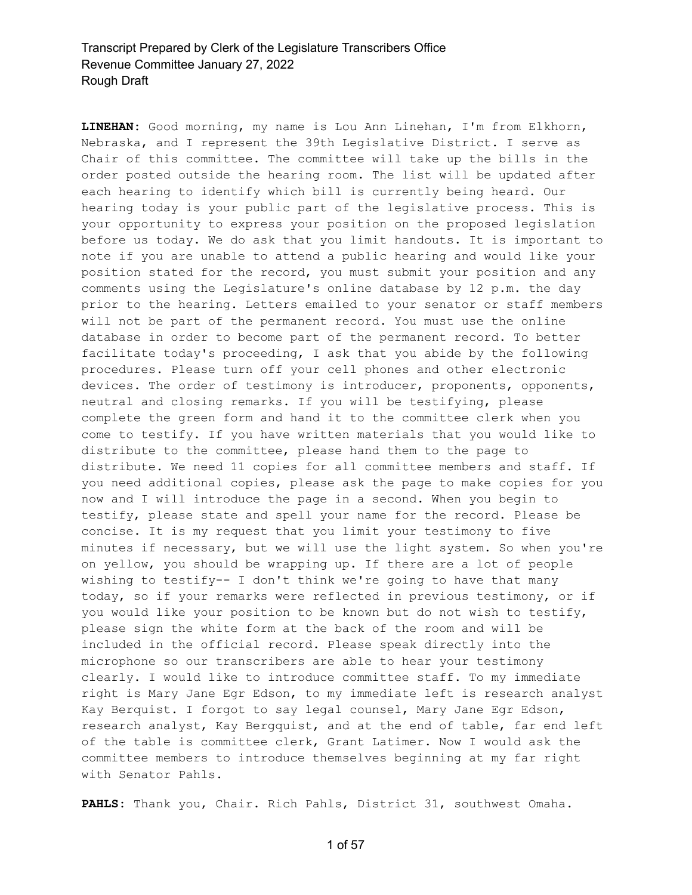**LINEHAN:** Good morning, my name is Lou Ann Linehan, I'm from Elkhorn, Nebraska, and I represent the 39th Legislative District. I serve as Chair of this committee. The committee will take up the bills in the order posted outside the hearing room. The list will be updated after each hearing to identify which bill is currently being heard. Our hearing today is your public part of the legislative process. This is your opportunity to express your position on the proposed legislation before us today. We do ask that you limit handouts. It is important to note if you are unable to attend a public hearing and would like your position stated for the record, you must submit your position and any comments using the Legislature's online database by 12 p.m. the day prior to the hearing. Letters emailed to your senator or staff members will not be part of the permanent record. You must use the online database in order to become part of the permanent record. To better facilitate today's proceeding, I ask that you abide by the following procedures. Please turn off your cell phones and other electronic devices. The order of testimony is introducer, proponents, opponents, neutral and closing remarks. If you will be testifying, please complete the green form and hand it to the committee clerk when you come to testify. If you have written materials that you would like to distribute to the committee, please hand them to the page to distribute. We need 11 copies for all committee members and staff. If you need additional copies, please ask the page to make copies for you now and I will introduce the page in a second. When you begin to testify, please state and spell your name for the record. Please be concise. It is my request that you limit your testimony to five minutes if necessary, but we will use the light system. So when you're on yellow, you should be wrapping up. If there are a lot of people wishing to testify-- I don't think we're going to have that many today, so if your remarks were reflected in previous testimony, or if you would like your position to be known but do not wish to testify, please sign the white form at the back of the room and will be included in the official record. Please speak directly into the microphone so our transcribers are able to hear your testimony clearly. I would like to introduce committee staff. To my immediate right is Mary Jane Egr Edson, to my immediate left is research analyst Kay Berquist. I forgot to say legal counsel, Mary Jane Egr Edson, research analyst, Kay Bergquist, and at the end of table, far end left of the table is committee clerk, Grant Latimer. Now I would ask the committee members to introduce themselves beginning at my far right with Senator Pahls.

**PAHLS:** Thank you, Chair. Rich Pahls, District 31, southwest Omaha.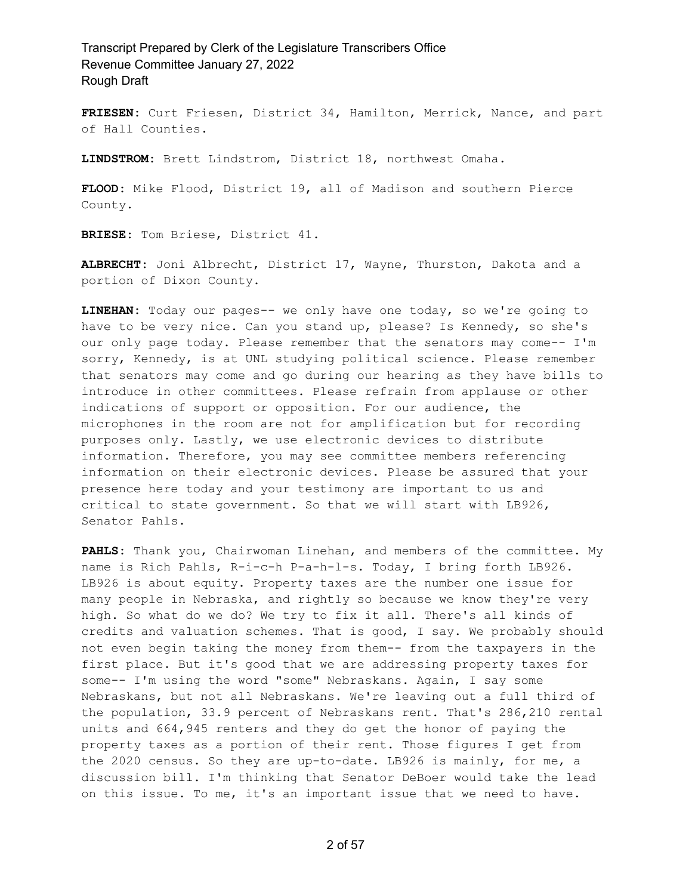**FRIESEN:** Curt Friesen, District 34, Hamilton, Merrick, Nance, and part of Hall Counties.

**LINDSTROM:** Brett Lindstrom, District 18, northwest Omaha.

**FLOOD:** Mike Flood, District 19, all of Madison and southern Pierce County.

**BRIESE:** Tom Briese, District 41.

**ALBRECHT:** Joni Albrecht, District 17, Wayne, Thurston, Dakota and a portion of Dixon County.

**LINEHAN:** Today our pages-- we only have one today, so we're going to have to be very nice. Can you stand up, please? Is Kennedy, so she's our only page today. Please remember that the senators may come-- I'm sorry, Kennedy, is at UNL studying political science. Please remember that senators may come and go during our hearing as they have bills to introduce in other committees. Please refrain from applause or other indications of support or opposition. For our audience, the microphones in the room are not for amplification but for recording purposes only. Lastly, we use electronic devices to distribute information. Therefore, you may see committee members referencing information on their electronic devices. Please be assured that your presence here today and your testimony are important to us and critical to state government. So that we will start with LB926, Senator Pahls.

**PAHLS:** Thank you, Chairwoman Linehan, and members of the committee. My name is Rich Pahls, R-i-c-h P-a-h-l-s. Today, I bring forth LB926. LB926 is about equity. Property taxes are the number one issue for many people in Nebraska, and rightly so because we know they're very high. So what do we do? We try to fix it all. There's all kinds of credits and valuation schemes. That is good, I say. We probably should not even begin taking the money from them-- from the taxpayers in the first place. But it's good that we are addressing property taxes for some-- I'm using the word "some" Nebraskans. Again, I say some Nebraskans, but not all Nebraskans. We're leaving out a full third of the population, 33.9 percent of Nebraskans rent. That's 286,210 rental units and 664,945 renters and they do get the honor of paying the property taxes as a portion of their rent. Those figures I get from the 2020 census. So they are up-to-date. LB926 is mainly, for me, a discussion bill. I'm thinking that Senator DeBoer would take the lead on this issue. To me, it's an important issue that we need to have.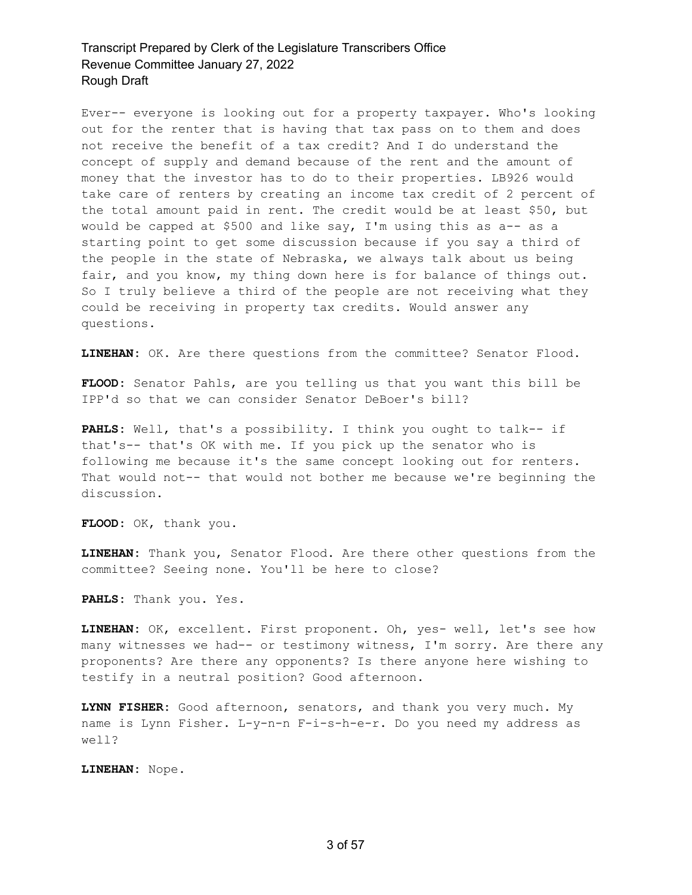Ever-- everyone is looking out for a property taxpayer. Who's looking out for the renter that is having that tax pass on to them and does not receive the benefit of a tax credit? And I do understand the concept of supply and demand because of the rent and the amount of money that the investor has to do to their properties. LB926 would take care of renters by creating an income tax credit of 2 percent of the total amount paid in rent. The credit would be at least \$50, but would be capped at \$500 and like say, I'm using this as a-- as a starting point to get some discussion because if you say a third of the people in the state of Nebraska, we always talk about us being fair, and you know, my thing down here is for balance of things out. So I truly believe a third of the people are not receiving what they could be receiving in property tax credits. Would answer any questions.

**LINEHAN:** OK. Are there questions from the committee? Senator Flood.

**FLOOD:** Senator Pahls, are you telling us that you want this bill be IPP'd so that we can consider Senator DeBoer's bill?

**PAHLS:** Well, that's a possibility. I think you ought to talk-- if that's-- that's OK with me. If you pick up the senator who is following me because it's the same concept looking out for renters. That would not-- that would not bother me because we're beginning the discussion.

**FLOOD:** OK, thank you.

**LINEHAN:** Thank you, Senator Flood. Are there other questions from the committee? Seeing none. You'll be here to close?

**PAHLS:** Thank you. Yes.

**LINEHAN:** OK, excellent. First proponent. Oh, yes- well, let's see how many witnesses we had-- or testimony witness, I'm sorry. Are there any proponents? Are there any opponents? Is there anyone here wishing to testify in a neutral position? Good afternoon.

**LYNN FISHER:** Good afternoon, senators, and thank you very much. My name is Lynn Fisher. L-y-n-n F-i-s-h-e-r. Do you need my address as well?

**LINEHAN:** Nope.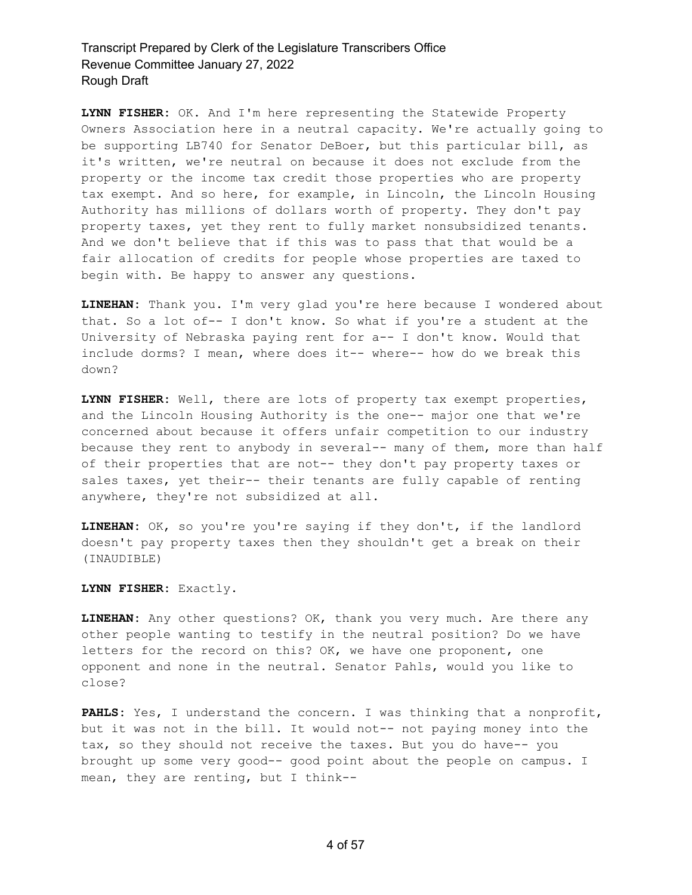**LYNN FISHER:** OK. And I'm here representing the Statewide Property Owners Association here in a neutral capacity. We're actually going to be supporting LB740 for Senator DeBoer, but this particular bill, as it's written, we're neutral on because it does not exclude from the property or the income tax credit those properties who are property tax exempt. And so here, for example, in Lincoln, the Lincoln Housing Authority has millions of dollars worth of property. They don't pay property taxes, yet they rent to fully market nonsubsidized tenants. And we don't believe that if this was to pass that that would be a fair allocation of credits for people whose properties are taxed to begin with. Be happy to answer any questions.

**LINEHAN:** Thank you. I'm very glad you're here because I wondered about that. So a lot of-- I don't know. So what if you're a student at the University of Nebraska paying rent for a-- I don't know. Would that include dorms? I mean, where does it-- where-- how do we break this down?

**LYNN FISHER:** Well, there are lots of property tax exempt properties, and the Lincoln Housing Authority is the one-- major one that we're concerned about because it offers unfair competition to our industry because they rent to anybody in several-- many of them, more than half of their properties that are not-- they don't pay property taxes or sales taxes, yet their-- their tenants are fully capable of renting anywhere, they're not subsidized at all.

**LINEHAN:** OK, so you're you're saying if they don't, if the landlord doesn't pay property taxes then they shouldn't get a break on their (INAUDIBLE)

**LYNN FISHER:** Exactly.

**LINEHAN:** Any other questions? OK, thank you very much. Are there any other people wanting to testify in the neutral position? Do we have letters for the record on this? OK, we have one proponent, one opponent and none in the neutral. Senator Pahls, would you like to close?

**PAHLS:** Yes, I understand the concern. I was thinking that a nonprofit, but it was not in the bill. It would not-- not paying money into the tax, so they should not receive the taxes. But you do have-- you brought up some very good-- good point about the people on campus. I mean, they are renting, but I think--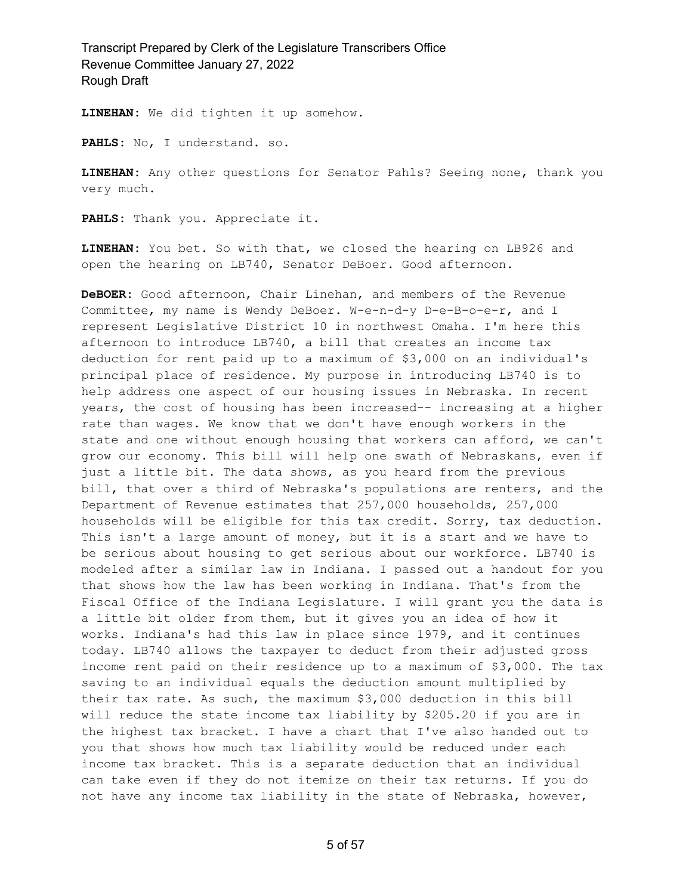**LINEHAN:** We did tighten it up somehow.

**PAHLS:** No, I understand. so.

**LINEHAN:** Any other questions for Senator Pahls? Seeing none, thank you very much.

**PAHLS:** Thank you. Appreciate it.

**LINEHAN:** You bet. So with that, we closed the hearing on LB926 and open the hearing on LB740, Senator DeBoer. Good afternoon.

**DeBOER:** Good afternoon, Chair Linehan, and members of the Revenue Committee, my name is Wendy DeBoer. W-e-n-d-y D-e-B-o-e-r, and I represent Legislative District 10 in northwest Omaha. I'm here this afternoon to introduce LB740, a bill that creates an income tax deduction for rent paid up to a maximum of \$3,000 on an individual's principal place of residence. My purpose in introducing LB740 is to help address one aspect of our housing issues in Nebraska. In recent years, the cost of housing has been increased-- increasing at a higher rate than wages. We know that we don't have enough workers in the state and one without enough housing that workers can afford, we can't grow our economy. This bill will help one swath of Nebraskans, even if just a little bit. The data shows, as you heard from the previous bill, that over a third of Nebraska's populations are renters, and the Department of Revenue estimates that 257,000 households, 257,000 households will be eligible for this tax credit. Sorry, tax deduction. This isn't a large amount of money, but it is a start and we have to be serious about housing to get serious about our workforce. LB740 is modeled after a similar law in Indiana. I passed out a handout for you that shows how the law has been working in Indiana. That's from the Fiscal Office of the Indiana Legislature. I will grant you the data is a little bit older from them, but it gives you an idea of how it works. Indiana's had this law in place since 1979, and it continues today. LB740 allows the taxpayer to deduct from their adjusted gross income rent paid on their residence up to a maximum of \$3,000. The tax saving to an individual equals the deduction amount multiplied by their tax rate. As such, the maximum \$3,000 deduction in this bill will reduce the state income tax liability by \$205.20 if you are in the highest tax bracket. I have a chart that I've also handed out to you that shows how much tax liability would be reduced under each income tax bracket. This is a separate deduction that an individual can take even if they do not itemize on their tax returns. If you do not have any income tax liability in the state of Nebraska, however,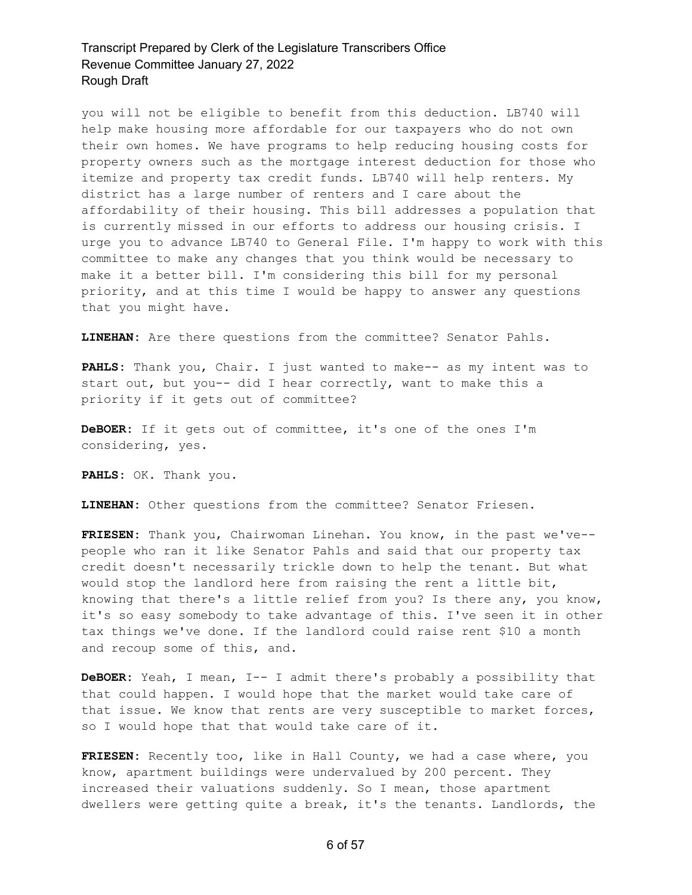you will not be eligible to benefit from this deduction. LB740 will help make housing more affordable for our taxpayers who do not own their own homes. We have programs to help reducing housing costs for property owners such as the mortgage interest deduction for those who itemize and property tax credit funds. LB740 will help renters. My district has a large number of renters and I care about the affordability of their housing. This bill addresses a population that is currently missed in our efforts to address our housing crisis. I urge you to advance LB740 to General File. I'm happy to work with this committee to make any changes that you think would be necessary to make it a better bill. I'm considering this bill for my personal priority, and at this time I would be happy to answer any questions that you might have.

**LINEHAN:** Are there questions from the committee? Senator Pahls.

**PAHLS:** Thank you, Chair. I just wanted to make-- as my intent was to start out, but you-- did I hear correctly, want to make this a priority if it gets out of committee?

**DeBOER:** If it gets out of committee, it's one of the ones I'm considering, yes.

**PAHLS:** OK. Thank you.

**LINEHAN:** Other questions from the committee? Senator Friesen.

**FRIESEN:** Thank you, Chairwoman Linehan. You know, in the past we've- people who ran it like Senator Pahls and said that our property tax credit doesn't necessarily trickle down to help the tenant. But what would stop the landlord here from raising the rent a little bit, knowing that there's a little relief from you? Is there any, you know, it's so easy somebody to take advantage of this. I've seen it in other tax things we've done. If the landlord could raise rent \$10 a month and recoup some of this, and.

**DeBOER:** Yeah, I mean, I-- I admit there's probably a possibility that that could happen. I would hope that the market would take care of that issue. We know that rents are very susceptible to market forces, so I would hope that that would take care of it.

**FRIESEN:** Recently too, like in Hall County, we had a case where, you know, apartment buildings were undervalued by 200 percent. They increased their valuations suddenly. So I mean, those apartment dwellers were getting quite a break, it's the tenants. Landlords, the

6 of 57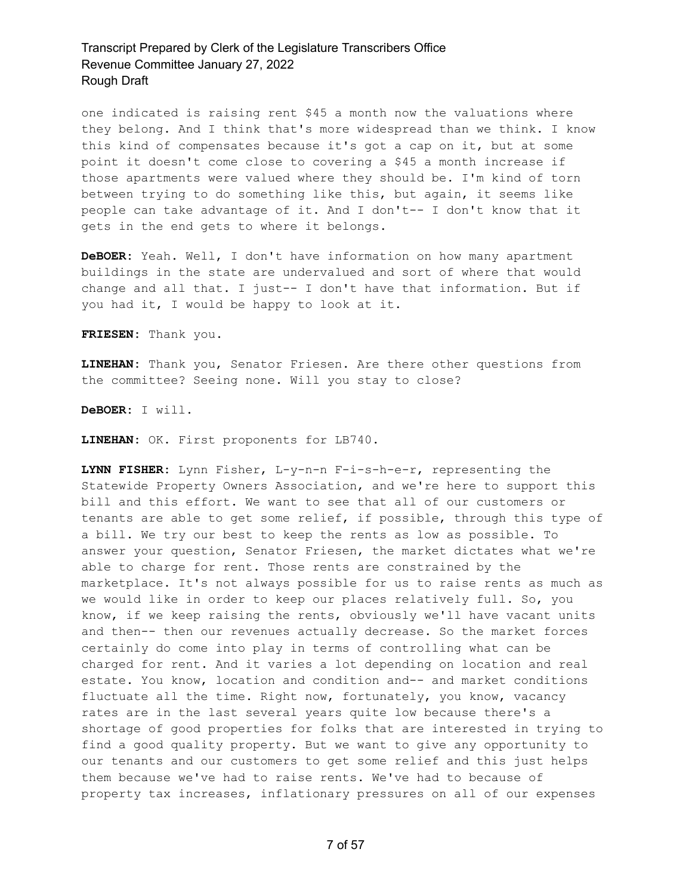one indicated is raising rent \$45 a month now the valuations where they belong. And I think that's more widespread than we think. I know this kind of compensates because it's got a cap on it, but at some point it doesn't come close to covering a \$45 a month increase if those apartments were valued where they should be. I'm kind of torn between trying to do something like this, but again, it seems like people can take advantage of it. And I don't-- I don't know that it gets in the end gets to where it belongs.

**DeBOER:** Yeah. Well, I don't have information on how many apartment buildings in the state are undervalued and sort of where that would change and all that. I just-- I don't have that information. But if you had it, I would be happy to look at it.

**FRIESEN:** Thank you.

**LINEHAN:** Thank you, Senator Friesen. Are there other questions from the committee? Seeing none. Will you stay to close?

**DeBOER:** I will.

**LINEHAN:** OK. First proponents for LB740.

**LYNN FISHER:** Lynn Fisher, L-y-n-n F-i-s-h-e-r, representing the Statewide Property Owners Association, and we're here to support this bill and this effort. We want to see that all of our customers or tenants are able to get some relief, if possible, through this type of a bill. We try our best to keep the rents as low as possible. To answer your question, Senator Friesen, the market dictates what we're able to charge for rent. Those rents are constrained by the marketplace. It's not always possible for us to raise rents as much as we would like in order to keep our places relatively full. So, you know, if we keep raising the rents, obviously we'll have vacant units and then-- then our revenues actually decrease. So the market forces certainly do come into play in terms of controlling what can be charged for rent. And it varies a lot depending on location and real estate. You know, location and condition and-- and market conditions fluctuate all the time. Right now, fortunately, you know, vacancy rates are in the last several years quite low because there's a shortage of good properties for folks that are interested in trying to find a good quality property. But we want to give any opportunity to our tenants and our customers to get some relief and this just helps them because we've had to raise rents. We've had to because of property tax increases, inflationary pressures on all of our expenses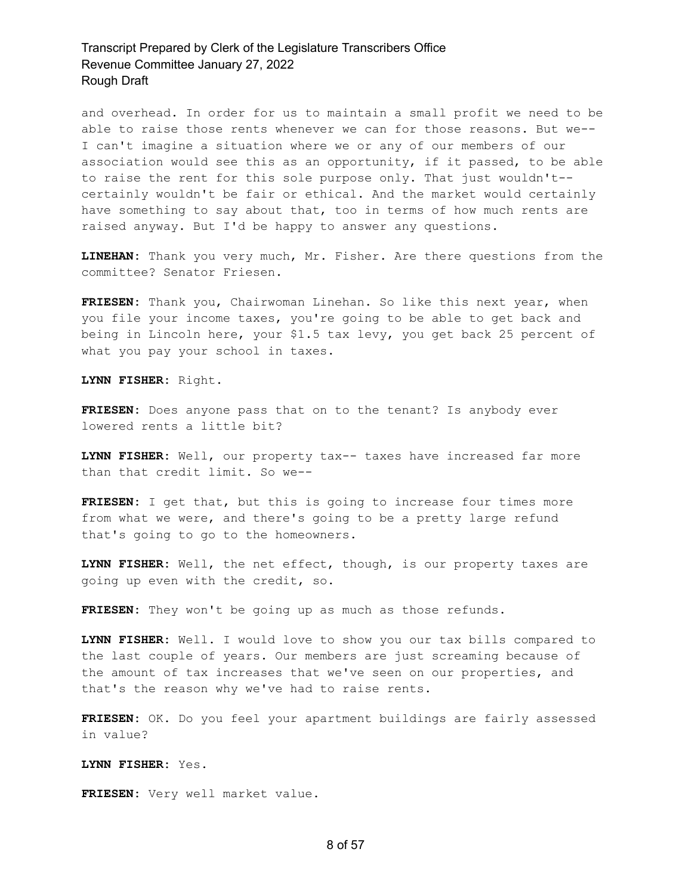and overhead. In order for us to maintain a small profit we need to be able to raise those rents whenever we can for those reasons. But we-- I can't imagine a situation where we or any of our members of our association would see this as an opportunity, if it passed, to be able to raise the rent for this sole purpose only. That just wouldn't- certainly wouldn't be fair or ethical. And the market would certainly have something to say about that, too in terms of how much rents are raised anyway. But I'd be happy to answer any questions.

**LINEHAN:** Thank you very much, Mr. Fisher. Are there questions from the committee? Senator Friesen.

**FRIESEN:** Thank you, Chairwoman Linehan. So like this next year, when you file your income taxes, you're going to be able to get back and being in Lincoln here, your \$1.5 tax levy, you get back 25 percent of what you pay your school in taxes.

**LYNN FISHER:** Right.

**FRIESEN:** Does anyone pass that on to the tenant? Is anybody ever lowered rents a little bit?

**LYNN FISHER:** Well, our property tax-- taxes have increased far more than that credit limit. So we--

**FRIESEN:** I get that, but this is going to increase four times more from what we were, and there's going to be a pretty large refund that's going to go to the homeowners.

**LYNN FISHER:** Well, the net effect, though, is our property taxes are going up even with the credit, so.

**FRIESEN:** They won't be going up as much as those refunds.

**LYNN FISHER:** Well. I would love to show you our tax bills compared to the last couple of years. Our members are just screaming because of the amount of tax increases that we've seen on our properties, and that's the reason why we've had to raise rents.

**FRIESEN:** OK. Do you feel your apartment buildings are fairly assessed in value?

**LYNN FISHER:** Yes.

**FRIESEN:** Very well market value.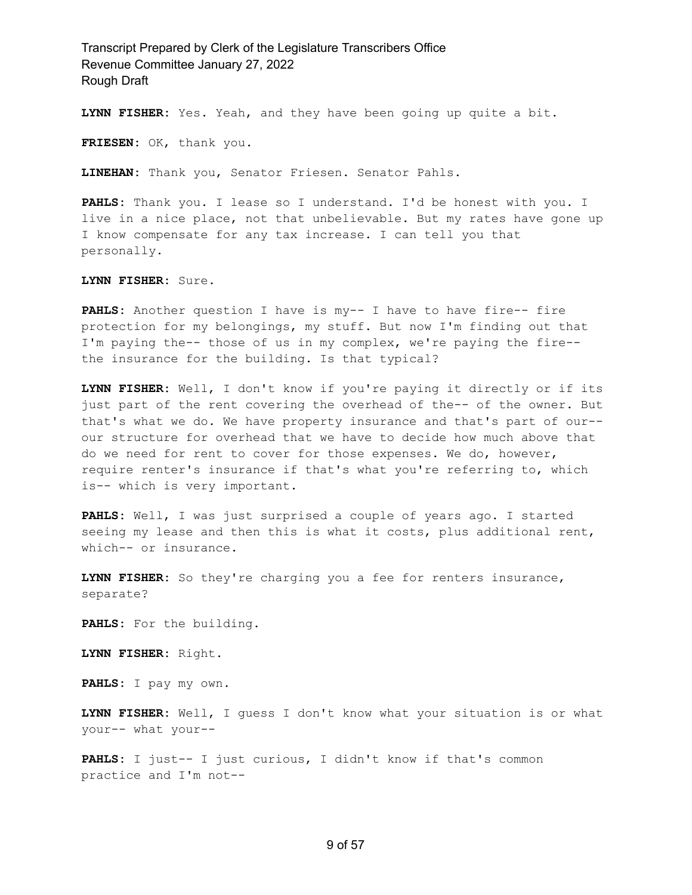**LYNN FISHER:** Yes. Yeah, and they have been going up quite a bit.

**FRIESEN:** OK, thank you.

**LINEHAN:** Thank you, Senator Friesen. Senator Pahls.

**PAHLS:** Thank you. I lease so I understand. I'd be honest with you. I live in a nice place, not that unbelievable. But my rates have gone up I know compensate for any tax increase. I can tell you that personally.

**LYNN FISHER:** Sure.

**PAHLS:** Another question I have is my-- I have to have fire-- fire protection for my belongings, my stuff. But now I'm finding out that I'm paying the-- those of us in my complex, we're paying the fire- the insurance for the building. Is that typical?

**LYNN FISHER:** Well, I don't know if you're paying it directly or if its just part of the rent covering the overhead of the-- of the owner. But that's what we do. We have property insurance and that's part of our- our structure for overhead that we have to decide how much above that do we need for rent to cover for those expenses. We do, however, require renter's insurance if that's what you're referring to, which is-- which is very important.

**PAHLS:** Well, I was just surprised a couple of years ago. I started seeing my lease and then this is what it costs, plus additional rent, which-- or insurance.

**LYNN FISHER:** So they're charging you a fee for renters insurance, separate?

**PAHLS:** For the building.

**LYNN FISHER:** Right.

**PAHLS:** I pay my own.

**LYNN FISHER:** Well, I guess I don't know what your situation is or what your-- what your--

**PAHLS:** I just-- I just curious, I didn't know if that's common practice and I'm not--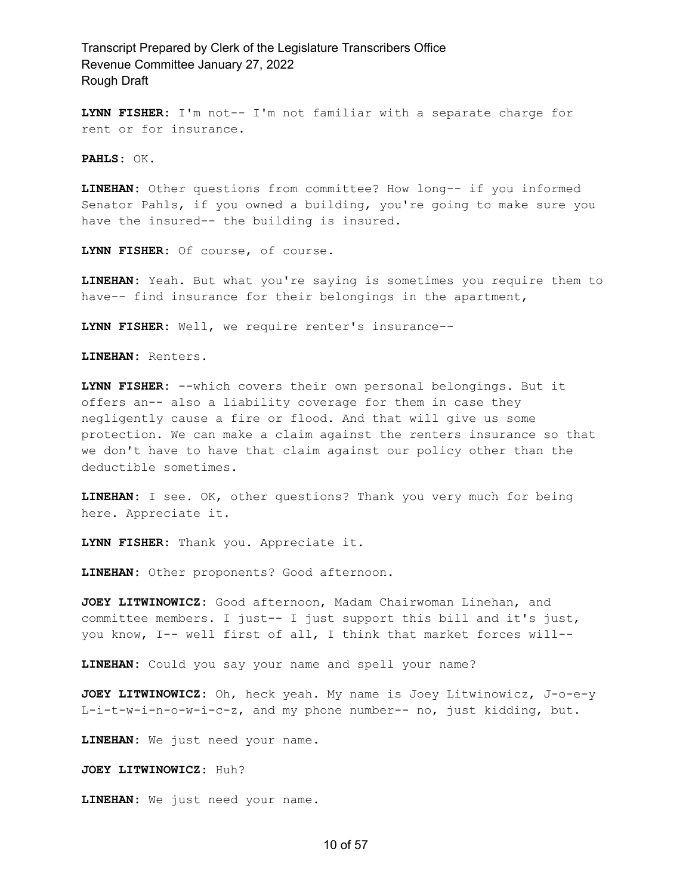**LYNN FISHER:** I'm not-- I'm not familiar with a separate charge for rent or for insurance.

**PAHLS:** OK.

**LINEHAN:** Other questions from committee? How long-- if you informed Senator Pahls, if you owned a building, you're going to make sure you have the insured-- the building is insured.

**LYNN FISHER:** Of course, of course.

**LINEHAN:** Yeah. But what you're saying is sometimes you require them to have-- find insurance for their belongings in the apartment,

**LYNN FISHER:** Well, we require renter's insurance--

**LINEHAN:** Renters.

**LYNN FISHER:** --which covers their own personal belongings. But it offers an-- also a liability coverage for them in case they negligently cause a fire or flood. And that will give us some protection. We can make a claim against the renters insurance so that we don't have to have that claim against our policy other than the deductible sometimes.

**LINEHAN:** I see. OK, other questions? Thank you very much for being here. Appreciate it.

**LYNN FISHER:** Thank you. Appreciate it.

**LINEHAN:** Other proponents? Good afternoon.

**JOEY LITWINOWICZ:** Good afternoon, Madam Chairwoman Linehan, and committee members. I just-- I just support this bill and it's just, you know, I-- well first of all, I think that market forces will--

**LINEHAN:** Could you say your name and spell your name?

**JOEY LITWINOWICZ:** Oh, heck yeah. My name is Joey Litwinowicz, J-o-e-y L-i-t-w-i-n-o-w-i-c-z, and my phone number-- no, just kidding, but.

**LINEHAN:** We just need your name.

**JOEY LITWINOWICZ:** Huh?

**LINEHAN:** We just need your name.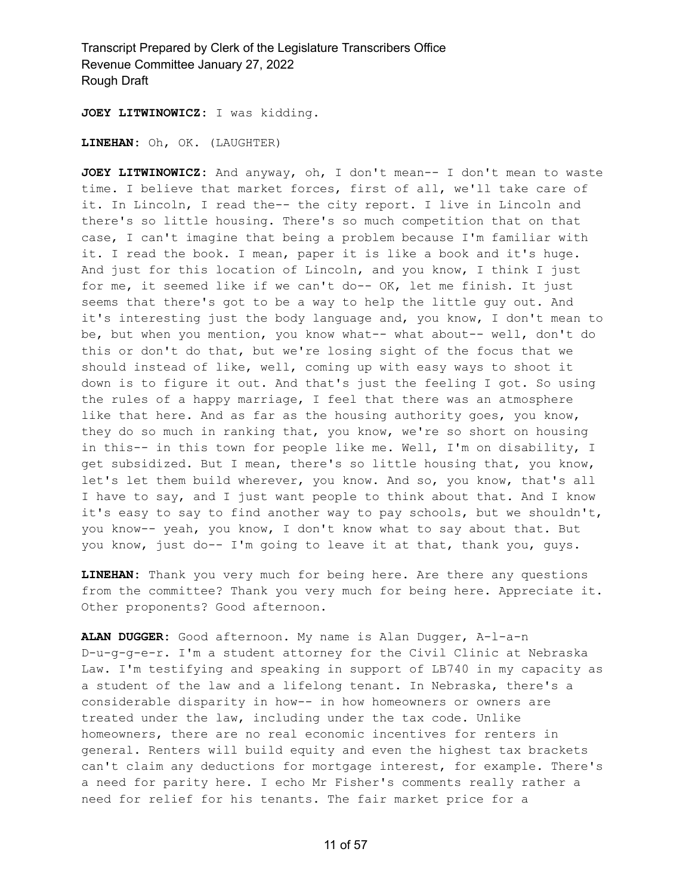**JOEY LITWINOWICZ:** I was kidding.

**LINEHAN:** Oh, OK. (LAUGHTER)

**JOEY LITWINOWICZ:** And anyway, oh, I don't mean-- I don't mean to waste time. I believe that market forces, first of all, we'll take care of it. In Lincoln, I read the-- the city report. I live in Lincoln and there's so little housing. There's so much competition that on that case, I can't imagine that being a problem because I'm familiar with it. I read the book. I mean, paper it is like a book and it's huge. And just for this location of Lincoln, and you know, I think I just for me, it seemed like if we can't do-- OK, let me finish. It just seems that there's got to be a way to help the little guy out. And it's interesting just the body language and, you know, I don't mean to be, but when you mention, you know what-- what about-- well, don't do this or don't do that, but we're losing sight of the focus that we should instead of like, well, coming up with easy ways to shoot it down is to figure it out. And that's just the feeling I got. So using the rules of a happy marriage, I feel that there was an atmosphere like that here. And as far as the housing authority goes, you know, they do so much in ranking that, you know, we're so short on housing in this-- in this town for people like me. Well, I'm on disability, I get subsidized. But I mean, there's so little housing that, you know, let's let them build wherever, you know. And so, you know, that's all I have to say, and I just want people to think about that. And I know it's easy to say to find another way to pay schools, but we shouldn't, you know-- yeah, you know, I don't know what to say about that. But you know, just do-- I'm going to leave it at that, thank you, guys.

**LINEHAN:** Thank you very much for being here. Are there any questions from the committee? Thank you very much for being here. Appreciate it. Other proponents? Good afternoon.

**ALAN DUGGER:** Good afternoon. My name is Alan Dugger, A-l-a-n D-u-g-g-e-r. I'm a student attorney for the Civil Clinic at Nebraska Law. I'm testifying and speaking in support of LB740 in my capacity as a student of the law and a lifelong tenant. In Nebraska, there's a considerable disparity in how-- in how homeowners or owners are treated under the law, including under the tax code. Unlike homeowners, there are no real economic incentives for renters in general. Renters will build equity and even the highest tax brackets can't claim any deductions for mortgage interest, for example. There's a need for parity here. I echo Mr Fisher's comments really rather a need for relief for his tenants. The fair market price for a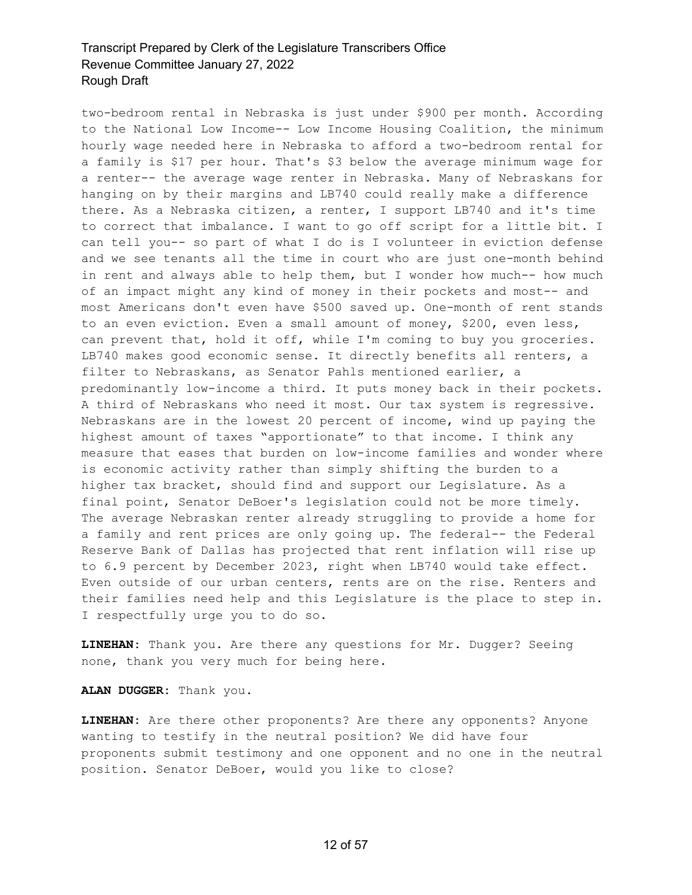two-bedroom rental in Nebraska is just under \$900 per month. According to the National Low Income-- Low Income Housing Coalition, the minimum hourly wage needed here in Nebraska to afford a two-bedroom rental for a family is \$17 per hour. That's \$3 below the average minimum wage for a renter-- the average wage renter in Nebraska. Many of Nebraskans for hanging on by their margins and LB740 could really make a difference there. As a Nebraska citizen, a renter, I support LB740 and it's time to correct that imbalance. I want to go off script for a little bit. I can tell you-- so part of what I do is I volunteer in eviction defense and we see tenants all the time in court who are just one-month behind in rent and always able to help them, but I wonder how much-- how much of an impact might any kind of money in their pockets and most-- and most Americans don't even have \$500 saved up. One-month of rent stands to an even eviction. Even a small amount of money, \$200, even less, can prevent that, hold it off, while I'm coming to buy you groceries. LB740 makes good economic sense. It directly benefits all renters, a filter to Nebraskans, as Senator Pahls mentioned earlier, a predominantly low-income a third. It puts money back in their pockets. A third of Nebraskans who need it most. Our tax system is regressive. Nebraskans are in the lowest 20 percent of income, wind up paying the highest amount of taxes "apportionate" to that income. I think any measure that eases that burden on low-income families and wonder where is economic activity rather than simply shifting the burden to a higher tax bracket, should find and support our Legislature. As a final point, Senator DeBoer's legislation could not be more timely. The average Nebraskan renter already struggling to provide a home for a family and rent prices are only going up. The federal-- the Federal Reserve Bank of Dallas has projected that rent inflation will rise up to 6.9 percent by December 2023, right when LB740 would take effect. Even outside of our urban centers, rents are on the rise. Renters and their families need help and this Legislature is the place to step in. I respectfully urge you to do so.

**LINEHAN:** Thank you. Are there any questions for Mr. Dugger? Seeing none, thank you very much for being here.

**ALAN DUGGER:** Thank you.

**LINEHAN:** Are there other proponents? Are there any opponents? Anyone wanting to testify in the neutral position? We did have four proponents submit testimony and one opponent and no one in the neutral position. Senator DeBoer, would you like to close?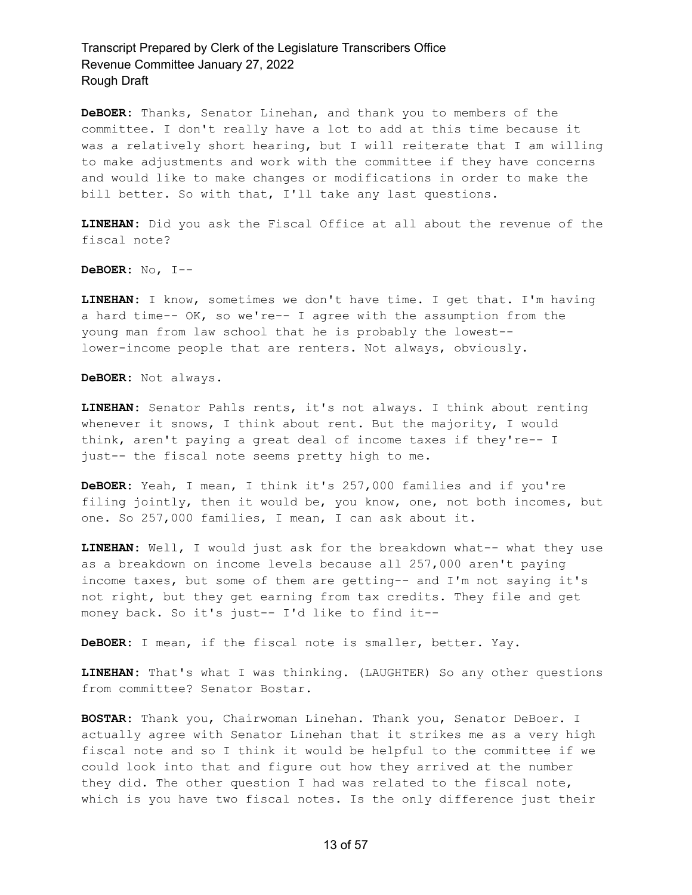**DeBOER:** Thanks, Senator Linehan, and thank you to members of the committee. I don't really have a lot to add at this time because it was a relatively short hearing, but I will reiterate that I am willing to make adjustments and work with the committee if they have concerns and would like to make changes or modifications in order to make the bill better. So with that, I'll take any last questions.

**LINEHAN:** Did you ask the Fiscal Office at all about the revenue of the fiscal note?

**DeBOER:** No, I--

**LINEHAN:** I know, sometimes we don't have time. I get that. I'm having a hard time-- OK, so we're-- I agree with the assumption from the young man from law school that he is probably the lowest- lower-income people that are renters. Not always, obviously.

**DeBOER:** Not always.

**LINEHAN:** Senator Pahls rents, it's not always. I think about renting whenever it snows, I think about rent. But the majority, I would think, aren't paying a great deal of income taxes if they're-- I just-- the fiscal note seems pretty high to me.

**DeBOER:** Yeah, I mean, I think it's 257,000 families and if you're filing jointly, then it would be, you know, one, not both incomes, but one. So 257,000 families, I mean, I can ask about it.

**LINEHAN:** Well, I would just ask for the breakdown what-- what they use as a breakdown on income levels because all 257,000 aren't paying income taxes, but some of them are getting-- and I'm not saying it's not right, but they get earning from tax credits. They file and get money back. So it's just-- I'd like to find it--

**DeBOER:** I mean, if the fiscal note is smaller, better. Yay.

**LINEHAN:** That's what I was thinking. (LAUGHTER) So any other questions from committee? Senator Bostar.

**BOSTAR:** Thank you, Chairwoman Linehan. Thank you, Senator DeBoer. I actually agree with Senator Linehan that it strikes me as a very high fiscal note and so I think it would be helpful to the committee if we could look into that and figure out how they arrived at the number they did. The other question I had was related to the fiscal note, which is you have two fiscal notes. Is the only difference just their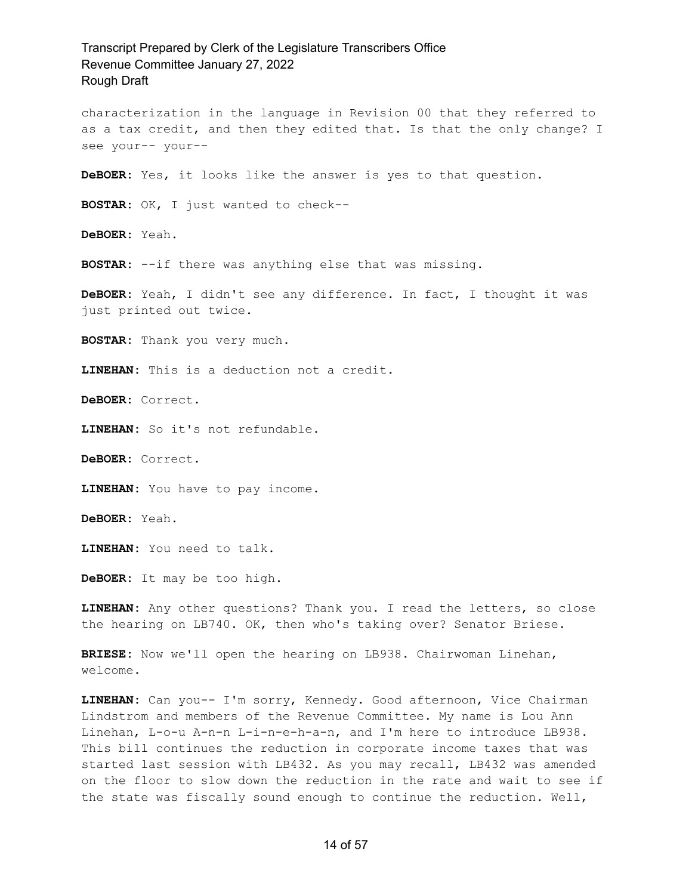characterization in the language in Revision 00 that they referred to as a tax credit, and then they edited that. Is that the only change? I see your-- your-- **DeBOER:** Yes, it looks like the answer is yes to that question. **BOSTAR:** OK, I just wanted to check-- **DeBOER:** Yeah. **BOSTAR:** --if there was anything else that was missing. **DeBOER:** Yeah, I didn't see any difference. In fact, I thought it was just printed out twice. **BOSTAR:** Thank you very much. **LINEHAN:** This is a deduction not a credit. **DeBOER:** Correct. **LINEHAN:** So it's not refundable. **DeBOER:** Correct. **LINEHAN:** You have to pay income. **DeBOER:** Yeah. **LINEHAN:** You need to talk. **DeBOER:** It may be too high. **LINEHAN:** Any other questions? Thank you. I read the letters, so close the hearing on LB740. OK, then who's taking over? Senator Briese.

**BRIESE:** Now we'll open the hearing on LB938. Chairwoman Linehan, welcome.

**LINEHAN:** Can you-- I'm sorry, Kennedy. Good afternoon, Vice Chairman Lindstrom and members of the Revenue Committee. My name is Lou Ann Linehan, L-o-u A-n-n L-i-n-e-h-a-n, and I'm here to introduce LB938. This bill continues the reduction in corporate income taxes that was started last session with LB432. As you may recall, LB432 was amended on the floor to slow down the reduction in the rate and wait to see if the state was fiscally sound enough to continue the reduction. Well,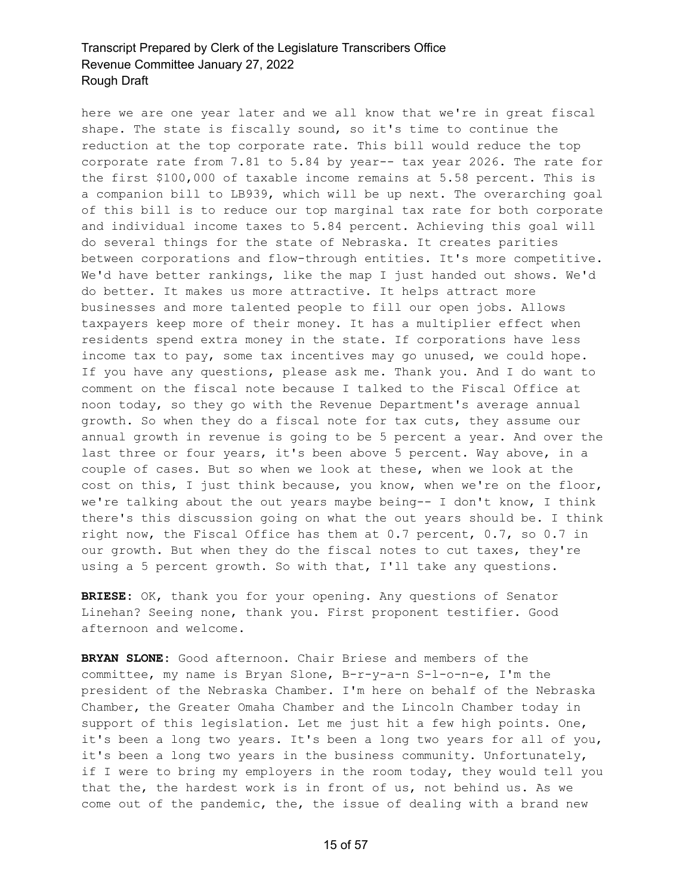here we are one year later and we all know that we're in great fiscal shape. The state is fiscally sound, so it's time to continue the reduction at the top corporate rate. This bill would reduce the top corporate rate from 7.81 to 5.84 by year-- tax year 2026. The rate for the first \$100,000 of taxable income remains at 5.58 percent. This is a companion bill to LB939, which will be up next. The overarching goal of this bill is to reduce our top marginal tax rate for both corporate and individual income taxes to 5.84 percent. Achieving this goal will do several things for the state of Nebraska. It creates parities between corporations and flow-through entities. It's more competitive. We'd have better rankings, like the map I just handed out shows. We'd do better. It makes us more attractive. It helps attract more businesses and more talented people to fill our open jobs. Allows taxpayers keep more of their money. It has a multiplier effect when residents spend extra money in the state. If corporations have less income tax to pay, some tax incentives may go unused, we could hope. If you have any questions, please ask me. Thank you. And I do want to comment on the fiscal note because I talked to the Fiscal Office at noon today, so they go with the Revenue Department's average annual growth. So when they do a fiscal note for tax cuts, they assume our annual growth in revenue is going to be 5 percent a year. And over the last three or four years, it's been above 5 percent. Way above, in a couple of cases. But so when we look at these, when we look at the cost on this, I just think because, you know, when we're on the floor, we're talking about the out years maybe being-- I don't know, I think there's this discussion going on what the out years should be. I think right now, the Fiscal Office has them at 0.7 percent, 0.7, so 0.7 in our growth. But when they do the fiscal notes to cut taxes, they're using a 5 percent growth. So with that, I'll take any questions.

**BRIESE:** OK, thank you for your opening. Any questions of Senator Linehan? Seeing none, thank you. First proponent testifier. Good afternoon and welcome.

**BRYAN SLONE:** Good afternoon. Chair Briese and members of the committee, my name is Bryan Slone, B-r-y-a-n S-l-o-n-e, I'm the president of the Nebraska Chamber. I'm here on behalf of the Nebraska Chamber, the Greater Omaha Chamber and the Lincoln Chamber today in support of this legislation. Let me just hit a few high points. One, it's been a long two years. It's been a long two years for all of you, it's been a long two years in the business community. Unfortunately, if I were to bring my employers in the room today, they would tell you that the, the hardest work is in front of us, not behind us. As we come out of the pandemic, the, the issue of dealing with a brand new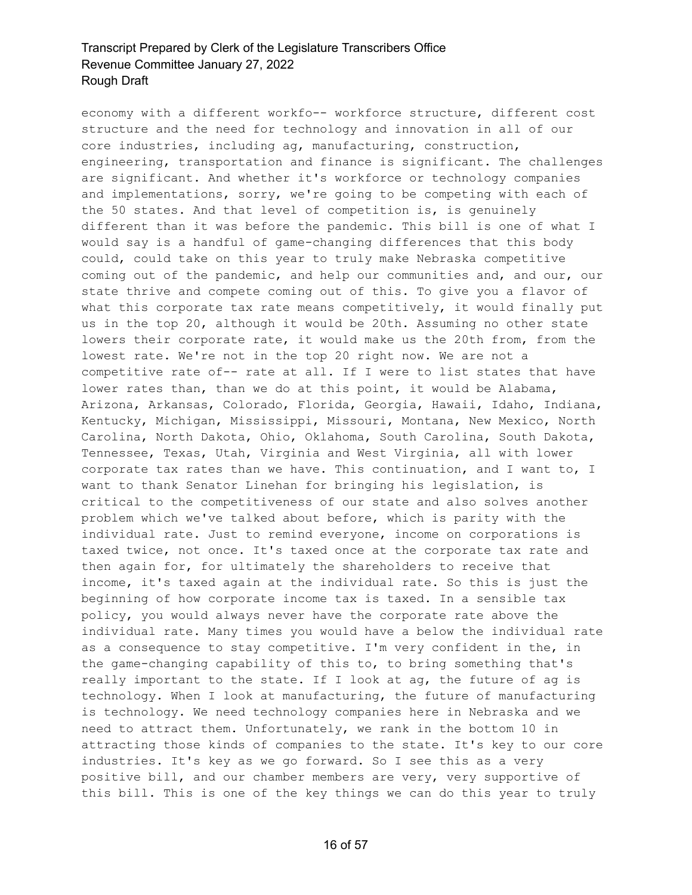economy with a different workfo-- workforce structure, different cost structure and the need for technology and innovation in all of our core industries, including ag, manufacturing, construction, engineering, transportation and finance is significant. The challenges are significant. And whether it's workforce or technology companies and implementations, sorry, we're going to be competing with each of the 50 states. And that level of competition is, is genuinely different than it was before the pandemic. This bill is one of what I would say is a handful of game-changing differences that this body could, could take on this year to truly make Nebraska competitive coming out of the pandemic, and help our communities and, and our, our state thrive and compete coming out of this. To give you a flavor of what this corporate tax rate means competitively, it would finally put us in the top 20, although it would be 20th. Assuming no other state lowers their corporate rate, it would make us the 20th from, from the lowest rate. We're not in the top 20 right now. We are not a competitive rate of-- rate at all. If I were to list states that have lower rates than, than we do at this point, it would be Alabama, Arizona, Arkansas, Colorado, Florida, Georgia, Hawaii, Idaho, Indiana, Kentucky, Michigan, Mississippi, Missouri, Montana, New Mexico, North Carolina, North Dakota, Ohio, Oklahoma, South Carolina, South Dakota, Tennessee, Texas, Utah, Virginia and West Virginia, all with lower corporate tax rates than we have. This continuation, and I want to, I want to thank Senator Linehan for bringing his legislation, is critical to the competitiveness of our state and also solves another problem which we've talked about before, which is parity with the individual rate. Just to remind everyone, income on corporations is taxed twice, not once. It's taxed once at the corporate tax rate and then again for, for ultimately the shareholders to receive that income, it's taxed again at the individual rate. So this is just the beginning of how corporate income tax is taxed. In a sensible tax policy, you would always never have the corporate rate above the individual rate. Many times you would have a below the individual rate as a consequence to stay competitive. I'm very confident in the, in the game-changing capability of this to, to bring something that's really important to the state. If I look at ag, the future of ag is technology. When I look at manufacturing, the future of manufacturing is technology. We need technology companies here in Nebraska and we need to attract them. Unfortunately, we rank in the bottom 10 in attracting those kinds of companies to the state. It's key to our core industries. It's key as we go forward. So I see this as a very positive bill, and our chamber members are very, very supportive of this bill. This is one of the key things we can do this year to truly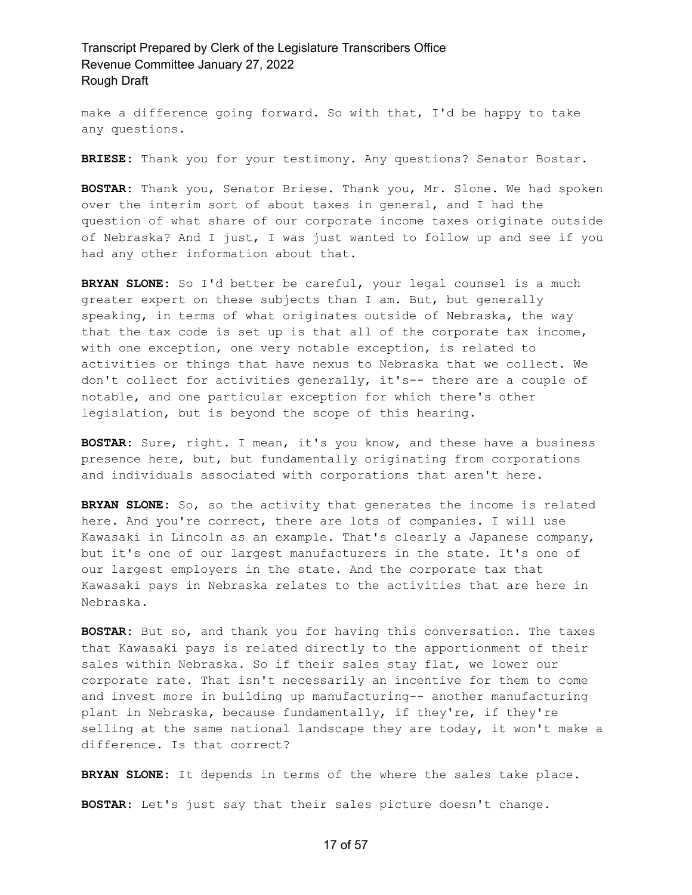make a difference going forward. So with that, I'd be happy to take any questions.

**BRIESE:** Thank you for your testimony. Any questions? Senator Bostar.

**BOSTAR:** Thank you, Senator Briese. Thank you, Mr. Slone. We had spoken over the interim sort of about taxes in general, and I had the question of what share of our corporate income taxes originate outside of Nebraska? And I just, I was just wanted to follow up and see if you had any other information about that.

**BRYAN SLONE:** So I'd better be careful, your legal counsel is a much greater expert on these subjects than I am. But, but generally speaking, in terms of what originates outside of Nebraska, the way that the tax code is set up is that all of the corporate tax income, with one exception, one very notable exception, is related to activities or things that have nexus to Nebraska that we collect. We don't collect for activities generally, it's-- there are a couple of notable, and one particular exception for which there's other legislation, but is beyond the scope of this hearing.

**BOSTAR:** Sure, right. I mean, it's you know, and these have a business presence here, but, but fundamentally originating from corporations and individuals associated with corporations that aren't here.

**BRYAN SLONE:** So, so the activity that generates the income is related here. And you're correct, there are lots of companies. I will use Kawasaki in Lincoln as an example. That's clearly a Japanese company, but it's one of our largest manufacturers in the state. It's one of our largest employers in the state. And the corporate tax that Kawasaki pays in Nebraska relates to the activities that are here in Nebraska.

**BOSTAR:** But so, and thank you for having this conversation. The taxes that Kawasaki pays is related directly to the apportionment of their sales within Nebraska. So if their sales stay flat, we lower our corporate rate. That isn't necessarily an incentive for them to come and invest more in building up manufacturing-- another manufacturing plant in Nebraska, because fundamentally, if they're, if they're selling at the same national landscape they are today, it won't make a difference. Is that correct?

**BRYAN SLONE:** It depends in terms of the where the sales take place. **BOSTAR:** Let's just say that their sales picture doesn't change.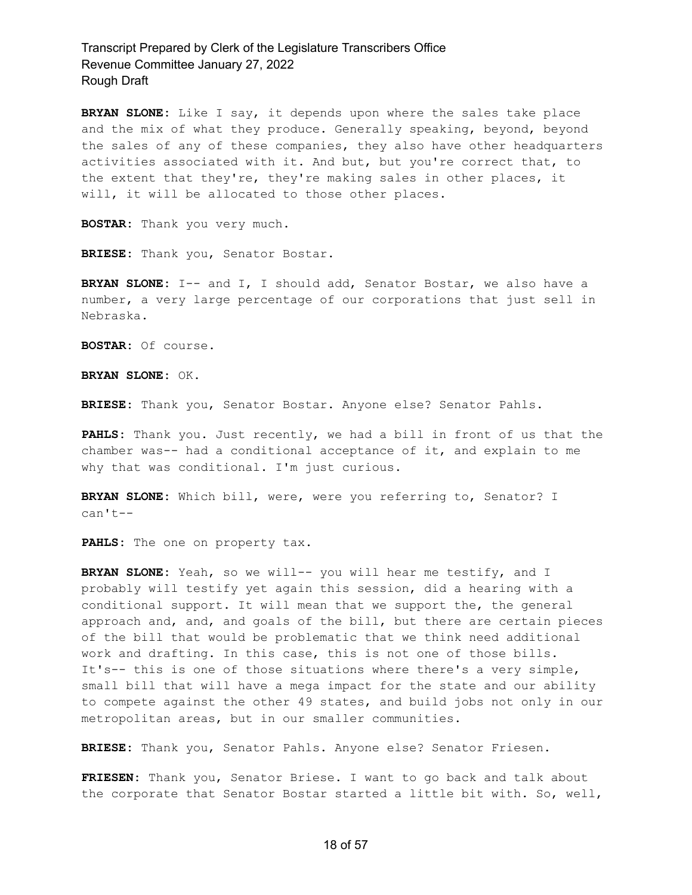**BRYAN SLONE:** Like I say, it depends upon where the sales take place and the mix of what they produce. Generally speaking, beyond, beyond the sales of any of these companies, they also have other headquarters activities associated with it. And but, but you're correct that, to the extent that they're, they're making sales in other places, it will, it will be allocated to those other places.

**BOSTAR:** Thank you very much.

**BRIESE:** Thank you, Senator Bostar.

**BRYAN SLONE:** I-- and I, I should add, Senator Bostar, we also have a number, a very large percentage of our corporations that just sell in Nebraska.

**BOSTAR:** Of course.

**BRYAN SLONE:** OK.

**BRIESE:** Thank you, Senator Bostar. Anyone else? Senator Pahls.

**PAHLS:** Thank you. Just recently, we had a bill in front of us that the chamber was-- had a conditional acceptance of it, and explain to me why that was conditional. I'm just curious.

**BRYAN SLONE:** Which bill, were, were you referring to, Senator? I can't--

**PAHLS:** The one on property tax.

**BRYAN SLONE:** Yeah, so we will-- you will hear me testify, and I probably will testify yet again this session, did a hearing with a conditional support. It will mean that we support the, the general approach and, and, and goals of the bill, but there are certain pieces of the bill that would be problematic that we think need additional work and drafting. In this case, this is not one of those bills. It's-- this is one of those situations where there's a very simple, small bill that will have a mega impact for the state and our ability to compete against the other 49 states, and build jobs not only in our metropolitan areas, but in our smaller communities.

**BRIESE:** Thank you, Senator Pahls. Anyone else? Senator Friesen.

**FRIESEN:** Thank you, Senator Briese. I want to go back and talk about the corporate that Senator Bostar started a little bit with. So, well,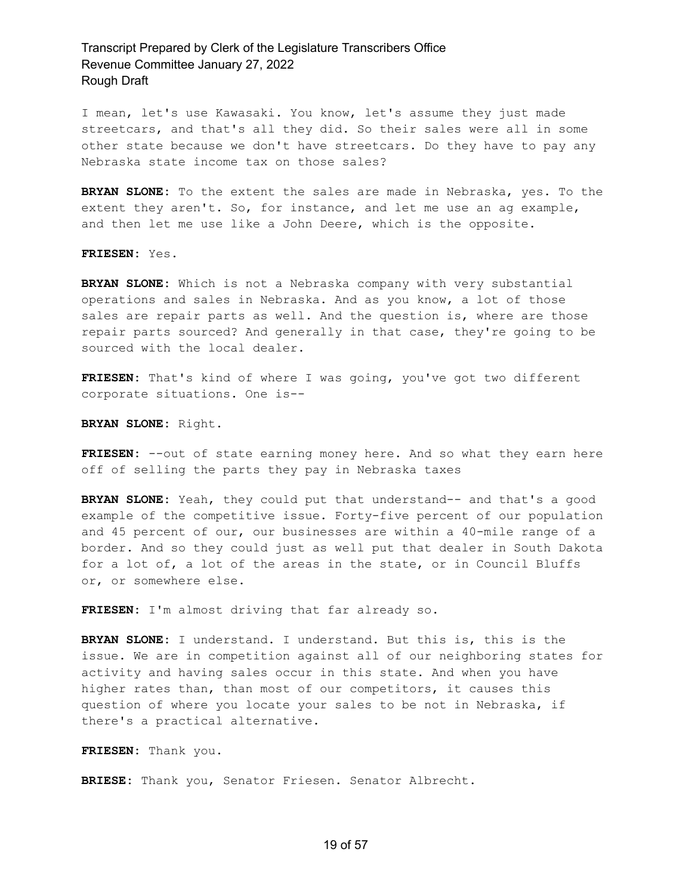I mean, let's use Kawasaki. You know, let's assume they just made streetcars, and that's all they did. So their sales were all in some other state because we don't have streetcars. Do they have to pay any Nebraska state income tax on those sales?

**BRYAN SLONE:** To the extent the sales are made in Nebraska, yes. To the extent they aren't. So, for instance, and let me use an ag example, and then let me use like a John Deere, which is the opposite.

**FRIESEN:** Yes.

**BRYAN SLONE:** Which is not a Nebraska company with very substantial operations and sales in Nebraska. And as you know, a lot of those sales are repair parts as well. And the question is, where are those repair parts sourced? And generally in that case, they're going to be sourced with the local dealer.

**FRIESEN:** That's kind of where I was going, you've got two different corporate situations. One is--

**BRYAN SLONE:** Right.

**FRIESEN:** --out of state earning money here. And so what they earn here off of selling the parts they pay in Nebraska taxes

**BRYAN SLONE:** Yeah, they could put that understand-- and that's a good example of the competitive issue. Forty-five percent of our population and 45 percent of our, our businesses are within a 40-mile range of a border. And so they could just as well put that dealer in South Dakota for a lot of, a lot of the areas in the state, or in Council Bluffs or, or somewhere else.

**FRIESEN:** I'm almost driving that far already so.

**BRYAN SLONE:** I understand. I understand. But this is, this is the issue. We are in competition against all of our neighboring states for activity and having sales occur in this state. And when you have higher rates than, than most of our competitors, it causes this question of where you locate your sales to be not in Nebraska, if there's a practical alternative.

**FRIESEN:** Thank you.

**BRIESE:** Thank you, Senator Friesen. Senator Albrecht.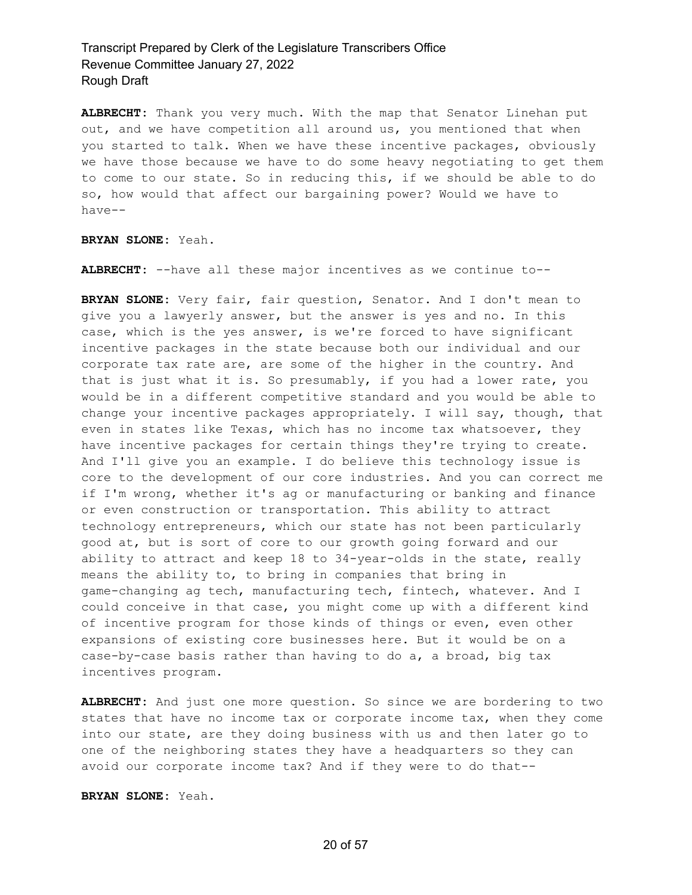**ALBRECHT:** Thank you very much. With the map that Senator Linehan put out, and we have competition all around us, you mentioned that when you started to talk. When we have these incentive packages, obviously we have those because we have to do some heavy negotiating to get them to come to our state. So in reducing this, if we should be able to do so, how would that affect our bargaining power? Would we have to have--

**BRYAN SLONE:** Yeah.

**ALBRECHT:** --have all these major incentives as we continue to--

**BRYAN SLONE:** Very fair, fair question, Senator. And I don't mean to give you a lawyerly answer, but the answer is yes and no. In this case, which is the yes answer, is we're forced to have significant incentive packages in the state because both our individual and our corporate tax rate are, are some of the higher in the country. And that is just what it is. So presumably, if you had a lower rate, you would be in a different competitive standard and you would be able to change your incentive packages appropriately. I will say, though, that even in states like Texas, which has no income tax whatsoever, they have incentive packages for certain things they're trying to create. And I'll give you an example. I do believe this technology issue is core to the development of our core industries. And you can correct me if I'm wrong, whether it's ag or manufacturing or banking and finance or even construction or transportation. This ability to attract technology entrepreneurs, which our state has not been particularly good at, but is sort of core to our growth going forward and our ability to attract and keep 18 to 34-year-olds in the state, really means the ability to, to bring in companies that bring in game-changing ag tech, manufacturing tech, fintech, whatever. And I could conceive in that case, you might come up with a different kind of incentive program for those kinds of things or even, even other expansions of existing core businesses here. But it would be on a case-by-case basis rather than having to do a, a broad, big tax incentives program.

**ALBRECHT:** And just one more question. So since we are bordering to two states that have no income tax or corporate income tax, when they come into our state, are they doing business with us and then later go to one of the neighboring states they have a headquarters so they can avoid our corporate income tax? And if they were to do that--

**BRYAN SLONE:** Yeah.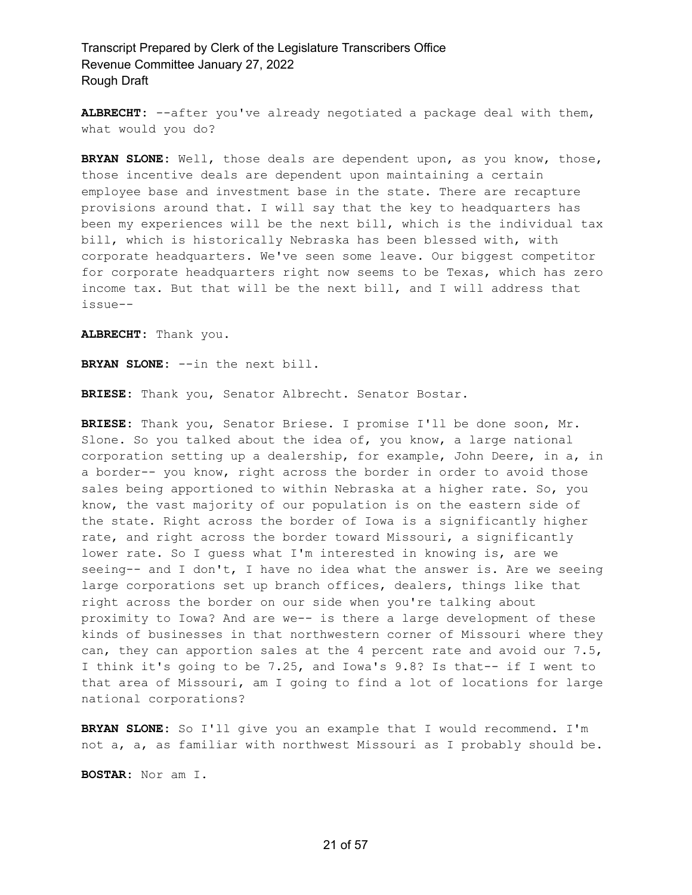**ALBRECHT:** --after you've already negotiated a package deal with them, what would you do?

**BRYAN SLONE:** Well, those deals are dependent upon, as you know, those, those incentive deals are dependent upon maintaining a certain employee base and investment base in the state. There are recapture provisions around that. I will say that the key to headquarters has been my experiences will be the next bill, which is the individual tax bill, which is historically Nebraska has been blessed with, with corporate headquarters. We've seen some leave. Our biggest competitor for corporate headquarters right now seems to be Texas, which has zero income tax. But that will be the next bill, and I will address that issue--

**ALBRECHT:** Thank you.

**BRYAN SLONE:** --in the next bill.

**BRIESE:** Thank you, Senator Albrecht. Senator Bostar.

**BRIESE:** Thank you, Senator Briese. I promise I'll be done soon, Mr. Slone. So you talked about the idea of, you know, a large national corporation setting up a dealership, for example, John Deere, in a, in a border-- you know, right across the border in order to avoid those sales being apportioned to within Nebraska at a higher rate. So, you know, the vast majority of our population is on the eastern side of the state. Right across the border of Iowa is a significantly higher rate, and right across the border toward Missouri, a significantly lower rate. So I guess what I'm interested in knowing is, are we seeing-- and I don't, I have no idea what the answer is. Are we seeing large corporations set up branch offices, dealers, things like that right across the border on our side when you're talking about proximity to Iowa? And are we-- is there a large development of these kinds of businesses in that northwestern corner of Missouri where they can, they can apportion sales at the 4 percent rate and avoid our 7.5, I think it's going to be 7.25, and Iowa's 9.8? Is that-- if I went to that area of Missouri, am I going to find a lot of locations for large national corporations?

**BRYAN SLONE:** So I'll give you an example that I would recommend. I'm not a, a, as familiar with northwest Missouri as I probably should be.

**BOSTAR:** Nor am I.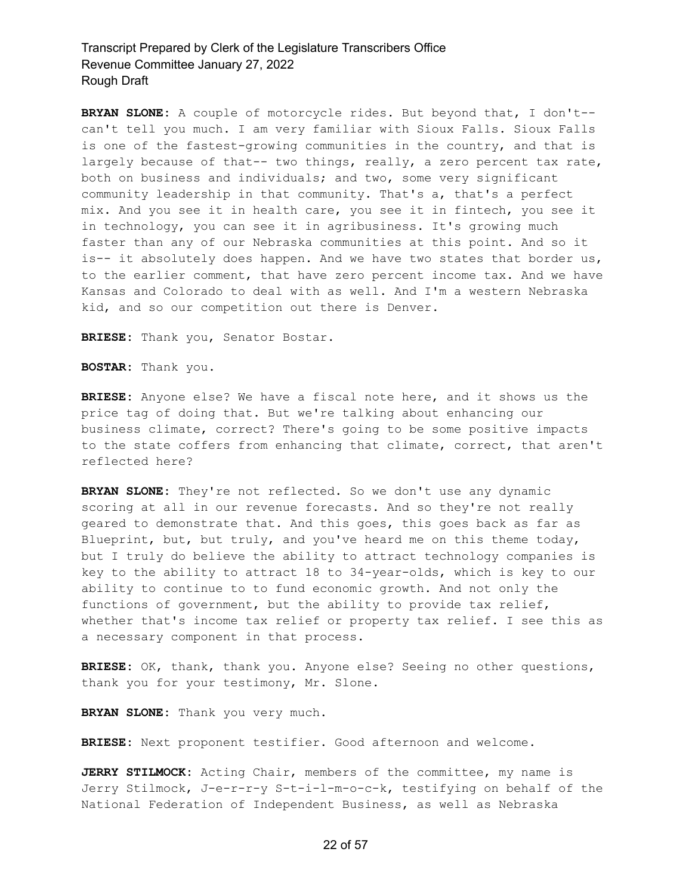**BRYAN SLONE:** A couple of motorcycle rides. But beyond that, I don't- can't tell you much. I am very familiar with Sioux Falls. Sioux Falls is one of the fastest-growing communities in the country, and that is largely because of that-- two things, really, a zero percent tax rate, both on business and individuals; and two, some very significant community leadership in that community. That's a, that's a perfect mix. And you see it in health care, you see it in fintech, you see it in technology, you can see it in agribusiness. It's growing much faster than any of our Nebraska communities at this point. And so it is-- it absolutely does happen. And we have two states that border us, to the earlier comment, that have zero percent income tax. And we have Kansas and Colorado to deal with as well. And I'm a western Nebraska kid, and so our competition out there is Denver.

**BRIESE:** Thank you, Senator Bostar.

**BOSTAR:** Thank you.

**BRIESE:** Anyone else? We have a fiscal note here, and it shows us the price tag of doing that. But we're talking about enhancing our business climate, correct? There's going to be some positive impacts to the state coffers from enhancing that climate, correct, that aren't reflected here?

**BRYAN SLONE:** They're not reflected. So we don't use any dynamic scoring at all in our revenue forecasts. And so they're not really geared to demonstrate that. And this goes, this goes back as far as Blueprint, but, but truly, and you've heard me on this theme today, but I truly do believe the ability to attract technology companies is key to the ability to attract 18 to 34-year-olds, which is key to our ability to continue to to fund economic growth. And not only the functions of government, but the ability to provide tax relief, whether that's income tax relief or property tax relief. I see this as a necessary component in that process.

**BRIESE:** OK, thank, thank you. Anyone else? Seeing no other questions, thank you for your testimony, Mr. Slone.

**BRYAN SLONE:** Thank you very much.

**BRIESE:** Next proponent testifier. Good afternoon and welcome.

**JERRY STILMOCK:** Acting Chair, members of the committee, my name is Jerry Stilmock, J-e-r-r-y S-t-i-l-m-o-c-k, testifying on behalf of the National Federation of Independent Business, as well as Nebraska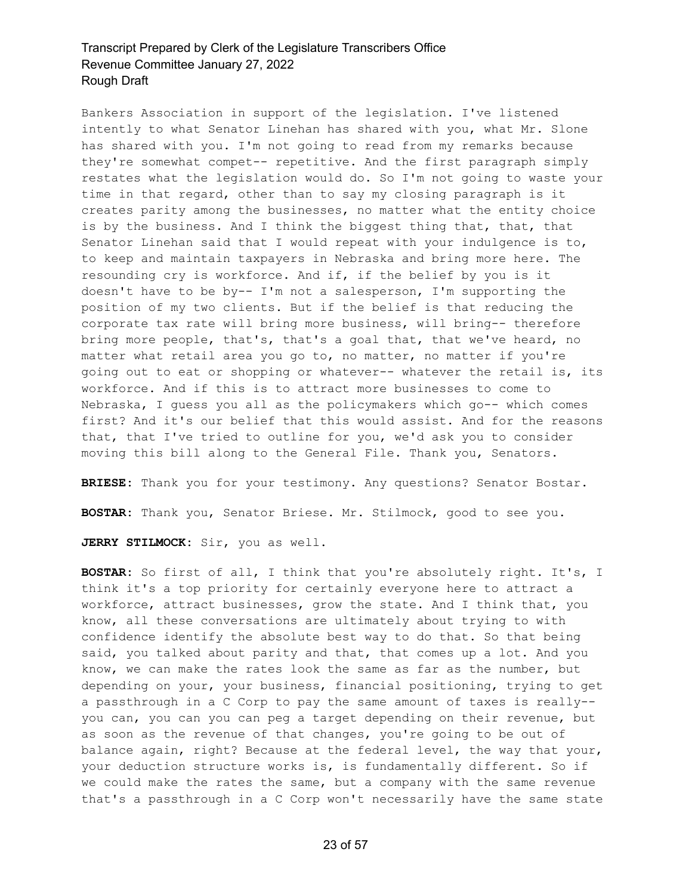Bankers Association in support of the legislation. I've listened intently to what Senator Linehan has shared with you, what Mr. Slone has shared with you. I'm not going to read from my remarks because they're somewhat compet-- repetitive. And the first paragraph simply restates what the legislation would do. So I'm not going to waste your time in that regard, other than to say my closing paragraph is it creates parity among the businesses, no matter what the entity choice is by the business. And I think the biggest thing that, that, that Senator Linehan said that I would repeat with your indulgence is to, to keep and maintain taxpayers in Nebraska and bring more here. The resounding cry is workforce. And if, if the belief by you is it doesn't have to be by-- I'm not a salesperson, I'm supporting the position of my two clients. But if the belief is that reducing the corporate tax rate will bring more business, will bring-- therefore bring more people, that's, that's a goal that, that we've heard, no matter what retail area you go to, no matter, no matter if you're going out to eat or shopping or whatever-- whatever the retail is, its workforce. And if this is to attract more businesses to come to Nebraska, I guess you all as the policymakers which go-- which comes first? And it's our belief that this would assist. And for the reasons that, that I've tried to outline for you, we'd ask you to consider moving this bill along to the General File. Thank you, Senators.

**BRIESE:** Thank you for your testimony. Any questions? Senator Bostar. **BOSTAR:** Thank you, Senator Briese. Mr. Stilmock, good to see you.

**JERRY STILMOCK:** Sir, you as well.

**BOSTAR:** So first of all, I think that you're absolutely right. It's, I think it's a top priority for certainly everyone here to attract a workforce, attract businesses, grow the state. And I think that, you know, all these conversations are ultimately about trying to with confidence identify the absolute best way to do that. So that being said, you talked about parity and that, that comes up a lot. And you know, we can make the rates look the same as far as the number, but depending on your, your business, financial positioning, trying to get a passthrough in a C Corp to pay the same amount of taxes is really- you can, you can you can peg a target depending on their revenue, but as soon as the revenue of that changes, you're going to be out of balance again, right? Because at the federal level, the way that your, your deduction structure works is, is fundamentally different. So if we could make the rates the same, but a company with the same revenue that's a passthrough in a C Corp won't necessarily have the same state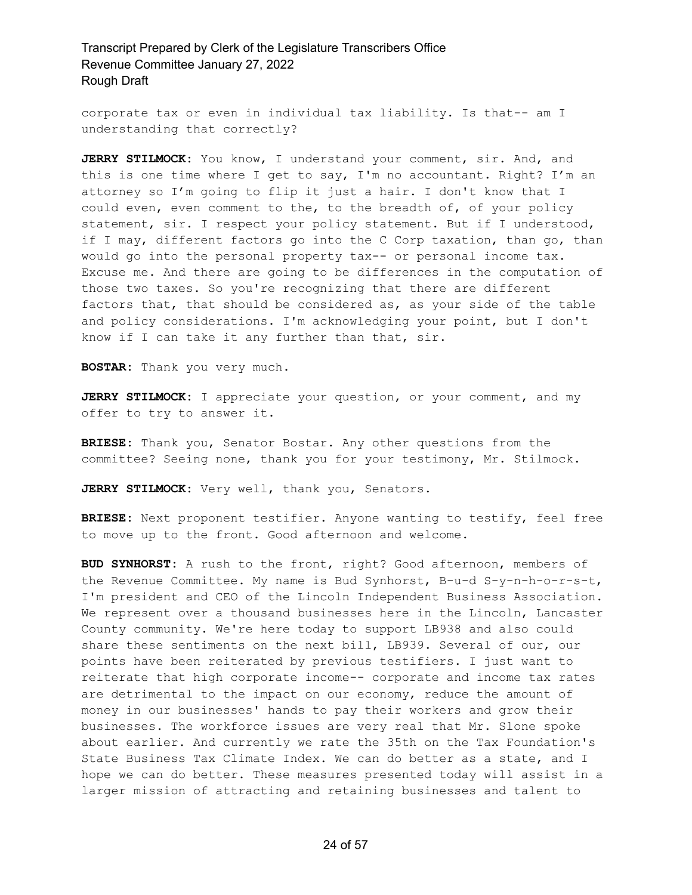corporate tax or even in individual tax liability. Is that-- am I understanding that correctly?

**JERRY STILMOCK:** You know, I understand your comment, sir. And, and this is one time where I get to say, I'm no accountant. Right? I'm an attorney so I'm going to flip it just a hair. I don't know that I could even, even comment to the, to the breadth of, of your policy statement, sir. I respect your policy statement. But if I understood, if I may, different factors go into the C Corp taxation, than go, than would go into the personal property tax-- or personal income tax. Excuse me. And there are going to be differences in the computation of those two taxes. So you're recognizing that there are different factors that, that should be considered as, as your side of the table and policy considerations. I'm acknowledging your point, but I don't know if I can take it any further than that, sir.

**BOSTAR:** Thank you very much.

**JERRY STILMOCK:** I appreciate your question, or your comment, and my offer to try to answer it.

**BRIESE:** Thank you, Senator Bostar. Any other questions from the committee? Seeing none, thank you for your testimony, Mr. Stilmock.

**JERRY STILMOCK:** Very well, thank you, Senators.

**BRIESE:** Next proponent testifier. Anyone wanting to testify, feel free to move up to the front. Good afternoon and welcome.

**BUD SYNHORST:** A rush to the front, right? Good afternoon, members of the Revenue Committee. My name is Bud Synhorst, B-u-d S-y-n-h-o-r-s-t, I'm president and CEO of the Lincoln Independent Business Association. We represent over a thousand businesses here in the Lincoln, Lancaster County community. We're here today to support LB938 and also could share these sentiments on the next bill, LB939. Several of our, our points have been reiterated by previous testifiers. I just want to reiterate that high corporate income-- corporate and income tax rates are detrimental to the impact on our economy, reduce the amount of money in our businesses' hands to pay their workers and grow their businesses. The workforce issues are very real that Mr. Slone spoke about earlier. And currently we rate the 35th on the Tax Foundation's State Business Tax Climate Index. We can do better as a state, and I hope we can do better. These measures presented today will assist in a larger mission of attracting and retaining businesses and talent to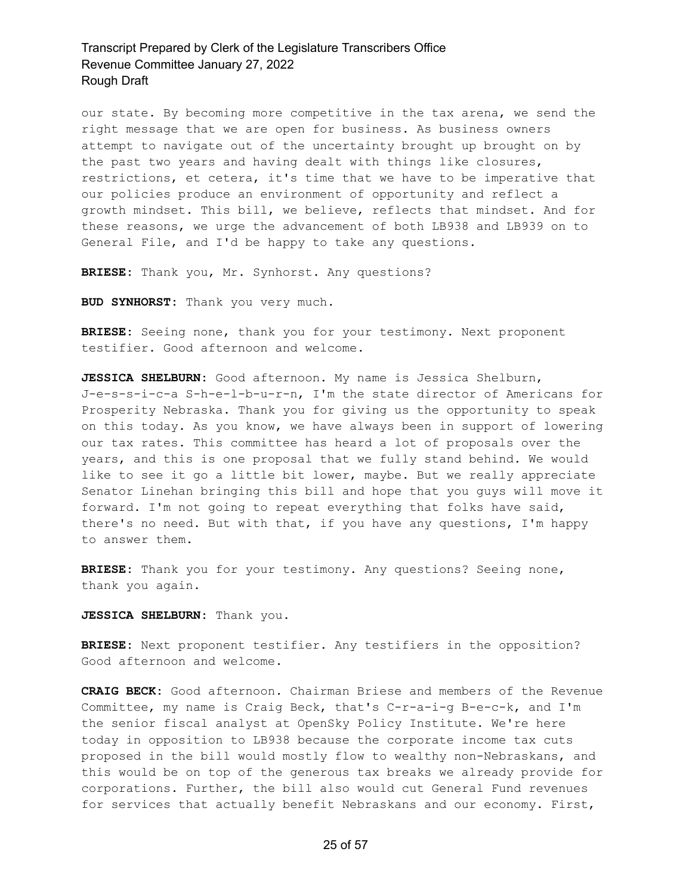our state. By becoming more competitive in the tax arena, we send the right message that we are open for business. As business owners attempt to navigate out of the uncertainty brought up brought on by the past two years and having dealt with things like closures, restrictions, et cetera, it's time that we have to be imperative that our policies produce an environment of opportunity and reflect a growth mindset. This bill, we believe, reflects that mindset. And for these reasons, we urge the advancement of both LB938 and LB939 on to General File, and I'd be happy to take any questions.

**BRIESE:** Thank you, Mr. Synhorst. Any questions?

**BUD SYNHORST:** Thank you very much.

**BRIESE:** Seeing none, thank you for your testimony. Next proponent testifier. Good afternoon and welcome.

**JESSICA SHELBURN:** Good afternoon. My name is Jessica Shelburn, J-e-s-s-i-c-a S-h-e-l-b-u-r-n, I'm the state director of Americans for Prosperity Nebraska. Thank you for giving us the opportunity to speak on this today. As you know, we have always been in support of lowering our tax rates. This committee has heard a lot of proposals over the years, and this is one proposal that we fully stand behind. We would like to see it go a little bit lower, maybe. But we really appreciate Senator Linehan bringing this bill and hope that you guys will move it forward. I'm not going to repeat everything that folks have said, there's no need. But with that, if you have any questions, I'm happy to answer them.

**BRIESE:** Thank you for your testimony. Any questions? Seeing none, thank you again.

**JESSICA SHELBURN:** Thank you.

**BRIESE:** Next proponent testifier. Any testifiers in the opposition? Good afternoon and welcome.

**CRAIG BECK:** Good afternoon. Chairman Briese and members of the Revenue Committee, my name is Craig Beck, that's C-r-a-i-g B-e-c-k, and I'm the senior fiscal analyst at OpenSky Policy Institute. We're here today in opposition to LB938 because the corporate income tax cuts proposed in the bill would mostly flow to wealthy non-Nebraskans, and this would be on top of the generous tax breaks we already provide for corporations. Further, the bill also would cut General Fund revenues for services that actually benefit Nebraskans and our economy. First,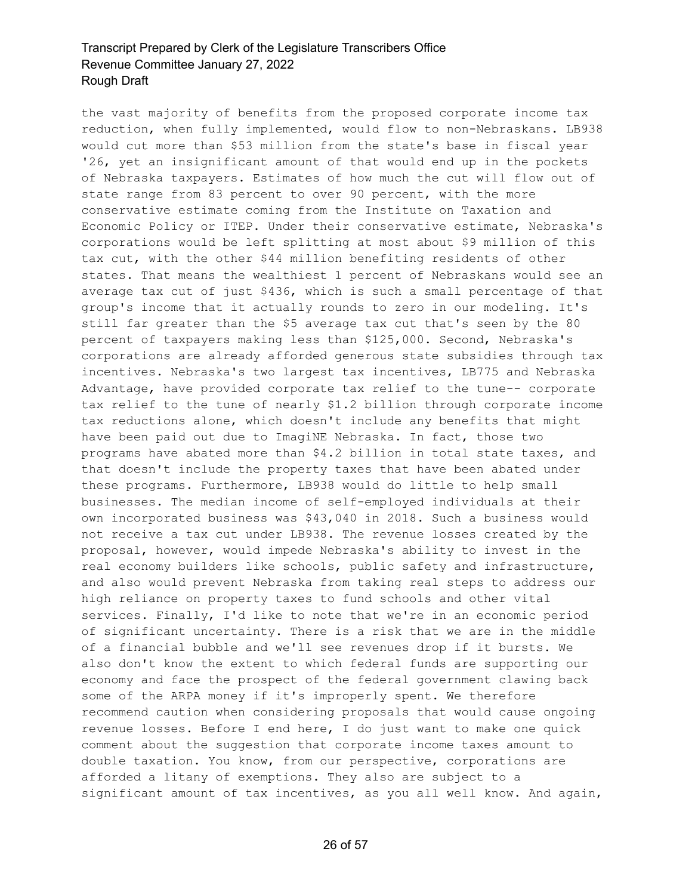the vast majority of benefits from the proposed corporate income tax reduction, when fully implemented, would flow to non-Nebraskans. LB938 would cut more than \$53 million from the state's base in fiscal year '26, yet an insignificant amount of that would end up in the pockets of Nebraska taxpayers. Estimates of how much the cut will flow out of state range from 83 percent to over 90 percent, with the more conservative estimate coming from the Institute on Taxation and Economic Policy or ITEP. Under their conservative estimate, Nebraska's corporations would be left splitting at most about \$9 million of this tax cut, with the other \$44 million benefiting residents of other states. That means the wealthiest 1 percent of Nebraskans would see an average tax cut of just \$436, which is such a small percentage of that group's income that it actually rounds to zero in our modeling. It's still far greater than the \$5 average tax cut that's seen by the 80 percent of taxpayers making less than \$125,000. Second, Nebraska's corporations are already afforded generous state subsidies through tax incentives. Nebraska's two largest tax incentives, LB775 and Nebraska Advantage, have provided corporate tax relief to the tune-- corporate tax relief to the tune of nearly \$1.2 billion through corporate income tax reductions alone, which doesn't include any benefits that might have been paid out due to ImagiNE Nebraska. In fact, those two programs have abated more than \$4.2 billion in total state taxes, and that doesn't include the property taxes that have been abated under these programs. Furthermore, LB938 would do little to help small businesses. The median income of self-employed individuals at their own incorporated business was \$43,040 in 2018. Such a business would not receive a tax cut under LB938. The revenue losses created by the proposal, however, would impede Nebraska's ability to invest in the real economy builders like schools, public safety and infrastructure, and also would prevent Nebraska from taking real steps to address our high reliance on property taxes to fund schools and other vital services. Finally, I'd like to note that we're in an economic period of significant uncertainty. There is a risk that we are in the middle of a financial bubble and we'll see revenues drop if it bursts. We also don't know the extent to which federal funds are supporting our economy and face the prospect of the federal government clawing back some of the ARPA money if it's improperly spent. We therefore recommend caution when considering proposals that would cause ongoing revenue losses. Before I end here, I do just want to make one quick comment about the suggestion that corporate income taxes amount to double taxation. You know, from our perspective, corporations are afforded a litany of exemptions. They also are subject to a significant amount of tax incentives, as you all well know. And again,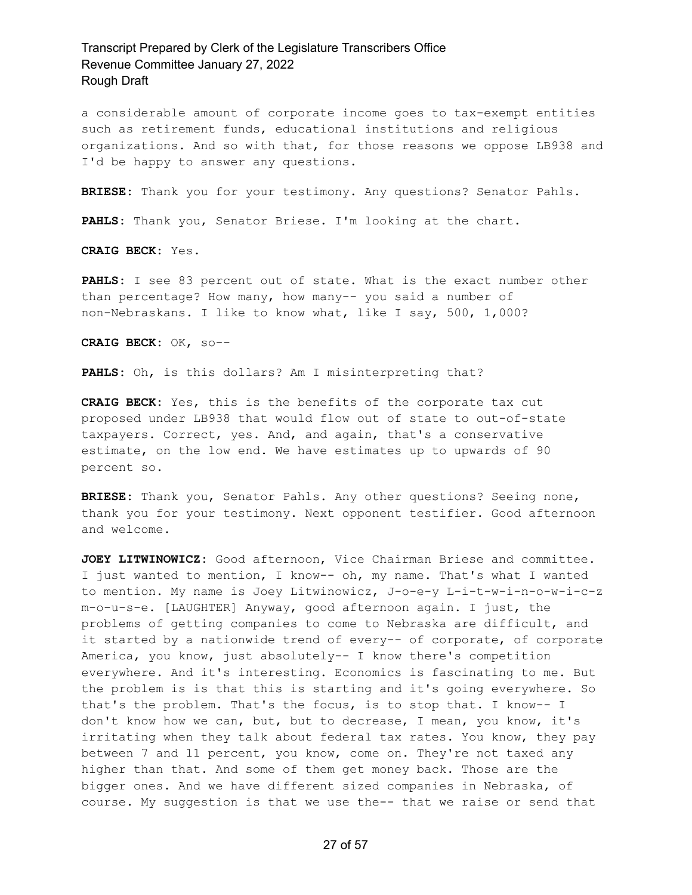a considerable amount of corporate income goes to tax-exempt entities such as retirement funds, educational institutions and religious organizations. And so with that, for those reasons we oppose LB938 and I'd be happy to answer any questions.

**BRIESE:** Thank you for your testimony. Any questions? Senator Pahls.

**PAHLS:** Thank you, Senator Briese. I'm looking at the chart.

**CRAIG BECK:** Yes.

**PAHLS:** I see 83 percent out of state. What is the exact number other than percentage? How many, how many-- you said a number of non-Nebraskans. I like to know what, like I say, 500, 1,000?

**CRAIG BECK:** OK, so--

**PAHLS:** Oh, is this dollars? Am I misinterpreting that?

**CRAIG BECK:** Yes, this is the benefits of the corporate tax cut proposed under LB938 that would flow out of state to out-of-state taxpayers. Correct, yes. And, and again, that's a conservative estimate, on the low end. We have estimates up to upwards of 90 percent so.

**BRIESE:** Thank you, Senator Pahls. Any other questions? Seeing none, thank you for your testimony. Next opponent testifier. Good afternoon and welcome.

**JOEY LITWINOWICZ:** Good afternoon, Vice Chairman Briese and committee. I just wanted to mention, I know-- oh, my name. That's what I wanted to mention. My name is Joey Litwinowicz, J-o-e-y L-i-t-w-i-n-o-w-i-c-z m-o-u-s-e. [LAUGHTER] Anyway, good afternoon again. I just, the problems of getting companies to come to Nebraska are difficult, and it started by a nationwide trend of every-- of corporate, of corporate America, you know, just absolutely-- I know there's competition everywhere. And it's interesting. Economics is fascinating to me. But the problem is is that this is starting and it's going everywhere. So that's the problem. That's the focus, is to stop that. I know-- I don't know how we can, but, but to decrease, I mean, you know, it's irritating when they talk about federal tax rates. You know, they pay between 7 and 11 percent, you know, come on. They're not taxed any higher than that. And some of them get money back. Those are the bigger ones. And we have different sized companies in Nebraska, of course. My suggestion is that we use the-- that we raise or send that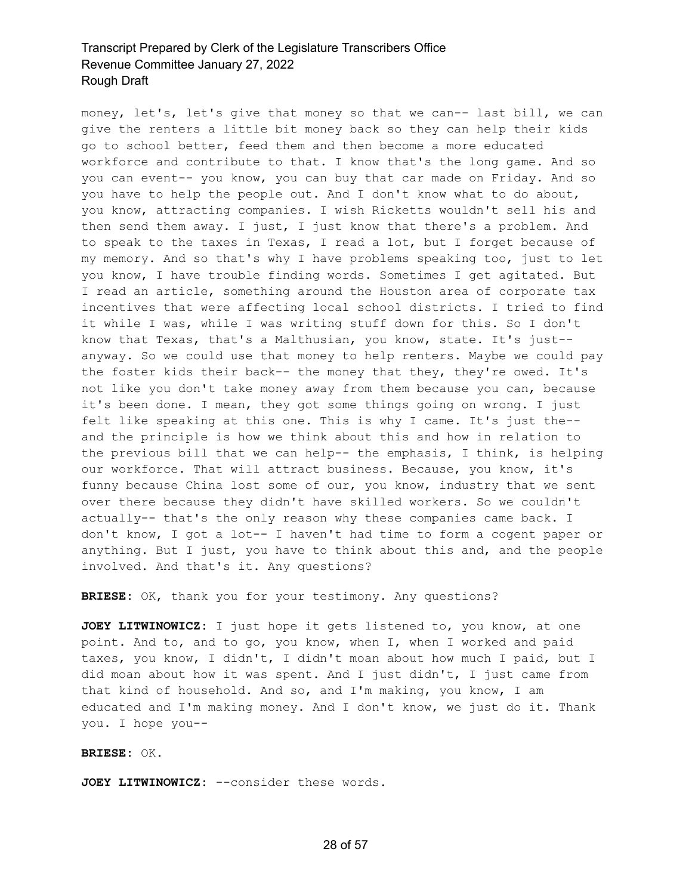money, let's, let's give that money so that we can-- last bill, we can give the renters a little bit money back so they can help their kids go to school better, feed them and then become a more educated workforce and contribute to that. I know that's the long game. And so you can event-- you know, you can buy that car made on Friday. And so you have to help the people out. And I don't know what to do about, you know, attracting companies. I wish Ricketts wouldn't sell his and then send them away. I just, I just know that there's a problem. And to speak to the taxes in Texas, I read a lot, but I forget because of my memory. And so that's why I have problems speaking too, just to let you know, I have trouble finding words. Sometimes I get agitated. But I read an article, something around the Houston area of corporate tax incentives that were affecting local school districts. I tried to find it while I was, while I was writing stuff down for this. So I don't know that Texas, that's a Malthusian, you know, state. It's just- anyway. So we could use that money to help renters. Maybe we could pay the foster kids their back-- the money that they, they're owed. It's not like you don't take money away from them because you can, because it's been done. I mean, they got some things going on wrong. I just felt like speaking at this one. This is why I came. It's just the- and the principle is how we think about this and how in relation to the previous bill that we can help-- the emphasis, I think, is helping our workforce. That will attract business. Because, you know, it's funny because China lost some of our, you know, industry that we sent over there because they didn't have skilled workers. So we couldn't actually-- that's the only reason why these companies came back. I don't know, I got a lot-- I haven't had time to form a cogent paper or anything. But I just, you have to think about this and, and the people involved. And that's it. Any questions?

**BRIESE:** OK, thank you for your testimony. Any questions?

**JOEY LITWINOWICZ:** I just hope it gets listened to, you know, at one point. And to, and to go, you know, when I, when I worked and paid taxes, you know, I didn't, I didn't moan about how much I paid, but I did moan about how it was spent. And I just didn't, I just came from that kind of household. And so, and I'm making, you know, I am educated and I'm making money. And I don't know, we just do it. Thank you. I hope you--

**BRIESE:** OK.

**JOEY LITWINOWICZ:** --consider these words.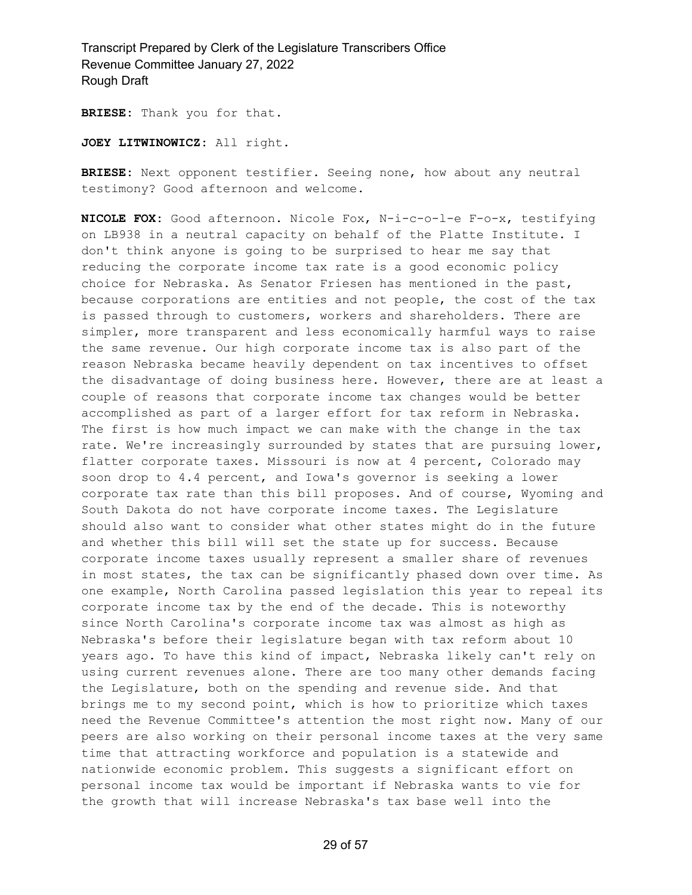**BRIESE:** Thank you for that.

**JOEY LITWINOWICZ:** All right.

**BRIESE:** Next opponent testifier. Seeing none, how about any neutral testimony? Good afternoon and welcome.

**NICOLE FOX:** Good afternoon. Nicole Fox, N-i-c-o-l-e F-o-x, testifying on LB938 in a neutral capacity on behalf of the Platte Institute. I don't think anyone is going to be surprised to hear me say that reducing the corporate income tax rate is a good economic policy choice for Nebraska. As Senator Friesen has mentioned in the past, because corporations are entities and not people, the cost of the tax is passed through to customers, workers and shareholders. There are simpler, more transparent and less economically harmful ways to raise the same revenue. Our high corporate income tax is also part of the reason Nebraska became heavily dependent on tax incentives to offset the disadvantage of doing business here. However, there are at least a couple of reasons that corporate income tax changes would be better accomplished as part of a larger effort for tax reform in Nebraska. The first is how much impact we can make with the change in the tax rate. We're increasingly surrounded by states that are pursuing lower, flatter corporate taxes. Missouri is now at 4 percent, Colorado may soon drop to 4.4 percent, and Iowa's governor is seeking a lower corporate tax rate than this bill proposes. And of course, Wyoming and South Dakota do not have corporate income taxes. The Legislature should also want to consider what other states might do in the future and whether this bill will set the state up for success. Because corporate income taxes usually represent a smaller share of revenues in most states, the tax can be significantly phased down over time. As one example, North Carolina passed legislation this year to repeal its corporate income tax by the end of the decade. This is noteworthy since North Carolina's corporate income tax was almost as high as Nebraska's before their legislature began with tax reform about 10 years ago. To have this kind of impact, Nebraska likely can't rely on using current revenues alone. There are too many other demands facing the Legislature, both on the spending and revenue side. And that brings me to my second point, which is how to prioritize which taxes need the Revenue Committee's attention the most right now. Many of our peers are also working on their personal income taxes at the very same time that attracting workforce and population is a statewide and nationwide economic problem. This suggests a significant effort on personal income tax would be important if Nebraska wants to vie for the growth that will increase Nebraska's tax base well into the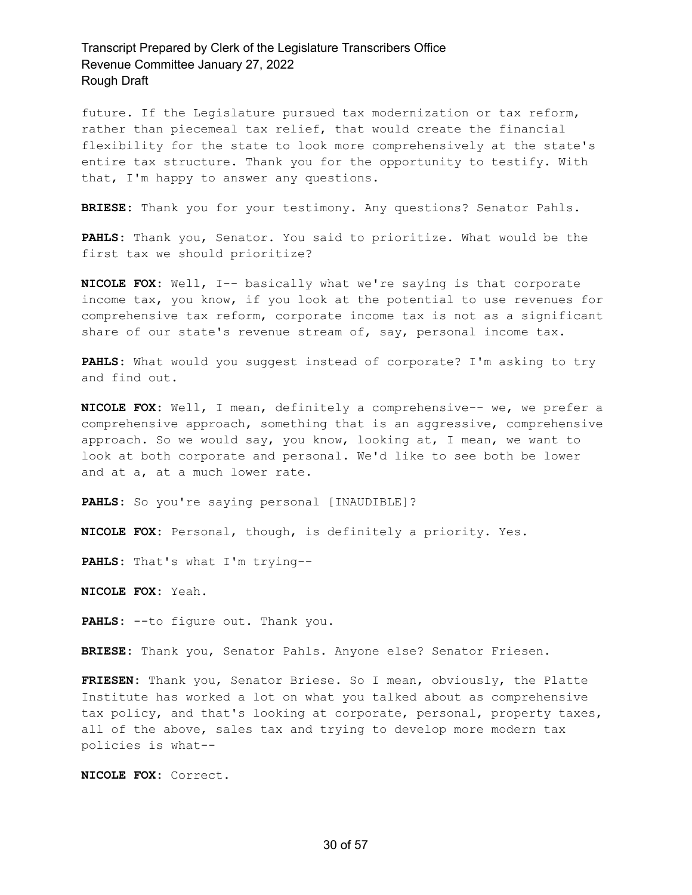future. If the Legislature pursued tax modernization or tax reform, rather than piecemeal tax relief, that would create the financial flexibility for the state to look more comprehensively at the state's entire tax structure. Thank you for the opportunity to testify. With that, I'm happy to answer any questions.

**BRIESE:** Thank you for your testimony. Any questions? Senator Pahls.

**PAHLS:** Thank you, Senator. You said to prioritize. What would be the first tax we should prioritize?

**NICOLE FOX:** Well, I-- basically what we're saying is that corporate income tax, you know, if you look at the potential to use revenues for comprehensive tax reform, corporate income tax is not as a significant share of our state's revenue stream of, say, personal income tax.

**PAHLS:** What would you suggest instead of corporate? I'm asking to try and find out.

**NICOLE FOX:** Well, I mean, definitely a comprehensive-- we, we prefer a comprehensive approach, something that is an aggressive, comprehensive approach. So we would say, you know, looking at, I mean, we want to look at both corporate and personal. We'd like to see both be lower and at a, at a much lower rate.

**PAHLS:** So you're saying personal [INAUDIBLE]?

**NICOLE FOX:** Personal, though, is definitely a priority. Yes.

**PAHLS:** That's what I'm trying--

**NICOLE FOX:** Yeah.

**PAHLS:** --to figure out. Thank you.

**BRIESE:** Thank you, Senator Pahls. Anyone else? Senator Friesen.

**FRIESEN:** Thank you, Senator Briese. So I mean, obviously, the Platte Institute has worked a lot on what you talked about as comprehensive tax policy, and that's looking at corporate, personal, property taxes, all of the above, sales tax and trying to develop more modern tax policies is what--

**NICOLE FOX:** Correct.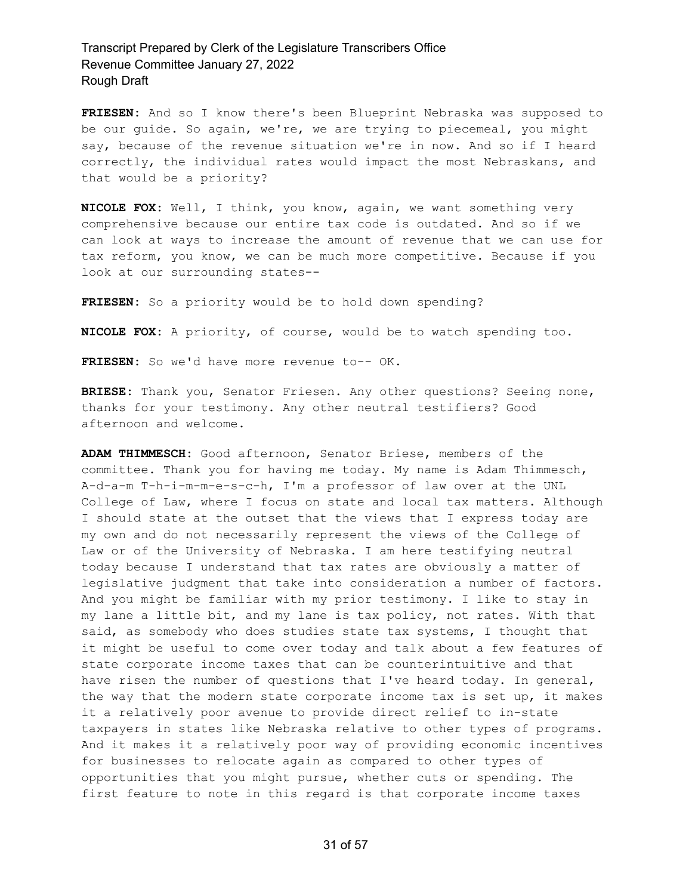**FRIESEN:** And so I know there's been Blueprint Nebraska was supposed to be our guide. So again, we're, we are trying to piecemeal, you might say, because of the revenue situation we're in now. And so if I heard correctly, the individual rates would impact the most Nebraskans, and that would be a priority?

**NICOLE FOX:** Well, I think, you know, again, we want something very comprehensive because our entire tax code is outdated. And so if we can look at ways to increase the amount of revenue that we can use for tax reform, you know, we can be much more competitive. Because if you look at our surrounding states--

FRIESEN: So a priority would be to hold down spending?

**NICOLE FOX:** A priority, of course, would be to watch spending too.

**FRIESEN:** So we'd have more revenue to-- OK.

**BRIESE:** Thank you, Senator Friesen. Any other questions? Seeing none, thanks for your testimony. Any other neutral testifiers? Good afternoon and welcome.

**ADAM THIMMESCH:** Good afternoon, Senator Briese, members of the committee. Thank you for having me today. My name is Adam Thimmesch, A-d-a-m T-h-i-m-m-e-s-c-h, I'm a professor of law over at the UNL College of Law, where I focus on state and local tax matters. Although I should state at the outset that the views that I express today are my own and do not necessarily represent the views of the College of Law or of the University of Nebraska. I am here testifying neutral today because I understand that tax rates are obviously a matter of legislative judgment that take into consideration a number of factors. And you might be familiar with my prior testimony. I like to stay in my lane a little bit, and my lane is tax policy, not rates. With that said, as somebody who does studies state tax systems, I thought that it might be useful to come over today and talk about a few features of state corporate income taxes that can be counterintuitive and that have risen the number of questions that I've heard today. In general, the way that the modern state corporate income tax is set up, it makes it a relatively poor avenue to provide direct relief to in-state taxpayers in states like Nebraska relative to other types of programs. And it makes it a relatively poor way of providing economic incentives for businesses to relocate again as compared to other types of opportunities that you might pursue, whether cuts or spending. The first feature to note in this regard is that corporate income taxes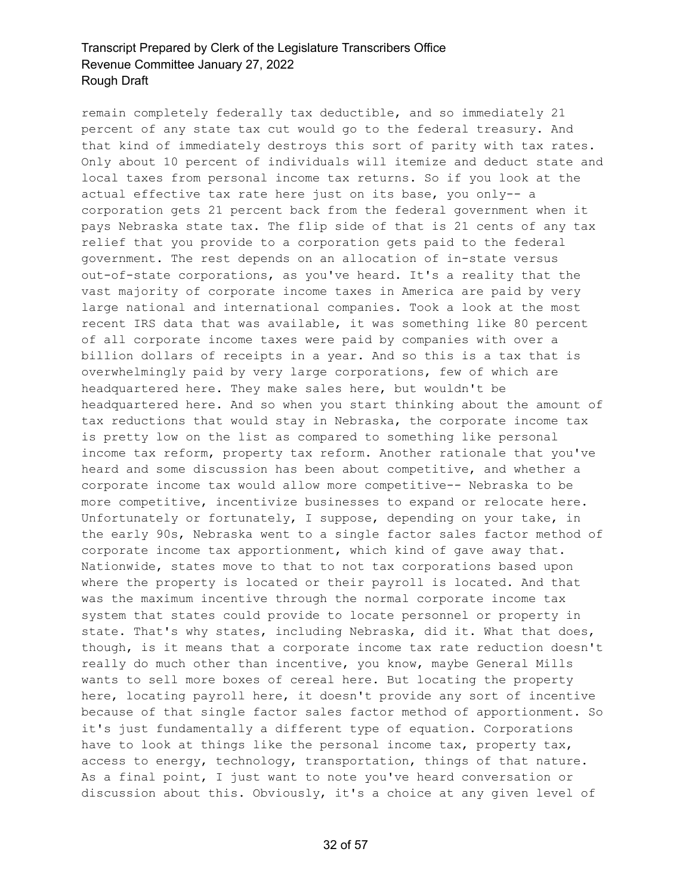remain completely federally tax deductible, and so immediately 21 percent of any state tax cut would go to the federal treasury. And that kind of immediately destroys this sort of parity with tax rates. Only about 10 percent of individuals will itemize and deduct state and local taxes from personal income tax returns. So if you look at the actual effective tax rate here just on its base, you only-- a corporation gets 21 percent back from the federal government when it pays Nebraska state tax. The flip side of that is 21 cents of any tax relief that you provide to a corporation gets paid to the federal government. The rest depends on an allocation of in-state versus out-of-state corporations, as you've heard. It's a reality that the vast majority of corporate income taxes in America are paid by very large national and international companies. Took a look at the most recent IRS data that was available, it was something like 80 percent of all corporate income taxes were paid by companies with over a billion dollars of receipts in a year. And so this is a tax that is overwhelmingly paid by very large corporations, few of which are headquartered here. They make sales here, but wouldn't be headquartered here. And so when you start thinking about the amount of tax reductions that would stay in Nebraska, the corporate income tax is pretty low on the list as compared to something like personal income tax reform, property tax reform. Another rationale that you've heard and some discussion has been about competitive, and whether a corporate income tax would allow more competitive-- Nebraska to be more competitive, incentivize businesses to expand or relocate here. Unfortunately or fortunately, I suppose, depending on your take, in the early 90s, Nebraska went to a single factor sales factor method of corporate income tax apportionment, which kind of gave away that. Nationwide, states move to that to not tax corporations based upon where the property is located or their payroll is located. And that was the maximum incentive through the normal corporate income tax system that states could provide to locate personnel or property in state. That's why states, including Nebraska, did it. What that does, though, is it means that a corporate income tax rate reduction doesn't really do much other than incentive, you know, maybe General Mills wants to sell more boxes of cereal here. But locating the property here, locating payroll here, it doesn't provide any sort of incentive because of that single factor sales factor method of apportionment. So it's just fundamentally a different type of equation. Corporations have to look at things like the personal income tax, property tax, access to energy, technology, transportation, things of that nature. As a final point, I just want to note you've heard conversation or discussion about this. Obviously, it's a choice at any given level of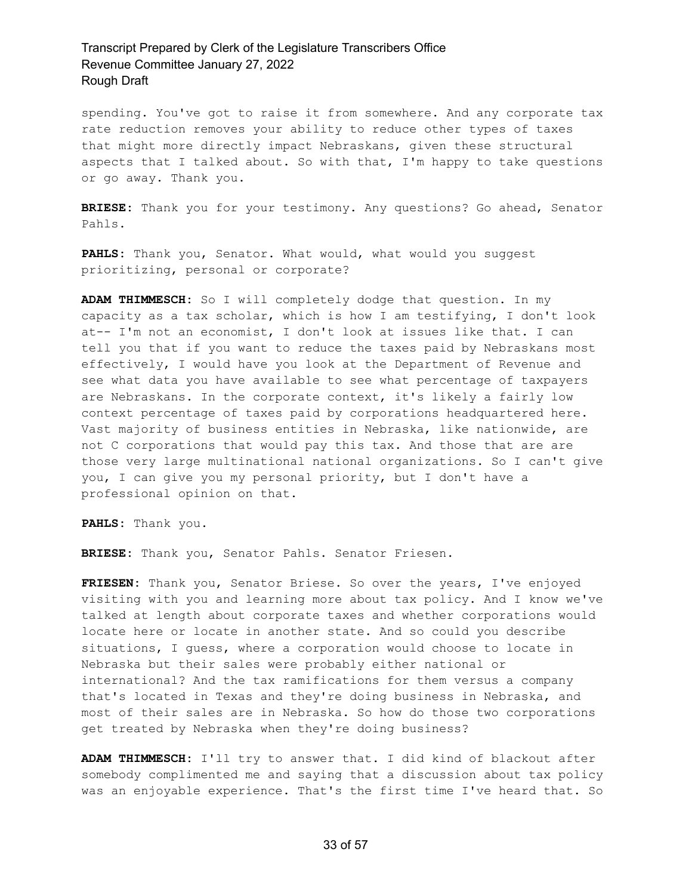spending. You've got to raise it from somewhere. And any corporate tax rate reduction removes your ability to reduce other types of taxes that might more directly impact Nebraskans, given these structural aspects that I talked about. So with that, I'm happy to take questions or go away. Thank you.

**BRIESE:** Thank you for your testimony. Any questions? Go ahead, Senator Pahls.

**PAHLS:** Thank you, Senator. What would, what would you suggest prioritizing, personal or corporate?

**ADAM THIMMESCH:** So I will completely dodge that question. In my capacity as a tax scholar, which is how I am testifying, I don't look at-- I'm not an economist, I don't look at issues like that. I can tell you that if you want to reduce the taxes paid by Nebraskans most effectively, I would have you look at the Department of Revenue and see what data you have available to see what percentage of taxpayers are Nebraskans. In the corporate context, it's likely a fairly low context percentage of taxes paid by corporations headquartered here. Vast majority of business entities in Nebraska, like nationwide, are not C corporations that would pay this tax. And those that are are those very large multinational national organizations. So I can't give you, I can give you my personal priority, but I don't have a professional opinion on that.

**PAHLS:** Thank you.

**BRIESE:** Thank you, Senator Pahls. Senator Friesen.

**FRIESEN:** Thank you, Senator Briese. So over the years, I've enjoyed visiting with you and learning more about tax policy. And I know we've talked at length about corporate taxes and whether corporations would locate here or locate in another state. And so could you describe situations, I guess, where a corporation would choose to locate in Nebraska but their sales were probably either national or international? And the tax ramifications for them versus a company that's located in Texas and they're doing business in Nebraska, and most of their sales are in Nebraska. So how do those two corporations get treated by Nebraska when they're doing business?

**ADAM THIMMESCH:** I'll try to answer that. I did kind of blackout after somebody complimented me and saying that a discussion about tax policy was an enjoyable experience. That's the first time I've heard that. So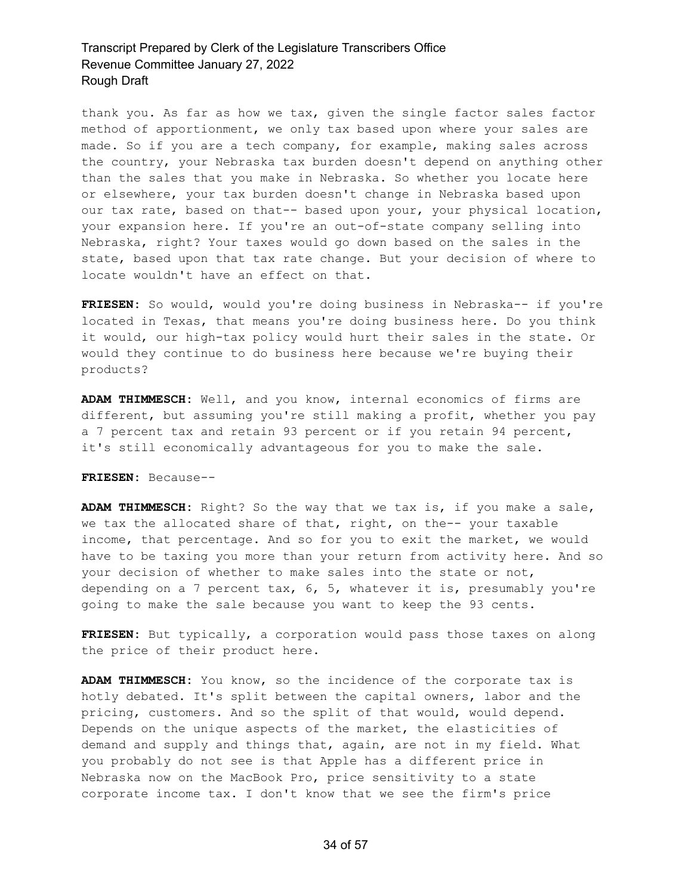thank you. As far as how we tax, given the single factor sales factor method of apportionment, we only tax based upon where your sales are made. So if you are a tech company, for example, making sales across the country, your Nebraska tax burden doesn't depend on anything other than the sales that you make in Nebraska. So whether you locate here or elsewhere, your tax burden doesn't change in Nebraska based upon our tax rate, based on that-- based upon your, your physical location, your expansion here. If you're an out-of-state company selling into Nebraska, right? Your taxes would go down based on the sales in the state, based upon that tax rate change. But your decision of where to locate wouldn't have an effect on that.

**FRIESEN:** So would, would you're doing business in Nebraska-- if you're located in Texas, that means you're doing business here. Do you think it would, our high-tax policy would hurt their sales in the state. Or would they continue to do business here because we're buying their products?

**ADAM THIMMESCH:** Well, and you know, internal economics of firms are different, but assuming you're still making a profit, whether you pay a 7 percent tax and retain 93 percent or if you retain 94 percent, it's still economically advantageous for you to make the sale.

#### **FRIESEN:** Because--

**ADAM THIMMESCH:** Right? So the way that we tax is, if you make a sale, we tax the allocated share of that, right, on the-- your taxable income, that percentage. And so for you to exit the market, we would have to be taxing you more than your return from activity here. And so your decision of whether to make sales into the state or not, depending on a 7 percent tax, 6, 5, whatever it is, presumably you're going to make the sale because you want to keep the 93 cents.

**FRIESEN:** But typically, a corporation would pass those taxes on along the price of their product here.

**ADAM THIMMESCH:** You know, so the incidence of the corporate tax is hotly debated. It's split between the capital owners, labor and the pricing, customers. And so the split of that would, would depend. Depends on the unique aspects of the market, the elasticities of demand and supply and things that, again, are not in my field. What you probably do not see is that Apple has a different price in Nebraska now on the MacBook Pro, price sensitivity to a state corporate income tax. I don't know that we see the firm's price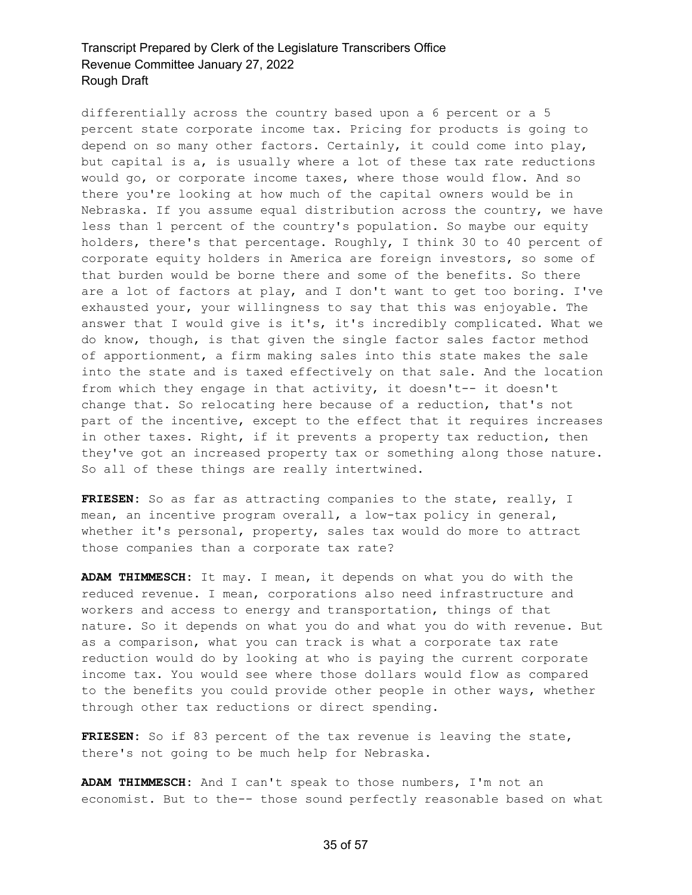differentially across the country based upon a 6 percent or a 5 percent state corporate income tax. Pricing for products is going to depend on so many other factors. Certainly, it could come into play, but capital is a, is usually where a lot of these tax rate reductions would go, or corporate income taxes, where those would flow. And so there you're looking at how much of the capital owners would be in Nebraska. If you assume equal distribution across the country, we have less than 1 percent of the country's population. So maybe our equity holders, there's that percentage. Roughly, I think 30 to 40 percent of corporate equity holders in America are foreign investors, so some of that burden would be borne there and some of the benefits. So there are a lot of factors at play, and I don't want to get too boring. I've exhausted your, your willingness to say that this was enjoyable. The answer that I would give is it's, it's incredibly complicated. What we do know, though, is that given the single factor sales factor method of apportionment, a firm making sales into this state makes the sale into the state and is taxed effectively on that sale. And the location from which they engage in that activity, it doesn't-- it doesn't change that. So relocating here because of a reduction, that's not part of the incentive, except to the effect that it requires increases in other taxes. Right, if it prevents a property tax reduction, then they've got an increased property tax or something along those nature. So all of these things are really intertwined.

FRIESEN: So as far as attracting companies to the state, really, I mean, an incentive program overall, a low-tax policy in general, whether it's personal, property, sales tax would do more to attract those companies than a corporate tax rate?

**ADAM THIMMESCH:** It may. I mean, it depends on what you do with the reduced revenue. I mean, corporations also need infrastructure and workers and access to energy and transportation, things of that nature. So it depends on what you do and what you do with revenue. But as a comparison, what you can track is what a corporate tax rate reduction would do by looking at who is paying the current corporate income tax. You would see where those dollars would flow as compared to the benefits you could provide other people in other ways, whether through other tax reductions or direct spending.

**FRIESEN:** So if 83 percent of the tax revenue is leaving the state, there's not going to be much help for Nebraska.

**ADAM THIMMESCH:** And I can't speak to those numbers, I'm not an economist. But to the-- those sound perfectly reasonable based on what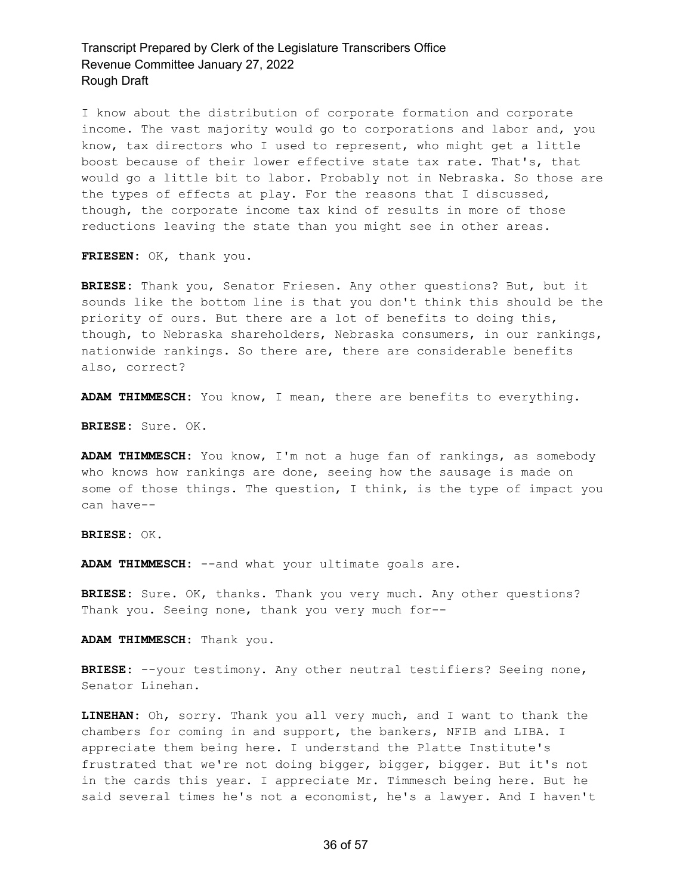I know about the distribution of corporate formation and corporate income. The vast majority would go to corporations and labor and, you know, tax directors who I used to represent, who might get a little boost because of their lower effective state tax rate. That's, that would go a little bit to labor. Probably not in Nebraska. So those are the types of effects at play. For the reasons that I discussed, though, the corporate income tax kind of results in more of those reductions leaving the state than you might see in other areas.

**FRIESEN:** OK, thank you.

**BRIESE:** Thank you, Senator Friesen. Any other questions? But, but it sounds like the bottom line is that you don't think this should be the priority of ours. But there are a lot of benefits to doing this, though, to Nebraska shareholders, Nebraska consumers, in our rankings, nationwide rankings. So there are, there are considerable benefits also, correct?

**ADAM THIMMESCH:** You know, I mean, there are benefits to everything.

**BRIESE:** Sure. OK.

**ADAM THIMMESCH:** You know, I'm not a huge fan of rankings, as somebody who knows how rankings are done, seeing how the sausage is made on some of those things. The question, I think, is the type of impact you can have--

**BRIESE:** OK.

**ADAM THIMMESCH:** --and what your ultimate goals are.

**BRIESE:** Sure. OK, thanks. Thank you very much. Any other questions? Thank you. Seeing none, thank you very much for--

**ADAM THIMMESCH:** Thank you.

**BRIESE:** --your testimony. Any other neutral testifiers? Seeing none, Senator Linehan.

**LINEHAN:** Oh, sorry. Thank you all very much, and I want to thank the chambers for coming in and support, the bankers, NFIB and LIBA. I appreciate them being here. I understand the Platte Institute's frustrated that we're not doing bigger, bigger, bigger. But it's not in the cards this year. I appreciate Mr. Timmesch being here. But he said several times he's not a economist, he's a lawyer. And I haven't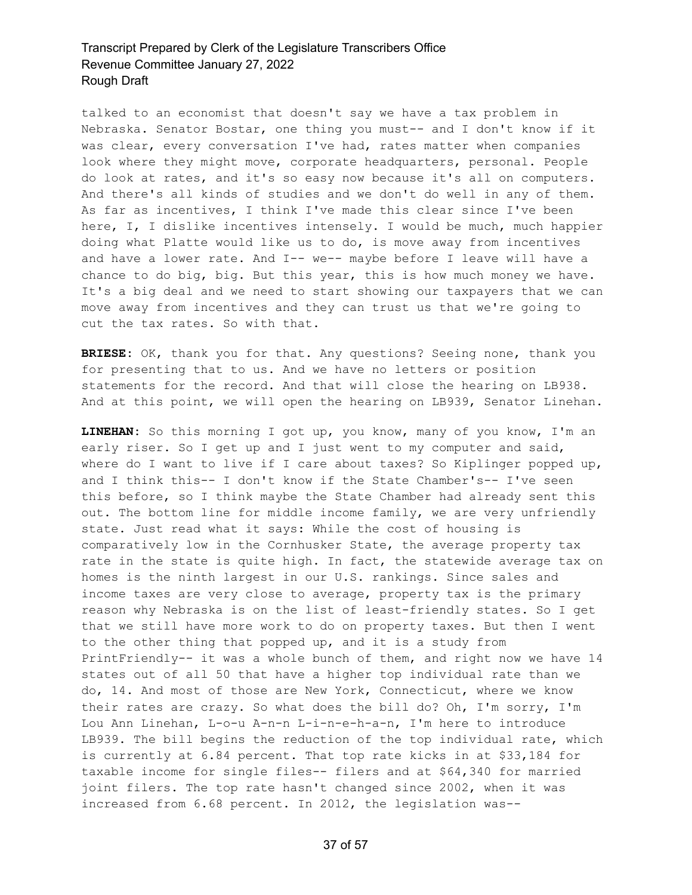talked to an economist that doesn't say we have a tax problem in Nebraska. Senator Bostar, one thing you must-- and I don't know if it was clear, every conversation I've had, rates matter when companies look where they might move, corporate headquarters, personal. People do look at rates, and it's so easy now because it's all on computers. And there's all kinds of studies and we don't do well in any of them. As far as incentives, I think I've made this clear since I've been here, I, I dislike incentives intensely. I would be much, much happier doing what Platte would like us to do, is move away from incentives and have a lower rate. And I-- we-- maybe before I leave will have a chance to do big, big. But this year, this is how much money we have. It's a big deal and we need to start showing our taxpayers that we can move away from incentives and they can trust us that we're going to cut the tax rates. So with that.

**BRIESE:** OK, thank you for that. Any questions? Seeing none, thank you for presenting that to us. And we have no letters or position statements for the record. And that will close the hearing on LB938. And at this point, we will open the hearing on LB939, Senator Linehan.

**LINEHAN:** So this morning I got up, you know, many of you know, I'm an early riser. So I get up and I just went to my computer and said, where do I want to live if I care about taxes? So Kiplinger popped up, and I think this-- I don't know if the State Chamber's-- I've seen this before, so I think maybe the State Chamber had already sent this out. The bottom line for middle income family, we are very unfriendly state. Just read what it says: While the cost of housing is comparatively low in the Cornhusker State, the average property tax rate in the state is quite high. In fact, the statewide average tax on homes is the ninth largest in our U.S. rankings. Since sales and income taxes are very close to average, property tax is the primary reason why Nebraska is on the list of least-friendly states. So I get that we still have more work to do on property taxes. But then I went to the other thing that popped up, and it is a study from PrintFriendly-- it was a whole bunch of them, and right now we have 14 states out of all 50 that have a higher top individual rate than we do, 14. And most of those are New York, Connecticut, where we know their rates are crazy. So what does the bill do? Oh, I'm sorry, I'm Lou Ann Linehan, L-o-u A-n-n L-i-n-e-h-a-n, I'm here to introduce LB939. The bill begins the reduction of the top individual rate, which is currently at 6.84 percent. That top rate kicks in at \$33,184 for taxable income for single files-- filers and at \$64,340 for married joint filers. The top rate hasn't changed since 2002, when it was increased from 6.68 percent. In 2012, the legislation was--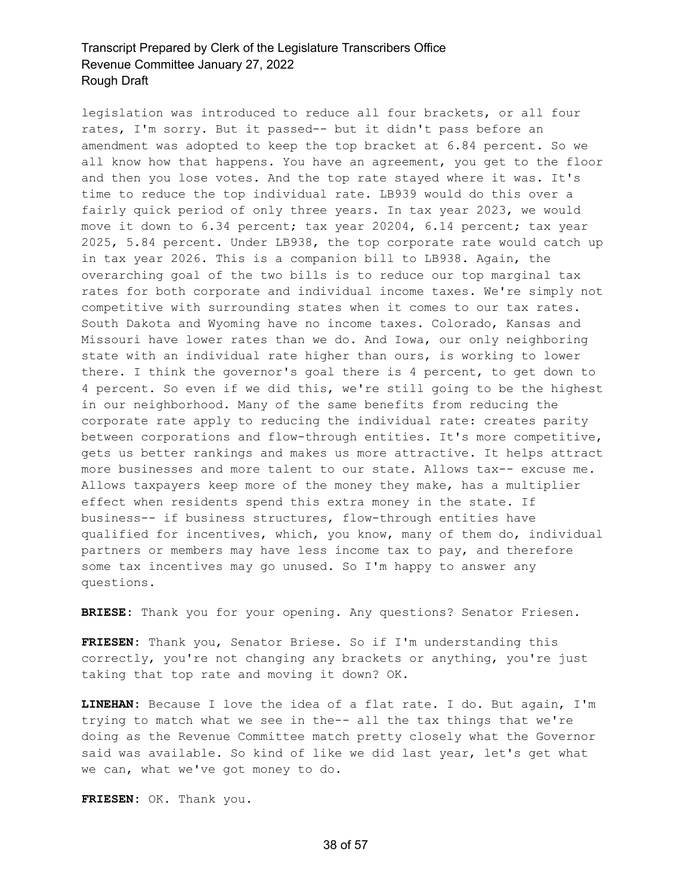legislation was introduced to reduce all four brackets, or all four rates, I'm sorry. But it passed-- but it didn't pass before an amendment was adopted to keep the top bracket at 6.84 percent. So we all know how that happens. You have an agreement, you get to the floor and then you lose votes. And the top rate stayed where it was. It's time to reduce the top individual rate. LB939 would do this over a fairly quick period of only three years. In tax year 2023, we would move it down to 6.34 percent; tax year 20204, 6.14 percent; tax year 2025, 5.84 percent. Under LB938, the top corporate rate would catch up in tax year 2026. This is a companion bill to LB938. Again, the overarching goal of the two bills is to reduce our top marginal tax rates for both corporate and individual income taxes. We're simply not competitive with surrounding states when it comes to our tax rates. South Dakota and Wyoming have no income taxes. Colorado, Kansas and Missouri have lower rates than we do. And Iowa, our only neighboring state with an individual rate higher than ours, is working to lower there. I think the governor's goal there is 4 percent, to get down to 4 percent. So even if we did this, we're still going to be the highest in our neighborhood. Many of the same benefits from reducing the corporate rate apply to reducing the individual rate: creates parity between corporations and flow-through entities. It's more competitive, gets us better rankings and makes us more attractive. It helps attract more businesses and more talent to our state. Allows tax-- excuse me. Allows taxpayers keep more of the money they make, has a multiplier effect when residents spend this extra money in the state. If business-- if business structures, flow-through entities have qualified for incentives, which, you know, many of them do, individual partners or members may have less income tax to pay, and therefore some tax incentives may go unused. So I'm happy to answer any questions.

**BRIESE:** Thank you for your opening. Any questions? Senator Friesen.

**FRIESEN:** Thank you, Senator Briese. So if I'm understanding this correctly, you're not changing any brackets or anything, you're just taking that top rate and moving it down? OK.

**LINEHAN:** Because I love the idea of a flat rate. I do. But again, I'm trying to match what we see in the-- all the tax things that we're doing as the Revenue Committee match pretty closely what the Governor said was available. So kind of like we did last year, let's get what we can, what we've got money to do.

**FRIESEN:** OK. Thank you.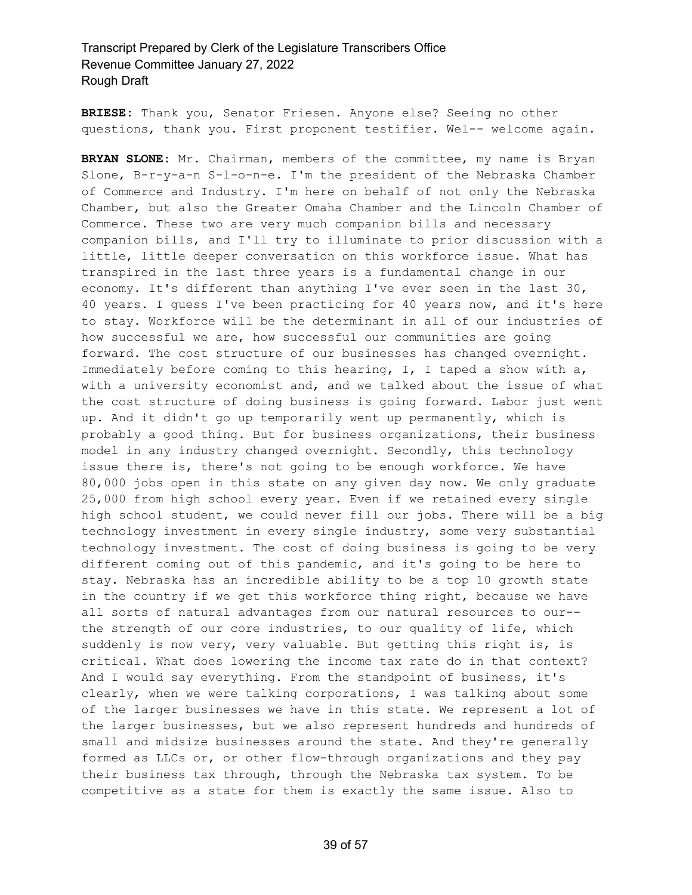**BRIESE:** Thank you, Senator Friesen. Anyone else? Seeing no other questions, thank you. First proponent testifier. Wel-- welcome again.

**BRYAN SLONE:** Mr. Chairman, members of the committee, my name is Bryan Slone, B-r-y-a-n S-l-o-n-e. I'm the president of the Nebraska Chamber of Commerce and Industry. I'm here on behalf of not only the Nebraska Chamber, but also the Greater Omaha Chamber and the Lincoln Chamber of Commerce. These two are very much companion bills and necessary companion bills, and I'll try to illuminate to prior discussion with a little, little deeper conversation on this workforce issue. What has transpired in the last three years is a fundamental change in our economy. It's different than anything I've ever seen in the last 30, 40 years. I guess I've been practicing for 40 years now, and it's here to stay. Workforce will be the determinant in all of our industries of how successful we are, how successful our communities are going forward. The cost structure of our businesses has changed overnight. Immediately before coming to this hearing, I, I taped a show with a, with a university economist and, and we talked about the issue of what the cost structure of doing business is going forward. Labor just went up. And it didn't go up temporarily went up permanently, which is probably a good thing. But for business organizations, their business model in any industry changed overnight. Secondly, this technology issue there is, there's not going to be enough workforce. We have 80,000 jobs open in this state on any given day now. We only graduate 25,000 from high school every year. Even if we retained every single high school student, we could never fill our jobs. There will be a big technology investment in every single industry, some very substantial technology investment. The cost of doing business is going to be very different coming out of this pandemic, and it's going to be here to stay. Nebraska has an incredible ability to be a top 10 growth state in the country if we get this workforce thing right, because we have all sorts of natural advantages from our natural resources to our- the strength of our core industries, to our quality of life, which suddenly is now very, very valuable. But getting this right is, is critical. What does lowering the income tax rate do in that context? And I would say everything. From the standpoint of business, it's clearly, when we were talking corporations, I was talking about some of the larger businesses we have in this state. We represent a lot of the larger businesses, but we also represent hundreds and hundreds of small and midsize businesses around the state. And they're generally formed as LLCs or, or other flow-through organizations and they pay their business tax through, through the Nebraska tax system. To be competitive as a state for them is exactly the same issue. Also to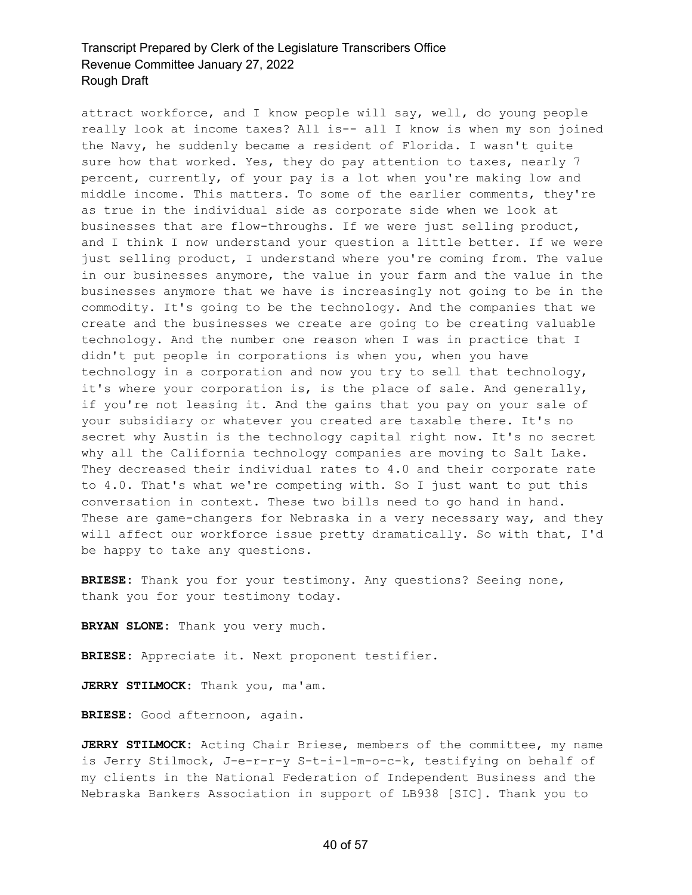attract workforce, and I know people will say, well, do young people really look at income taxes? All is-- all I know is when my son joined the Navy, he suddenly became a resident of Florida. I wasn't quite sure how that worked. Yes, they do pay attention to taxes, nearly 7 percent, currently, of your pay is a lot when you're making low and middle income. This matters. To some of the earlier comments, they're as true in the individual side as corporate side when we look at businesses that are flow-throughs. If we were just selling product, and I think I now understand your question a little better. If we were just selling product, I understand where you're coming from. The value in our businesses anymore, the value in your farm and the value in the businesses anymore that we have is increasingly not going to be in the commodity. It's going to be the technology. And the companies that we create and the businesses we create are going to be creating valuable technology. And the number one reason when I was in practice that I didn't put people in corporations is when you, when you have technology in a corporation and now you try to sell that technology, it's where your corporation is, is the place of sale. And generally, if you're not leasing it. And the gains that you pay on your sale of your subsidiary or whatever you created are taxable there. It's no secret why Austin is the technology capital right now. It's no secret why all the California technology companies are moving to Salt Lake. They decreased their individual rates to 4.0 and their corporate rate to 4.0. That's what we're competing with. So I just want to put this conversation in context. These two bills need to go hand in hand. These are game-changers for Nebraska in a very necessary way, and they will affect our workforce issue pretty dramatically. So with that, I'd be happy to take any questions.

**BRIESE:** Thank you for your testimony. Any questions? Seeing none, thank you for your testimony today.

**BRYAN SLONE:** Thank you very much.

**BRIESE:** Appreciate it. Next proponent testifier.

**JERRY STILMOCK:** Thank you, ma'am.

**BRIESE:** Good afternoon, again.

**JERRY STILMOCK:** Acting Chair Briese, members of the committee, my name is Jerry Stilmock, J-e-r-r-y S-t-i-l-m-o-c-k, testifying on behalf of my clients in the National Federation of Independent Business and the Nebraska Bankers Association in support of LB938 [SIC]. Thank you to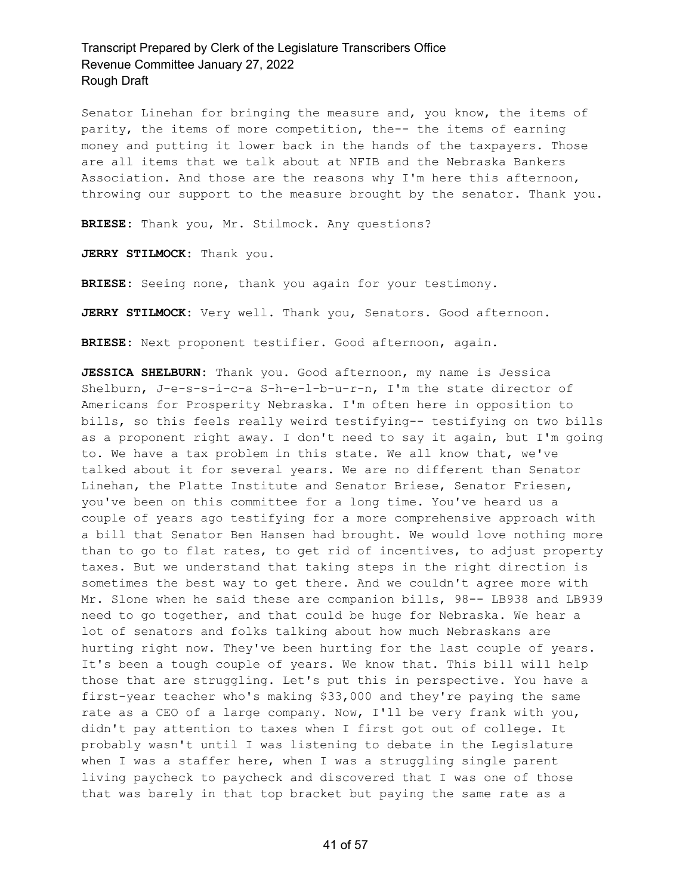Senator Linehan for bringing the measure and, you know, the items of parity, the items of more competition, the-- the items of earning money and putting it lower back in the hands of the taxpayers. Those are all items that we talk about at NFIB and the Nebraska Bankers Association. And those are the reasons why I'm here this afternoon, throwing our support to the measure brought by the senator. Thank you.

**BRIESE:** Thank you, Mr. Stilmock. Any questions?

**JERRY STILMOCK:** Thank you.

**BRIESE:** Seeing none, thank you again for your testimony.

**JERRY STILMOCK:** Very well. Thank you, Senators. Good afternoon.

**BRIESE:** Next proponent testifier. Good afternoon, again.

**JESSICA SHELBURN:** Thank you. Good afternoon, my name is Jessica Shelburn, J-e-s-s-i-c-a S-h-e-l-b-u-r-n, I'm the state director of Americans for Prosperity Nebraska. I'm often here in opposition to bills, so this feels really weird testifying-- testifying on two bills as a proponent right away. I don't need to say it again, but I'm going to. We have a tax problem in this state. We all know that, we've talked about it for several years. We are no different than Senator Linehan, the Platte Institute and Senator Briese, Senator Friesen, you've been on this committee for a long time. You've heard us a couple of years ago testifying for a more comprehensive approach with a bill that Senator Ben Hansen had brought. We would love nothing more than to go to flat rates, to get rid of incentives, to adjust property taxes. But we understand that taking steps in the right direction is sometimes the best way to get there. And we couldn't agree more with Mr. Slone when he said these are companion bills, 98-- LB938 and LB939 need to go together, and that could be huge for Nebraska. We hear a lot of senators and folks talking about how much Nebraskans are hurting right now. They've been hurting for the last couple of years. It's been a tough couple of years. We know that. This bill will help those that are struggling. Let's put this in perspective. You have a first-year teacher who's making \$33,000 and they're paying the same rate as a CEO of a large company. Now, I'll be very frank with you, didn't pay attention to taxes when I first got out of college. It probably wasn't until I was listening to debate in the Legislature when I was a staffer here, when I was a struggling single parent living paycheck to paycheck and discovered that I was one of those that was barely in that top bracket but paying the same rate as a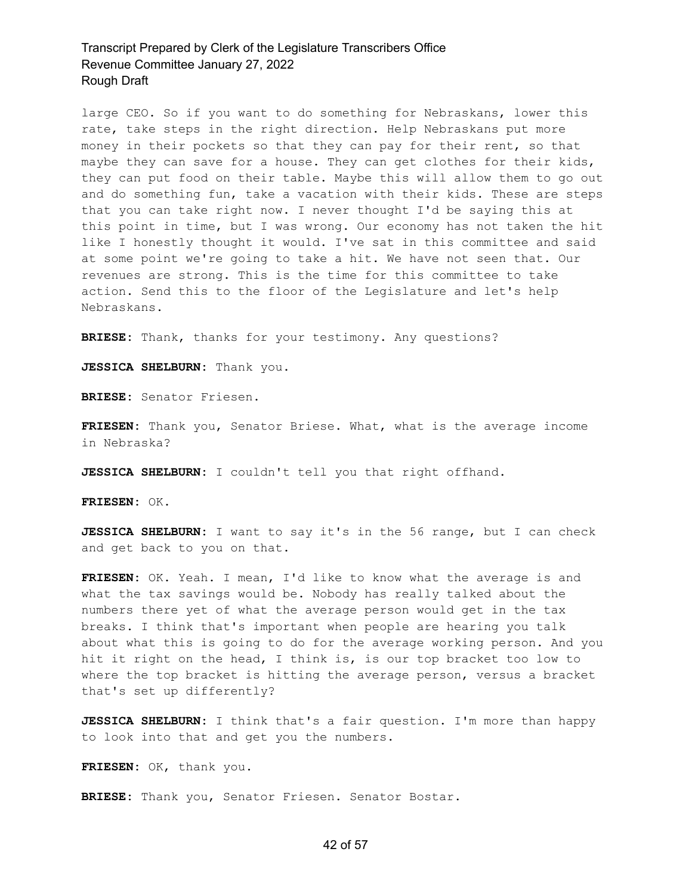large CEO. So if you want to do something for Nebraskans, lower this rate, take steps in the right direction. Help Nebraskans put more money in their pockets so that they can pay for their rent, so that maybe they can save for a house. They can get clothes for their kids, they can put food on their table. Maybe this will allow them to go out and do something fun, take a vacation with their kids. These are steps that you can take right now. I never thought I'd be saying this at this point in time, but I was wrong. Our economy has not taken the hit like I honestly thought it would. I've sat in this committee and said at some point we're going to take a hit. We have not seen that. Our revenues are strong. This is the time for this committee to take action. Send this to the floor of the Legislature and let's help Nebraskans.

**BRIESE:** Thank, thanks for your testimony. Any questions?

**JESSICA SHELBURN:** Thank you.

**BRIESE:** Senator Friesen.

**FRIESEN:** Thank you, Senator Briese. What, what is the average income in Nebraska?

**JESSICA SHELBURN:** I couldn't tell you that right offhand.

**FRIESEN:** OK.

**JESSICA SHELBURN:** I want to say it's in the 56 range, but I can check and get back to you on that.

**FRIESEN:** OK. Yeah. I mean, I'd like to know what the average is and what the tax savings would be. Nobody has really talked about the numbers there yet of what the average person would get in the tax breaks. I think that's important when people are hearing you talk about what this is going to do for the average working person. And you hit it right on the head, I think is, is our top bracket too low to where the top bracket is hitting the average person, versus a bracket that's set up differently?

**JESSICA SHELBURN:** I think that's a fair question. I'm more than happy to look into that and get you the numbers.

**FRIESEN:** OK, thank you.

**BRIESE:** Thank you, Senator Friesen. Senator Bostar.

#### 42 of 57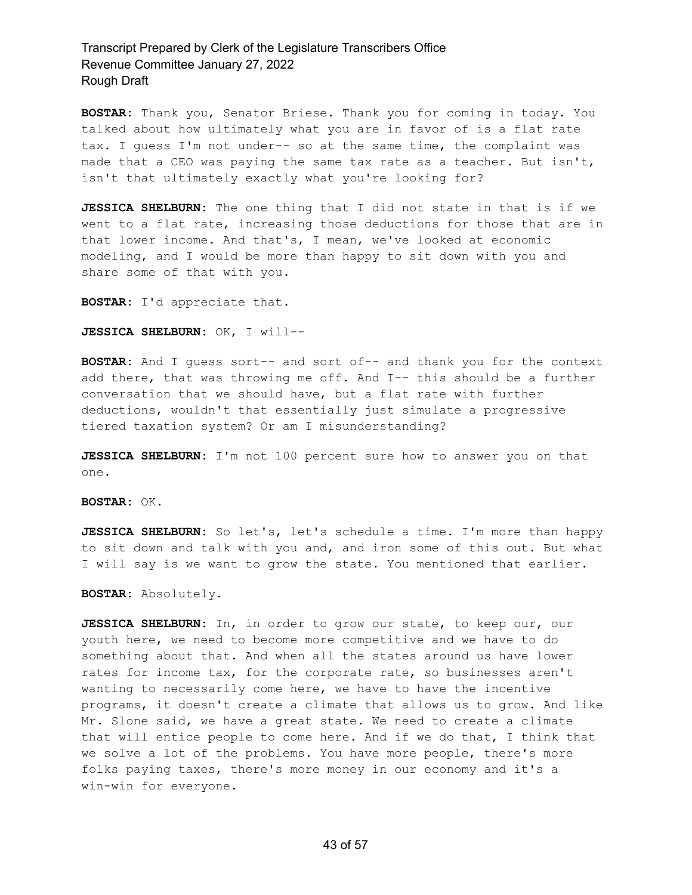**BOSTAR:** Thank you, Senator Briese. Thank you for coming in today. You talked about how ultimately what you are in favor of is a flat rate tax. I guess I'm not under-- so at the same time, the complaint was made that a CEO was paying the same tax rate as a teacher. But isn't, isn't that ultimately exactly what you're looking for?

**JESSICA SHELBURN:** The one thing that I did not state in that is if we went to a flat rate, increasing those deductions for those that are in that lower income. And that's, I mean, we've looked at economic modeling, and I would be more than happy to sit down with you and share some of that with you.

**BOSTAR:** I'd appreciate that.

**JESSICA SHELBURN:** OK, I will--

**BOSTAR:** And I guess sort-- and sort of-- and thank you for the context add there, that was throwing me off. And I-- this should be a further conversation that we should have, but a flat rate with further deductions, wouldn't that essentially just simulate a progressive tiered taxation system? Or am I misunderstanding?

**JESSICA SHELBURN:** I'm not 100 percent sure how to answer you on that one.

**BOSTAR:** OK.

**JESSICA SHELBURN:** So let's, let's schedule a time. I'm more than happy to sit down and talk with you and, and iron some of this out. But what I will say is we want to grow the state. You mentioned that earlier.

**BOSTAR:** Absolutely.

**JESSICA SHELBURN:** In, in order to grow our state, to keep our, our youth here, we need to become more competitive and we have to do something about that. And when all the states around us have lower rates for income tax, for the corporate rate, so businesses aren't wanting to necessarily come here, we have to have the incentive programs, it doesn't create a climate that allows us to grow. And like Mr. Slone said, we have a great state. We need to create a climate that will entice people to come here. And if we do that, I think that we solve a lot of the problems. You have more people, there's more folks paying taxes, there's more money in our economy and it's a win-win for everyone.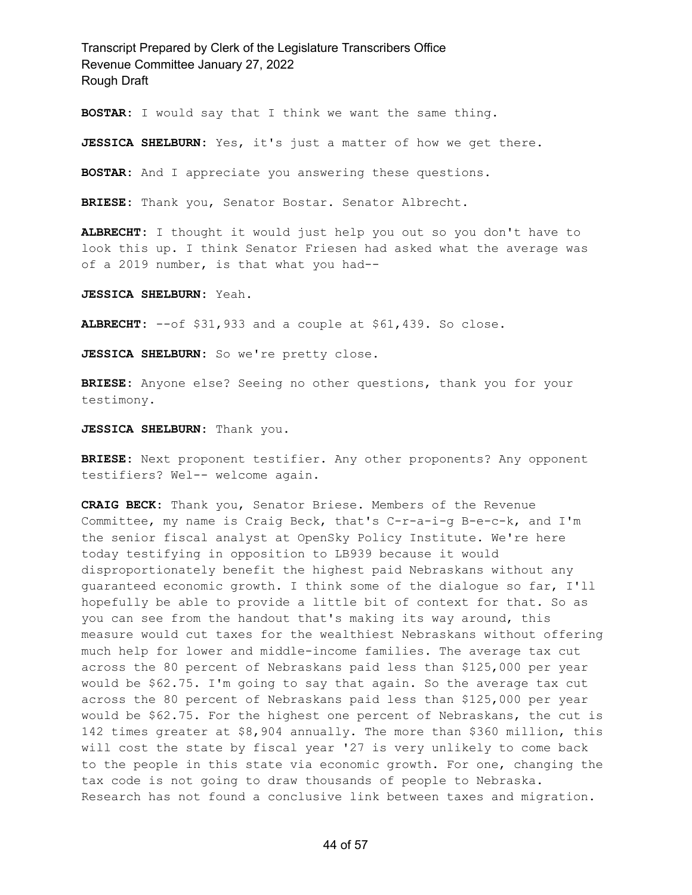**BOSTAR:** I would say that I think we want the same thing.

**JESSICA SHELBURN:** Yes, it's just a matter of how we get there.

**BOSTAR:** And I appreciate you answering these questions.

**BRIESE:** Thank you, Senator Bostar. Senator Albrecht.

**ALBRECHT:** I thought it would just help you out so you don't have to look this up. I think Senator Friesen had asked what the average was of a 2019 number, is that what you had--

**JESSICA SHELBURN:** Yeah.

**ALBRECHT:** --of \$31,933 and a couple at \$61,439. So close.

**JESSICA SHELBURN:** So we're pretty close.

**BRIESE:** Anyone else? Seeing no other questions, thank you for your testimony.

**JESSICA SHELBURN:** Thank you.

**BRIESE:** Next proponent testifier. Any other proponents? Any opponent testifiers? Wel-- welcome again.

**CRAIG BECK:** Thank you, Senator Briese. Members of the Revenue Committee, my name is Craig Beck, that's C-r-a-i-g B-e-c-k, and I'm the senior fiscal analyst at OpenSky Policy Institute. We're here today testifying in opposition to LB939 because it would disproportionately benefit the highest paid Nebraskans without any guaranteed economic growth. I think some of the dialogue so far, I'll hopefully be able to provide a little bit of context for that. So as you can see from the handout that's making its way around, this measure would cut taxes for the wealthiest Nebraskans without offering much help for lower and middle-income families. The average tax cut across the 80 percent of Nebraskans paid less than \$125,000 per year would be \$62.75. I'm going to say that again. So the average tax cut across the 80 percent of Nebraskans paid less than \$125,000 per year would be \$62.75. For the highest one percent of Nebraskans, the cut is 142 times greater at \$8,904 annually. The more than \$360 million, this will cost the state by fiscal year '27 is very unlikely to come back to the people in this state via economic growth. For one, changing the tax code is not going to draw thousands of people to Nebraska. Research has not found a conclusive link between taxes and migration.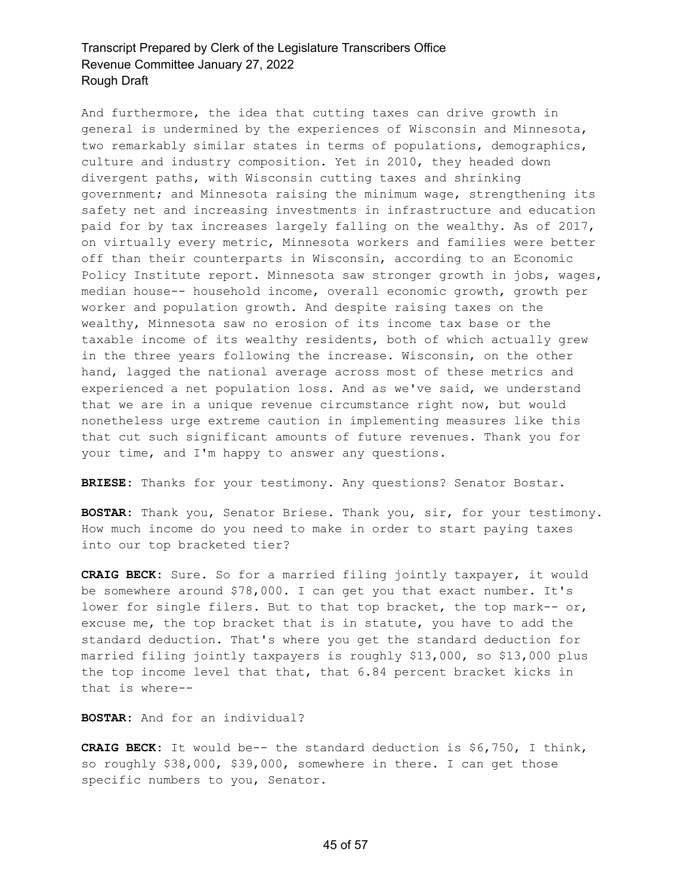And furthermore, the idea that cutting taxes can drive growth in general is undermined by the experiences of Wisconsin and Minnesota, two remarkably similar states in terms of populations, demographics, culture and industry composition. Yet in 2010, they headed down divergent paths, with Wisconsin cutting taxes and shrinking government; and Minnesota raising the minimum wage, strengthening its safety net and increasing investments in infrastructure and education paid for by tax increases largely falling on the wealthy. As of 2017, on virtually every metric, Minnesota workers and families were better off than their counterparts in Wisconsin, according to an Economic Policy Institute report. Minnesota saw stronger growth in jobs, wages, median house-- household income, overall economic growth, growth per worker and population growth. And despite raising taxes on the wealthy, Minnesota saw no erosion of its income tax base or the taxable income of its wealthy residents, both of which actually grew in the three years following the increase. Wisconsin, on the other hand, lagged the national average across most of these metrics and experienced a net population loss. And as we've said, we understand that we are in a unique revenue circumstance right now, but would nonetheless urge extreme caution in implementing measures like this that cut such significant amounts of future revenues. Thank you for your time, and I'm happy to answer any questions.

**BRIESE:** Thanks for your testimony. Any questions? Senator Bostar.

**BOSTAR:** Thank you, Senator Briese. Thank you, sir, for your testimony. How much income do you need to make in order to start paying taxes into our top bracketed tier?

**CRAIG BECK:** Sure. So for a married filing jointly taxpayer, it would be somewhere around \$78,000. I can get you that exact number. It's lower for single filers. But to that top bracket, the top mark-- or, excuse me, the top bracket that is in statute, you have to add the standard deduction. That's where you get the standard deduction for married filing jointly taxpayers is roughly \$13,000, so \$13,000 plus the top income level that that, that 6.84 percent bracket kicks in that is where--

**BOSTAR:** And for an individual?

**CRAIG BECK:** It would be-- the standard deduction is \$6,750, I think, so roughly \$38,000, \$39,000, somewhere in there. I can get those specific numbers to you, Senator.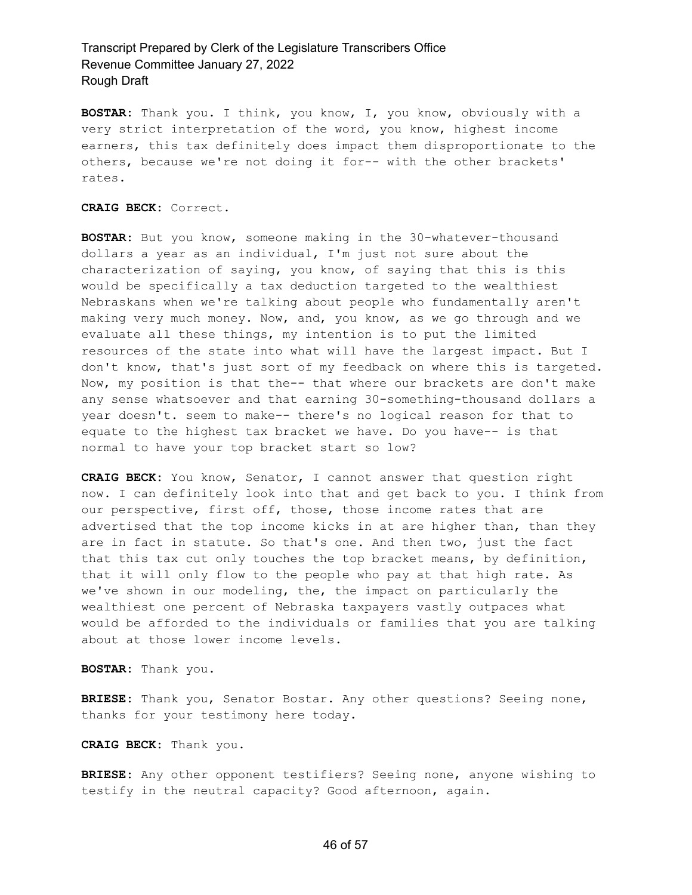**BOSTAR:** Thank you. I think, you know, I, you know, obviously with a very strict interpretation of the word, you know, highest income earners, this tax definitely does impact them disproportionate to the others, because we're not doing it for-- with the other brackets' rates.

#### **CRAIG BECK:** Correct.

**BOSTAR:** But you know, someone making in the 30-whatever-thousand dollars a year as an individual, I'm just not sure about the characterization of saying, you know, of saying that this is this would be specifically a tax deduction targeted to the wealthiest Nebraskans when we're talking about people who fundamentally aren't making very much money. Now, and, you know, as we go through and we evaluate all these things, my intention is to put the limited resources of the state into what will have the largest impact. But I don't know, that's just sort of my feedback on where this is targeted. Now, my position is that the-- that where our brackets are don't make any sense whatsoever and that earning 30-something-thousand dollars a year doesn't. seem to make-- there's no logical reason for that to equate to the highest tax bracket we have. Do you have-- is that normal to have your top bracket start so low?

**CRAIG BECK:** You know, Senator, I cannot answer that question right now. I can definitely look into that and get back to you. I think from our perspective, first off, those, those income rates that are advertised that the top income kicks in at are higher than, than they are in fact in statute. So that's one. And then two, just the fact that this tax cut only touches the top bracket means, by definition, that it will only flow to the people who pay at that high rate. As we've shown in our modeling, the, the impact on particularly the wealthiest one percent of Nebraska taxpayers vastly outpaces what would be afforded to the individuals or families that you are talking about at those lower income levels.

**BOSTAR:** Thank you.

**BRIESE:** Thank you, Senator Bostar. Any other questions? Seeing none, thanks for your testimony here today.

**CRAIG BECK:** Thank you.

**BRIESE:** Any other opponent testifiers? Seeing none, anyone wishing to testify in the neutral capacity? Good afternoon, again.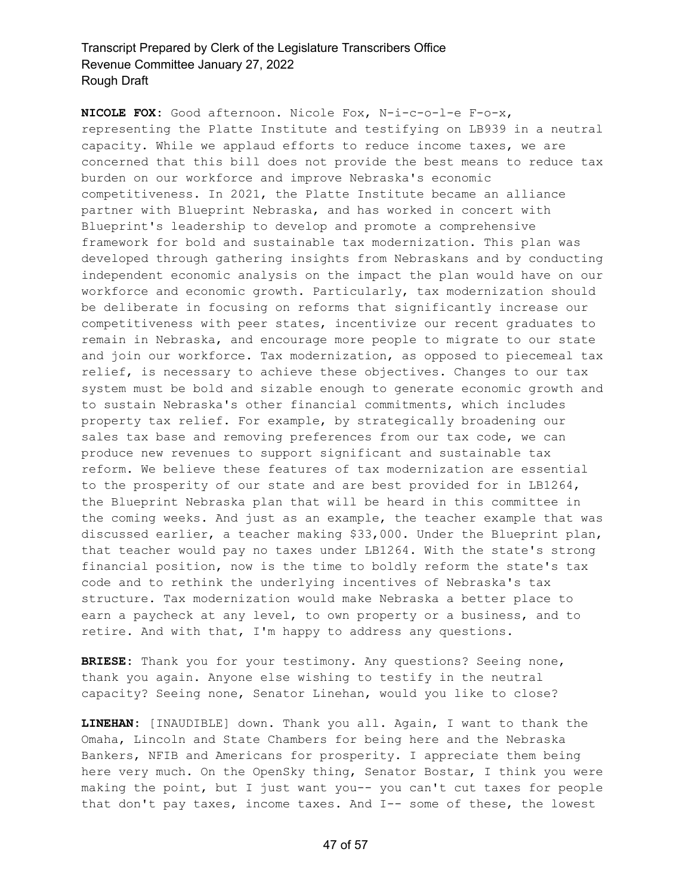**NICOLE FOX:** Good afternoon. Nicole Fox, N-i-c-o-l-e F-o-x, representing the Platte Institute and testifying on LB939 in a neutral capacity. While we applaud efforts to reduce income taxes, we are concerned that this bill does not provide the best means to reduce tax burden on our workforce and improve Nebraska's economic competitiveness. In 2021, the Platte Institute became an alliance partner with Blueprint Nebraska, and has worked in concert with Blueprint's leadership to develop and promote a comprehensive framework for bold and sustainable tax modernization. This plan was developed through gathering insights from Nebraskans and by conducting independent economic analysis on the impact the plan would have on our workforce and economic growth. Particularly, tax modernization should be deliberate in focusing on reforms that significantly increase our competitiveness with peer states, incentivize our recent graduates to remain in Nebraska, and encourage more people to migrate to our state and join our workforce. Tax modernization, as opposed to piecemeal tax relief, is necessary to achieve these objectives. Changes to our tax system must be bold and sizable enough to generate economic growth and to sustain Nebraska's other financial commitments, which includes property tax relief. For example, by strategically broadening our sales tax base and removing preferences from our tax code, we can produce new revenues to support significant and sustainable tax reform. We believe these features of tax modernization are essential to the prosperity of our state and are best provided for in LB1264, the Blueprint Nebraska plan that will be heard in this committee in the coming weeks. And just as an example, the teacher example that was discussed earlier, a teacher making \$33,000. Under the Blueprint plan, that teacher would pay no taxes under LB1264. With the state's strong financial position, now is the time to boldly reform the state's tax code and to rethink the underlying incentives of Nebraska's tax structure. Tax modernization would make Nebraska a better place to earn a paycheck at any level, to own property or a business, and to retire. And with that, I'm happy to address any questions.

**BRIESE:** Thank you for your testimony. Any questions? Seeing none, thank you again. Anyone else wishing to testify in the neutral capacity? Seeing none, Senator Linehan, would you like to close?

**LINEHAN:** [INAUDIBLE] down. Thank you all. Again, I want to thank the Omaha, Lincoln and State Chambers for being here and the Nebraska Bankers, NFIB and Americans for prosperity. I appreciate them being here very much. On the OpenSky thing, Senator Bostar, I think you were making the point, but I just want you-- you can't cut taxes for people that don't pay taxes, income taxes. And I-- some of these, the lowest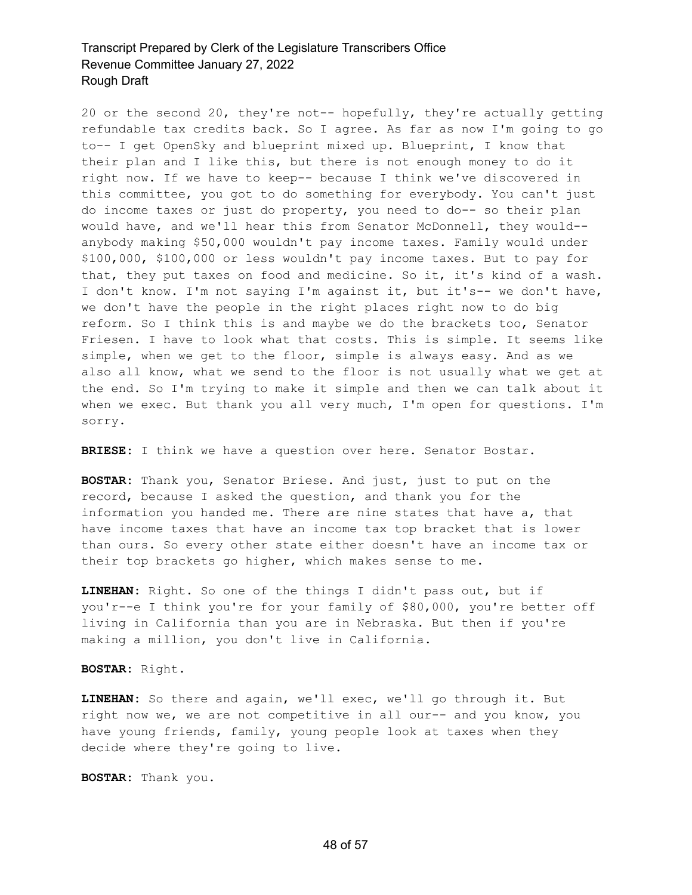20 or the second 20, they're not-- hopefully, they're actually getting refundable tax credits back. So I agree. As far as now I'm going to go to-- I get OpenSky and blueprint mixed up. Blueprint, I know that their plan and I like this, but there is not enough money to do it right now. If we have to keep-- because I think we've discovered in this committee, you got to do something for everybody. You can't just do income taxes or just do property, you need to do-- so their plan would have, and we'll hear this from Senator McDonnell, they would- anybody making \$50,000 wouldn't pay income taxes. Family would under \$100,000, \$100,000 or less wouldn't pay income taxes. But to pay for that, they put taxes on food and medicine. So it, it's kind of a wash. I don't know. I'm not saying I'm against it, but it's-- we don't have, we don't have the people in the right places right now to do big reform. So I think this is and maybe we do the brackets too, Senator Friesen. I have to look what that costs. This is simple. It seems like simple, when we get to the floor, simple is always easy. And as we also all know, what we send to the floor is not usually what we get at the end. So I'm trying to make it simple and then we can talk about it when we exec. But thank you all very much, I'm open for questions. I'm sorry.

**BRIESE:** I think we have a question over here. Senator Bostar.

**BOSTAR:** Thank you, Senator Briese. And just, just to put on the record, because I asked the question, and thank you for the information you handed me. There are nine states that have a, that have income taxes that have an income tax top bracket that is lower than ours. So every other state either doesn't have an income tax or their top brackets go higher, which makes sense to me.

**LINEHAN:** Right. So one of the things I didn't pass out, but if you'r--e I think you're for your family of \$80,000, you're better off living in California than you are in Nebraska. But then if you're making a million, you don't live in California.

#### **BOSTAR:** Right.

**LINEHAN:** So there and again, we'll exec, we'll go through it. But right now we, we are not competitive in all our-- and you know, you have young friends, family, young people look at taxes when they decide where they're going to live.

**BOSTAR:** Thank you.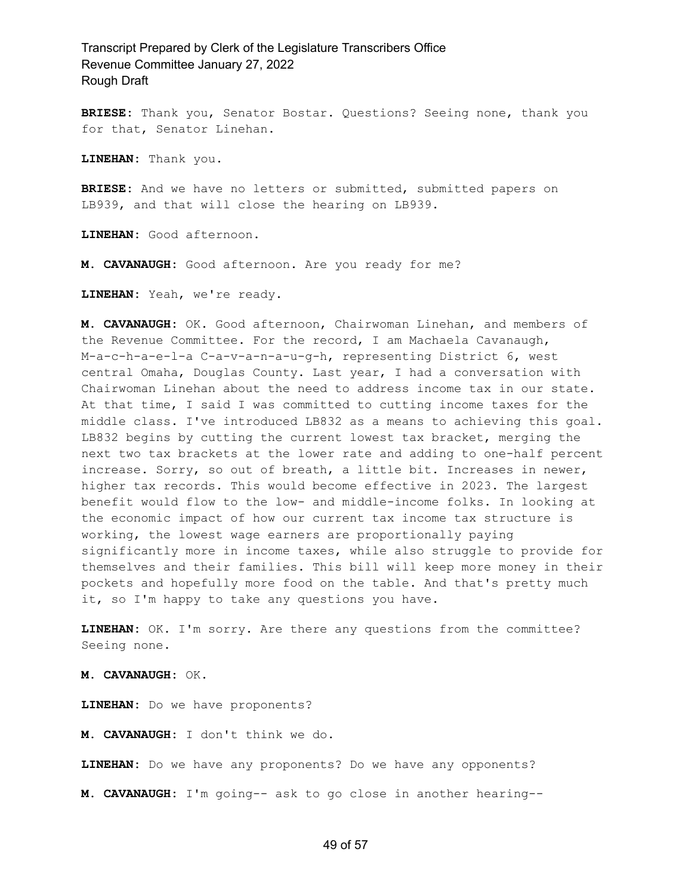**BRIESE:** Thank you, Senator Bostar. Questions? Seeing none, thank you for that, Senator Linehan.

**LINEHAN:** Thank you.

**BRIESE:** And we have no letters or submitted, submitted papers on LB939, and that will close the hearing on LB939.

**LINEHAN:** Good afternoon.

**M. CAVANAUGH:** Good afternoon. Are you ready for me?

**LINEHAN:** Yeah, we're ready.

**M. CAVANAUGH:** OK. Good afternoon, Chairwoman Linehan, and members of the Revenue Committee. For the record, I am Machaela Cavanaugh, M-a-c-h-a-e-l-a C-a-v-a-n-a-u-g-h, representing District 6, west central Omaha, Douglas County. Last year, I had a conversation with Chairwoman Linehan about the need to address income tax in our state. At that time, I said I was committed to cutting income taxes for the middle class. I've introduced LB832 as a means to achieving this goal. LB832 begins by cutting the current lowest tax bracket, merging the next two tax brackets at the lower rate and adding to one-half percent increase. Sorry, so out of breath, a little bit. Increases in newer, higher tax records. This would become effective in 2023. The largest benefit would flow to the low- and middle-income folks. In looking at the economic impact of how our current tax income tax structure is working, the lowest wage earners are proportionally paying significantly more in income taxes, while also struggle to provide for themselves and their families. This bill will keep more money in their pockets and hopefully more food on the table. And that's pretty much it, so I'm happy to take any questions you have.

**LINEHAN:** OK. I'm sorry. Are there any questions from the committee? Seeing none.

**M. CAVANAUGH:** OK.

**LINEHAN:** Do we have proponents?

**M. CAVANAUGH:** I don't think we do.

**LINEHAN:** Do we have any proponents? Do we have any opponents?

**M. CAVANAUGH:** I'm going-- ask to go close in another hearing--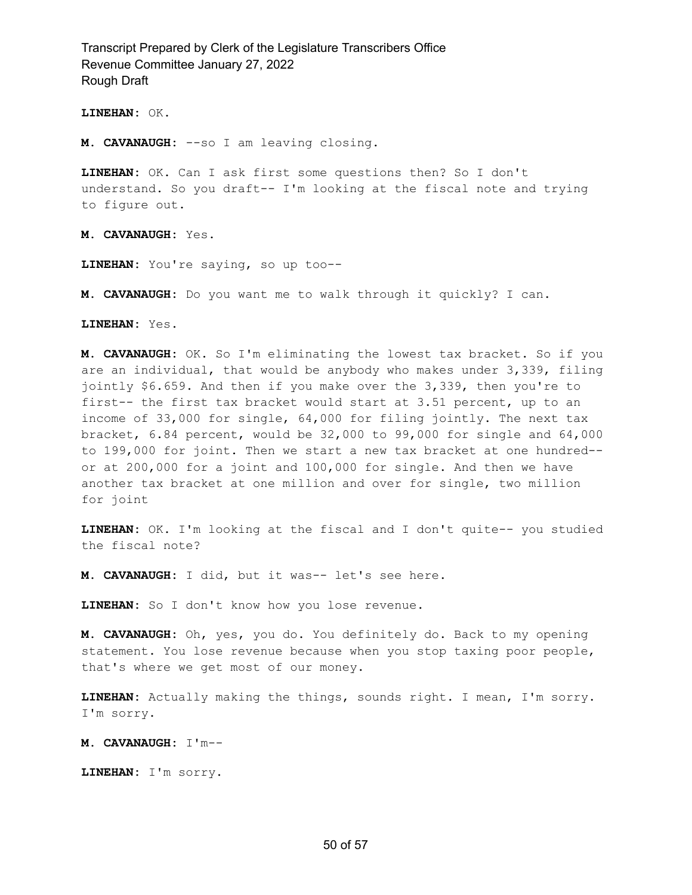**LINEHAN:** OK.

**M. CAVANAUGH:** --so I am leaving closing.

**LINEHAN:** OK. Can I ask first some questions then? So I don't understand. So you draft-- I'm looking at the fiscal note and trying to figure out.

**M. CAVANAUGH:** Yes.

**LINEHAN:** You're saying, so up too--

**M. CAVANAUGH:** Do you want me to walk through it quickly? I can.

**LINEHAN:** Yes.

**M. CAVANAUGH:** OK. So I'm eliminating the lowest tax bracket. So if you are an individual, that would be anybody who makes under 3,339, filing jointly \$6.659. And then if you make over the 3,339, then you're to first-- the first tax bracket would start at 3.51 percent, up to an income of 33,000 for single, 64,000 for filing jointly. The next tax bracket, 6.84 percent, would be 32,000 to 99,000 for single and 64,000 to 199,000 for joint. Then we start a new tax bracket at one hundred- or at 200,000 for a joint and 100,000 for single. And then we have another tax bracket at one million and over for single, two million for joint

**LINEHAN:** OK. I'm looking at the fiscal and I don't quite-- you studied the fiscal note?

**M. CAVANAUGH:** I did, but it was-- let's see here.

**LINEHAN:** So I don't know how you lose revenue.

**M. CAVANAUGH:** Oh, yes, you do. You definitely do. Back to my opening statement. You lose revenue because when you stop taxing poor people, that's where we get most of our money.

**LINEHAN:** Actually making the things, sounds right. I mean, I'm sorry. I'm sorry.

**M. CAVANAUGH:** I'm--

**LINEHAN:** I'm sorry.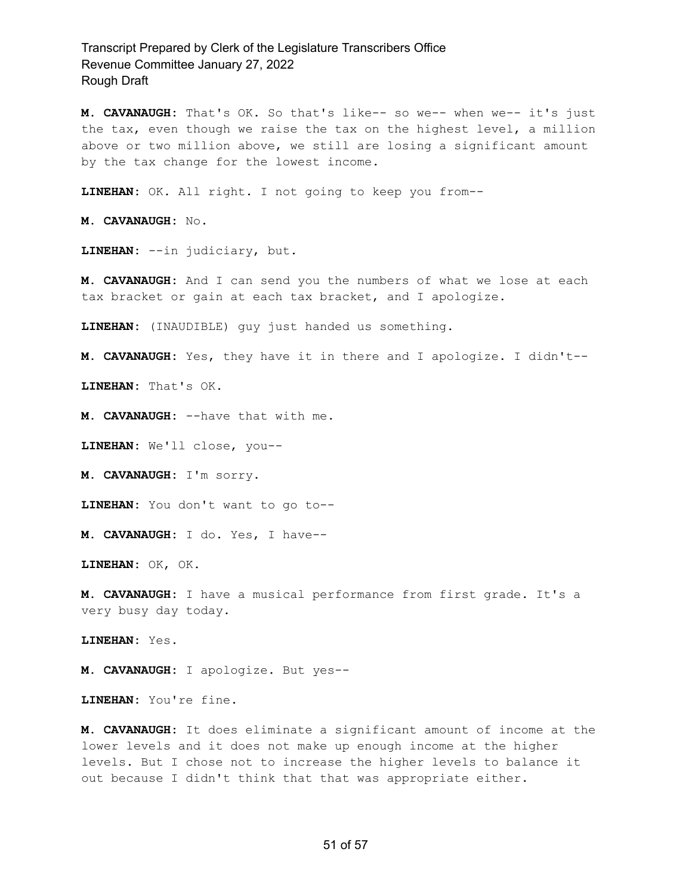**M. CAVANAUGH:** That's OK. So that's like-- so we-- when we-- it's just the tax, even though we raise the tax on the highest level, a million above or two million above, we still are losing a significant amount by the tax change for the lowest income.

**LINEHAN:** OK. All right. I not going to keep you from--

**M. CAVANAUGH:** No.

**LINEHAN:** --in judiciary, but.

**M. CAVANAUGH:** And I can send you the numbers of what we lose at each tax bracket or gain at each tax bracket, and I apologize.

**LINEHAN:** (INAUDIBLE) guy just handed us something.

**M. CAVANAUGH:** Yes, they have it in there and I apologize. I didn't--

**LINEHAN:** That's OK.

**M. CAVANAUGH:** --have that with me.

**LINEHAN:** We'll close, you--

**M. CAVANAUGH:** I'm sorry.

**LINEHAN:** You don't want to go to--

**M. CAVANAUGH:** I do. Yes, I have--

**LINEHAN:** OK, OK.

**M. CAVANAUGH:** I have a musical performance from first grade. It's a very busy day today.

**LINEHAN:** Yes.

**M. CAVANAUGH:** I apologize. But yes--

**LINEHAN:** You're fine.

**M. CAVANAUGH:** It does eliminate a significant amount of income at the lower levels and it does not make up enough income at the higher levels. But I chose not to increase the higher levels to balance it out because I didn't think that that was appropriate either.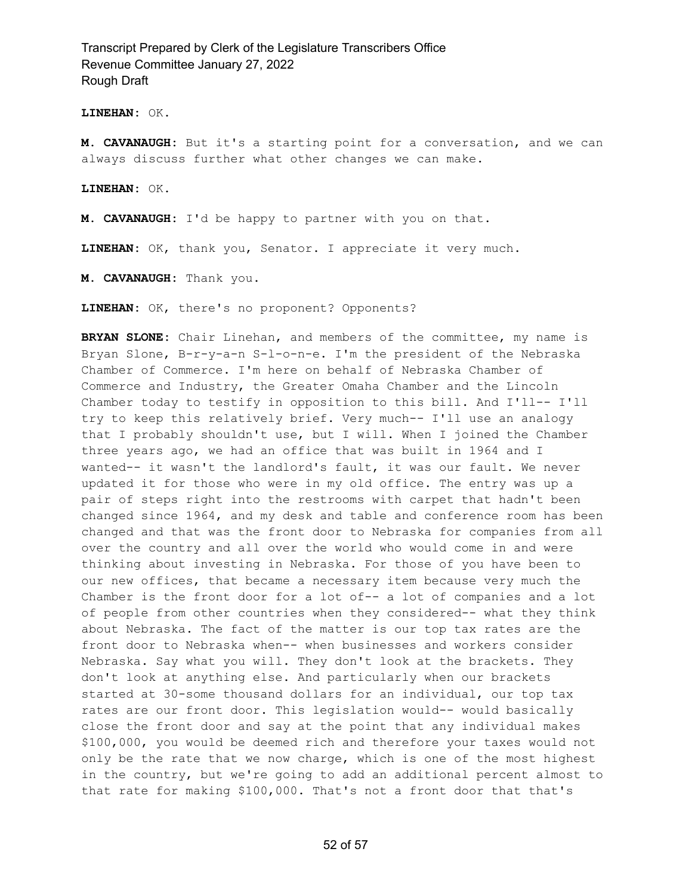**LINEHAN:** OK.

**M. CAVANAUGH:** But it's a starting point for a conversation, and we can always discuss further what other changes we can make.

**LINEHAN:** OK.

**M. CAVANAUGH:** I'd be happy to partner with you on that.

**LINEHAN:** OK, thank you, Senator. I appreciate it very much.

**M. CAVANAUGH:** Thank you.

**LINEHAN:** OK, there's no proponent? Opponents?

**BRYAN SLONE:** Chair Linehan, and members of the committee, my name is Bryan Slone, B-r-y-a-n S-l-o-n-e. I'm the president of the Nebraska Chamber of Commerce. I'm here on behalf of Nebraska Chamber of Commerce and Industry, the Greater Omaha Chamber and the Lincoln Chamber today to testify in opposition to this bill. And I'll-- I'll try to keep this relatively brief. Very much-- I'll use an analogy that I probably shouldn't use, but I will. When I joined the Chamber three years ago, we had an office that was built in 1964 and I wanted-- it wasn't the landlord's fault, it was our fault. We never updated it for those who were in my old office. The entry was up a pair of steps right into the restrooms with carpet that hadn't been changed since 1964, and my desk and table and conference room has been changed and that was the front door to Nebraska for companies from all over the country and all over the world who would come in and were thinking about investing in Nebraska. For those of you have been to our new offices, that became a necessary item because very much the Chamber is the front door for a lot of-- a lot of companies and a lot of people from other countries when they considered-- what they think about Nebraska. The fact of the matter is our top tax rates are the front door to Nebraska when-- when businesses and workers consider Nebraska. Say what you will. They don't look at the brackets. They don't look at anything else. And particularly when our brackets started at 30-some thousand dollars for an individual, our top tax rates are our front door. This legislation would-- would basically close the front door and say at the point that any individual makes \$100,000, you would be deemed rich and therefore your taxes would not only be the rate that we now charge, which is one of the most highest in the country, but we're going to add an additional percent almost to that rate for making \$100,000. That's not a front door that that's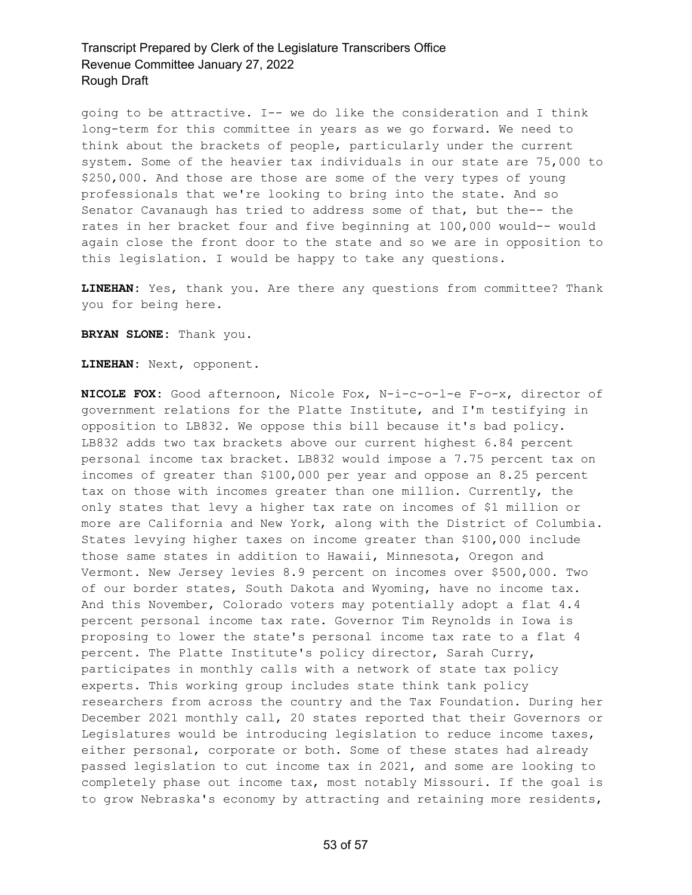going to be attractive. I-- we do like the consideration and I think long-term for this committee in years as we go forward. We need to think about the brackets of people, particularly under the current system. Some of the heavier tax individuals in our state are 75,000 to \$250,000. And those are those are some of the very types of young professionals that we're looking to bring into the state. And so Senator Cavanaugh has tried to address some of that, but the-- the rates in her bracket four and five beginning at 100,000 would-- would again close the front door to the state and so we are in opposition to this legislation. I would be happy to take any questions.

**LINEHAN:** Yes, thank you. Are there any questions from committee? Thank you for being here.

**BRYAN SLONE:** Thank you.

**LINEHAN:** Next, opponent.

**NICOLE FOX:** Good afternoon, Nicole Fox, N-i-c-o-l-e F-o-x, director of government relations for the Platte Institute, and I'm testifying in opposition to LB832. We oppose this bill because it's bad policy. LB832 adds two tax brackets above our current highest 6.84 percent personal income tax bracket. LB832 would impose a 7.75 percent tax on incomes of greater than \$100,000 per year and oppose an 8.25 percent tax on those with incomes greater than one million. Currently, the only states that levy a higher tax rate on incomes of \$1 million or more are California and New York, along with the District of Columbia. States levying higher taxes on income greater than \$100,000 include those same states in addition to Hawaii, Minnesota, Oregon and Vermont. New Jersey levies 8.9 percent on incomes over \$500,000. Two of our border states, South Dakota and Wyoming, have no income tax. And this November, Colorado voters may potentially adopt a flat 4.4 percent personal income tax rate. Governor Tim Reynolds in Iowa is proposing to lower the state's personal income tax rate to a flat 4 percent. The Platte Institute's policy director, Sarah Curry, participates in monthly calls with a network of state tax policy experts. This working group includes state think tank policy researchers from across the country and the Tax Foundation. During her December 2021 monthly call, 20 states reported that their Governors or Legislatures would be introducing legislation to reduce income taxes, either personal, corporate or both. Some of these states had already passed legislation to cut income tax in 2021, and some are looking to completely phase out income tax, most notably Missouri. If the goal is to grow Nebraska's economy by attracting and retaining more residents,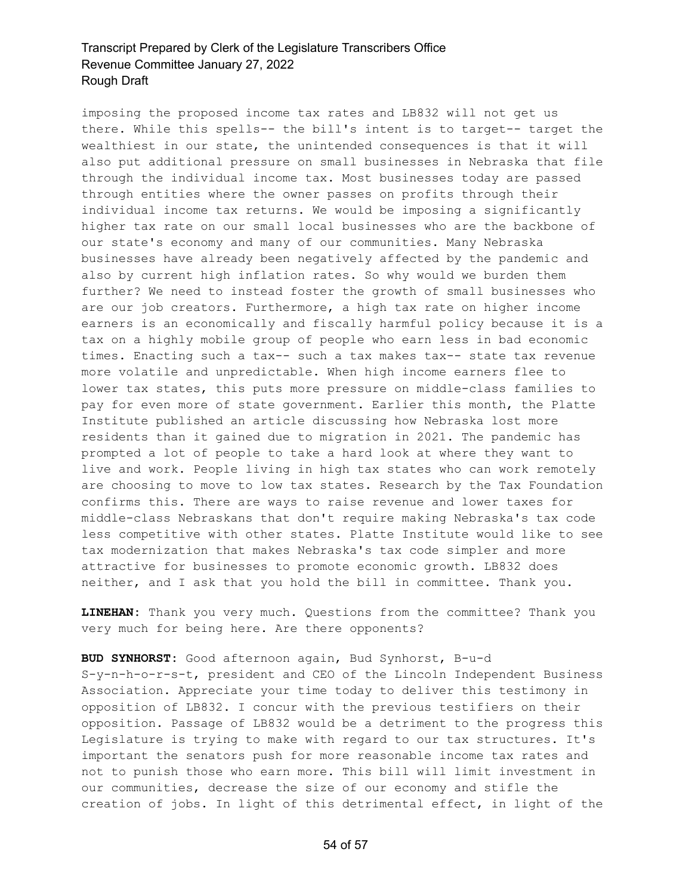imposing the proposed income tax rates and LB832 will not get us there. While this spells-- the bill's intent is to target-- target the wealthiest in our state, the unintended consequences is that it will also put additional pressure on small businesses in Nebraska that file through the individual income tax. Most businesses today are passed through entities where the owner passes on profits through their individual income tax returns. We would be imposing a significantly higher tax rate on our small local businesses who are the backbone of our state's economy and many of our communities. Many Nebraska businesses have already been negatively affected by the pandemic and also by current high inflation rates. So why would we burden them further? We need to instead foster the growth of small businesses who are our job creators. Furthermore, a high tax rate on higher income earners is an economically and fiscally harmful policy because it is a tax on a highly mobile group of people who earn less in bad economic times. Enacting such a tax-- such a tax makes tax-- state tax revenue more volatile and unpredictable. When high income earners flee to lower tax states, this puts more pressure on middle-class families to pay for even more of state government. Earlier this month, the Platte Institute published an article discussing how Nebraska lost more residents than it gained due to migration in 2021. The pandemic has prompted a lot of people to take a hard look at where they want to live and work. People living in high tax states who can work remotely are choosing to move to low tax states. Research by the Tax Foundation confirms this. There are ways to raise revenue and lower taxes for middle-class Nebraskans that don't require making Nebraska's tax code less competitive with other states. Platte Institute would like to see tax modernization that makes Nebraska's tax code simpler and more attractive for businesses to promote economic growth. LB832 does neither, and I ask that you hold the bill in committee. Thank you.

**LINEHAN:** Thank you very much. Questions from the committee? Thank you very much for being here. Are there opponents?

**BUD SYNHORST:** Good afternoon again, Bud Synhorst, B-u-d S-y-n-h-o-r-s-t, president and CEO of the Lincoln Independent Business Association. Appreciate your time today to deliver this testimony in opposition of LB832. I concur with the previous testifiers on their opposition. Passage of LB832 would be a detriment to the progress this Legislature is trying to make with regard to our tax structures. It's important the senators push for more reasonable income tax rates and not to punish those who earn more. This bill will limit investment in our communities, decrease the size of our economy and stifle the creation of jobs. In light of this detrimental effect, in light of the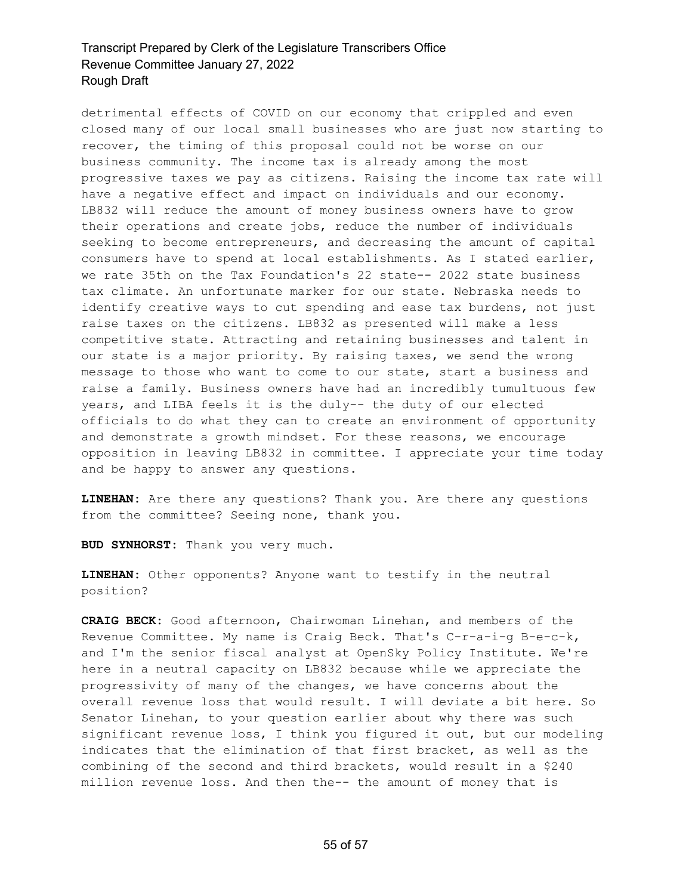detrimental effects of COVID on our economy that crippled and even closed many of our local small businesses who are just now starting to recover, the timing of this proposal could not be worse on our business community. The income tax is already among the most progressive taxes we pay as citizens. Raising the income tax rate will have a negative effect and impact on individuals and our economy. LB832 will reduce the amount of money business owners have to grow their operations and create jobs, reduce the number of individuals seeking to become entrepreneurs, and decreasing the amount of capital consumers have to spend at local establishments. As I stated earlier, we rate 35th on the Tax Foundation's 22 state-- 2022 state business tax climate. An unfortunate marker for our state. Nebraska needs to identify creative ways to cut spending and ease tax burdens, not just raise taxes on the citizens. LB832 as presented will make a less competitive state. Attracting and retaining businesses and talent in our state is a major priority. By raising taxes, we send the wrong message to those who want to come to our state, start a business and raise a family. Business owners have had an incredibly tumultuous few years, and LIBA feels it is the duly-- the duty of our elected officials to do what they can to create an environment of opportunity and demonstrate a growth mindset. For these reasons, we encourage opposition in leaving LB832 in committee. I appreciate your time today and be happy to answer any questions.

**LINEHAN:** Are there any questions? Thank you. Are there any questions from the committee? Seeing none, thank you.

**BUD SYNHORST:** Thank you very much.

**LINEHAN:** Other opponents? Anyone want to testify in the neutral position?

**CRAIG BECK:** Good afternoon, Chairwoman Linehan, and members of the Revenue Committee. My name is Craig Beck. That's C-r-a-i-g B-e-c-k, and I'm the senior fiscal analyst at OpenSky Policy Institute. We're here in a neutral capacity on LB832 because while we appreciate the progressivity of many of the changes, we have concerns about the overall revenue loss that would result. I will deviate a bit here. So Senator Linehan, to your question earlier about why there was such significant revenue loss, I think you figured it out, but our modeling indicates that the elimination of that first bracket, as well as the combining of the second and third brackets, would result in a \$240 million revenue loss. And then the-- the amount of money that is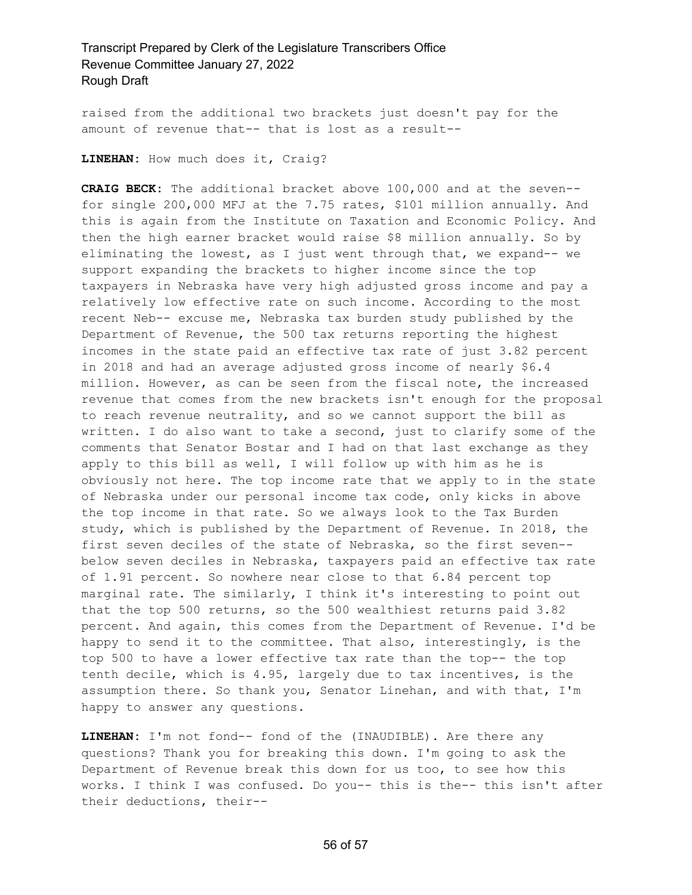raised from the additional two brackets just doesn't pay for the amount of revenue that-- that is lost as a result--

#### **LINEHAN:** How much does it, Craig?

**CRAIG BECK:** The additional bracket above 100,000 and at the seven- for single 200,000 MFJ at the 7.75 rates, \$101 million annually. And this is again from the Institute on Taxation and Economic Policy. And then the high earner bracket would raise \$8 million annually. So by eliminating the lowest, as I just went through that, we expand-- we support expanding the brackets to higher income since the top taxpayers in Nebraska have very high adjusted gross income and pay a relatively low effective rate on such income. According to the most recent Neb-- excuse me, Nebraska tax burden study published by the Department of Revenue, the 500 tax returns reporting the highest incomes in the state paid an effective tax rate of just 3.82 percent in 2018 and had an average adjusted gross income of nearly \$6.4 million. However, as can be seen from the fiscal note, the increased revenue that comes from the new brackets isn't enough for the proposal to reach revenue neutrality, and so we cannot support the bill as written. I do also want to take a second, just to clarify some of the comments that Senator Bostar and I had on that last exchange as they apply to this bill as well, I will follow up with him as he is obviously not here. The top income rate that we apply to in the state of Nebraska under our personal income tax code, only kicks in above the top income in that rate. So we always look to the Tax Burden study, which is published by the Department of Revenue. In 2018, the first seven deciles of the state of Nebraska, so the first seven- below seven deciles in Nebraska, taxpayers paid an effective tax rate of 1.91 percent. So nowhere near close to that 6.84 percent top marginal rate. The similarly, I think it's interesting to point out that the top 500 returns, so the 500 wealthiest returns paid 3.82 percent. And again, this comes from the Department of Revenue. I'd be happy to send it to the committee. That also, interestingly, is the top 500 to have a lower effective tax rate than the top-- the top tenth decile, which is 4.95, largely due to tax incentives, is the assumption there. So thank you, Senator Linehan, and with that, I'm happy to answer any questions.

**LINEHAN:** I'm not fond-- fond of the (INAUDIBLE). Are there any questions? Thank you for breaking this down. I'm going to ask the Department of Revenue break this down for us too, to see how this works. I think I was confused. Do you-- this is the-- this isn't after their deductions, their--